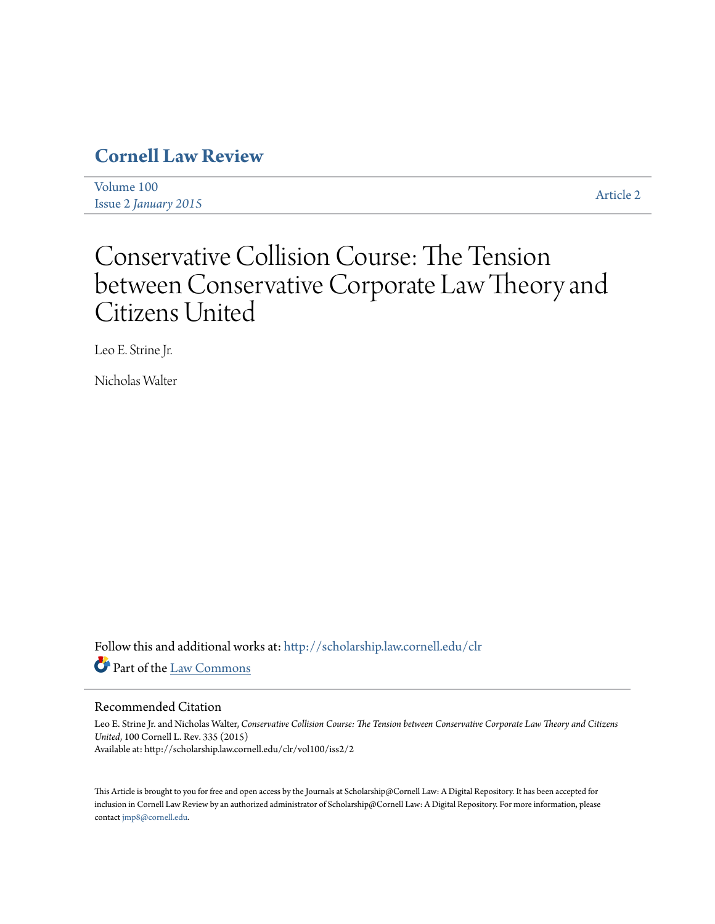# **[Cornell Law Review](http://scholarship.law.cornell.edu/clr?utm_source=scholarship.law.cornell.edu%2Fclr%2Fvol100%2Fiss2%2F2&utm_medium=PDF&utm_campaign=PDFCoverPages)**

[Volume 100](http://scholarship.law.cornell.edu/clr/vol100?utm_source=scholarship.law.cornell.edu%2Fclr%2Fvol100%2Fiss2%2F2&utm_medium=PDF&utm_campaign=PDFCoverPages) Issue 2 *[January 2015](http://scholarship.law.cornell.edu/clr/vol100/iss2?utm_source=scholarship.law.cornell.edu%2Fclr%2Fvol100%2Fiss2%2F2&utm_medium=PDF&utm_campaign=PDFCoverPages)* [Article 2](http://scholarship.law.cornell.edu/clr/vol100/iss2/2?utm_source=scholarship.law.cornell.edu%2Fclr%2Fvol100%2Fiss2%2F2&utm_medium=PDF&utm_campaign=PDFCoverPages)

# Conservative Collision Course: The Tension between Conservative Corporate Law Theory and Citizens United

Leo E. Strine Jr.

Nicholas Walter

Follow this and additional works at: [http://scholarship.law.cornell.edu/clr](http://scholarship.law.cornell.edu/clr?utm_source=scholarship.law.cornell.edu%2Fclr%2Fvol100%2Fiss2%2F2&utm_medium=PDF&utm_campaign=PDFCoverPages) Part of the [Law Commons](http://network.bepress.com/hgg/discipline/578?utm_source=scholarship.law.cornell.edu%2Fclr%2Fvol100%2Fiss2%2F2&utm_medium=PDF&utm_campaign=PDFCoverPages)

# Recommended Citation

Leo E. Strine Jr. and Nicholas Walter, *Conservative Collision Course: The Tension between Conservative Corporate Law Theory and Citizens United*, 100 Cornell L. Rev. 335 (2015) Available at: http://scholarship.law.cornell.edu/clr/vol100/iss2/2

This Article is brought to you for free and open access by the Journals at Scholarship@Cornell Law: A Digital Repository. It has been accepted for inclusion in Cornell Law Review by an authorized administrator of Scholarship@Cornell Law: A Digital Repository. For more information, please contact [jmp8@cornell.edu.](mailto:jmp8@cornell.edu)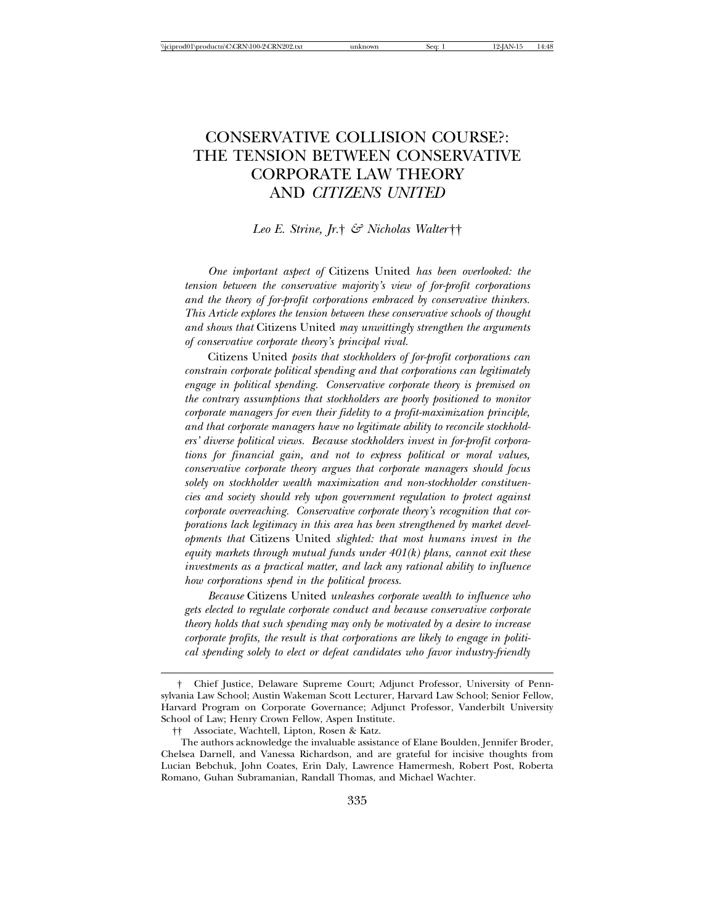# CONSERVATIVE COLLISION COURSE?: THE TENSION BETWEEN CONSERVATIVE CORPORATE LAW THEORY AND *CITIZENS UNITED*

#### *Leo E. Strine, Jr.*† *& Nicholas Walter* ††

*One important aspect of* Citizens United *has been overlooked: the tension between the conservative majority's view of for-profit corporations and the theory of for-profit corporations embraced by conservative thinkers. This Article explores the tension between these conservative schools of thought and shows that* Citizens United *may unwittingly strengthen the arguments of conservative corporate theory's principal rival.*

Citizens United *posits that stockholders of for-profit corporations can constrain corporate political spending and that corporations can legitimately engage in political spending. Conservative corporate theory is premised on the contrary assumptions that stockholders are poorly positioned to monitor corporate managers for even their fidelity to a profit-maximization principle, and that corporate managers have no legitimate ability to reconcile stockholders' diverse political views. Because stockholders invest in for-profit corporations for financial gain, and not to express political or moral values, conservative corporate theory argues that corporate managers should focus solely on stockholder wealth maximization and non-stockholder constituencies and society should rely upon government regulation to protect against corporate overreaching. Conservative corporate theory's recognition that corporations lack legitimacy in this area has been strengthened by market developments that* Citizens United *slighted: that most humans invest in the equity markets through mutual funds under 401(k) plans, cannot exit these investments as a practical matter, and lack any rational ability to influence how corporations spend in the political process.*

*Because* Citizens United *unleashes corporate wealth to influence who gets elected to regulate corporate conduct and because conservative corporate theory holds that such spending may only be motivated by a desire to increase corporate profits, the result is that corporations are likely to engage in political spending solely to elect or defeat candidates who favor industry-friendly*

<sup>†</sup> Chief Justice, Delaware Supreme Court; Adjunct Professor, University of Pennsylvania Law School; Austin Wakeman Scott Lecturer, Harvard Law School; Senior Fellow, Harvard Program on Corporate Governance; Adjunct Professor, Vanderbilt University School of Law; Henry Crown Fellow, Aspen Institute.

<sup>††</sup> Associate, Wachtell, Lipton, Rosen & Katz.

The authors acknowledge the invaluable assistance of Elane Boulden, Jennifer Broder, Chelsea Darnell, and Vanessa Richardson, and are grateful for incisive thoughts from Lucian Bebchuk, John Coates, Erin Daly, Lawrence Hamermesh, Robert Post, Roberta Romano, Guhan Subramanian, Randall Thomas, and Michael Wachter.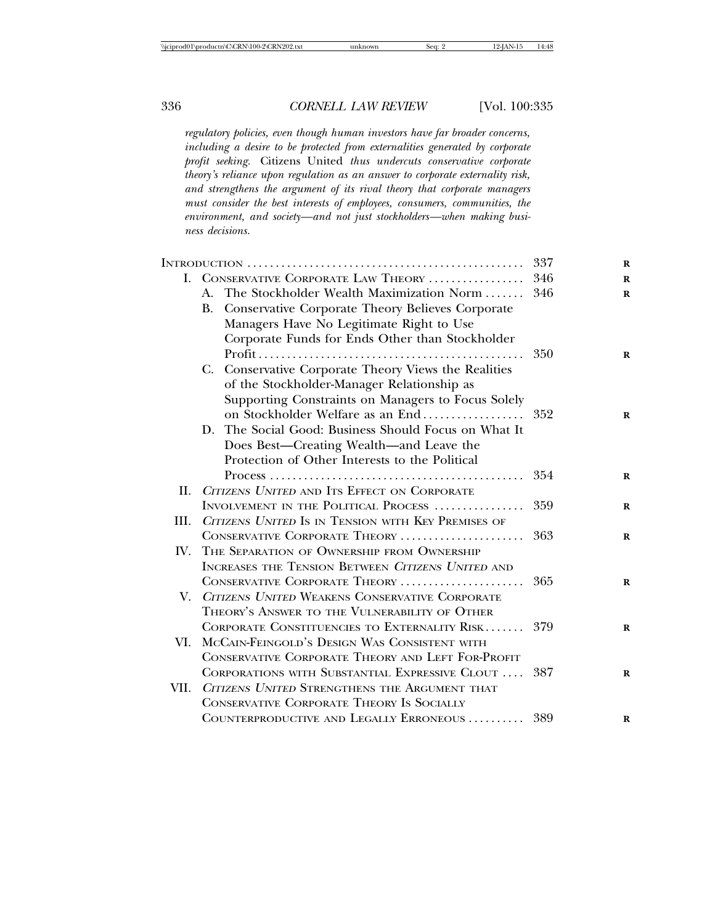*regulatory policies, even though human investors have far broader concerns, including a desire to be protected from externalities generated by corporate profit seeking.* Citizens United *thus undercuts conservative corporate theory's reliance upon regulation as an answer to corporate externality risk, and strengthens the argument of its rival theory that corporate managers must consider the best interests of employees, consumers, communities, the environment, and society—and not just stockholders—when making business decisions.*

|      |                                                                                                      | 337 |
|------|------------------------------------------------------------------------------------------------------|-----|
|      | I. CONSERVATIVE CORPORATE LAW THEORY                                                                 | 346 |
|      | A. The Stockholder Wealth Maximization Norm                                                          | 346 |
|      | B. Conservative Corporate Theory Believes Corporate                                                  |     |
|      | Managers Have No Legitimate Right to Use                                                             |     |
|      | Corporate Funds for Ends Other than Stockholder                                                      |     |
|      |                                                                                                      | 350 |
|      | C. Conservative Corporate Theory Views the Realities                                                 |     |
|      | of the Stockholder-Manager Relationship as                                                           |     |
|      | Supporting Constraints on Managers to Focus Solely                                                   |     |
|      | on Stockholder Welfare as an End                                                                     | 352 |
|      | The Social Good: Business Should Focus on What It<br>D.                                              |     |
|      | Does Best-Creating Wealth-and Leave the                                                              |     |
|      | Protection of Other Interests to the Political                                                       |     |
|      | $Process \ldots \ldots \ldots \ldots \ldots \ldots \ldots \ldots \ldots \ldots \ldots \ldots \ldots$ | 354 |
| H.   | CITIZENS UNITED AND ITS EFFECT ON CORPORATE                                                          |     |
|      | INVOLVEMENT IN THE POLITICAL PROCESS                                                                 | 359 |
| III. | CITIZENS UNITED IS IN TENSION WITH KEY PREMISES OF                                                   |     |
|      | CONSERVATIVE CORPORATE THEORY                                                                        | 363 |
| IV.  | THE SEPARATION OF OWNERSHIP FROM OWNERSHIP                                                           |     |
|      | INCREASES THE TENSION BETWEEN CITIZENS UNITED AND                                                    |     |
|      | CONSERVATIVE CORPORATE THEORY                                                                        | 365 |
| V.   | CITIZENS UNITED WEAKENS CONSERVATIVE CORPORATE                                                       |     |
|      | THEORY'S ANSWER TO THE VULNERABILITY OF OTHER                                                        |     |
|      | CORPORATE CONSTITUENCIES TO EXTERNALITY RISK                                                         | 379 |
| VI.  | MCCAIN-FEINGOLD'S DESIGN WAS CONSISTENT WITH                                                         |     |
|      | CONSERVATIVE CORPORATE THEORY AND LEFT FOR-PROFIT                                                    |     |
|      | CORPORATIONS WITH SUBSTANTIAL EXPRESSIVE CLOUT                                                       | 387 |
| VII. | CITIZENS UNITED STRENGTHENS THE ARGUMENT THAT                                                        |     |
|      | CONSERVATIVE CORPORATE THEORY IS SOCIALLY                                                            |     |
|      | COUNTERPRODUCTIVE AND LEGALLY ERRONEOUS                                                              | 389 |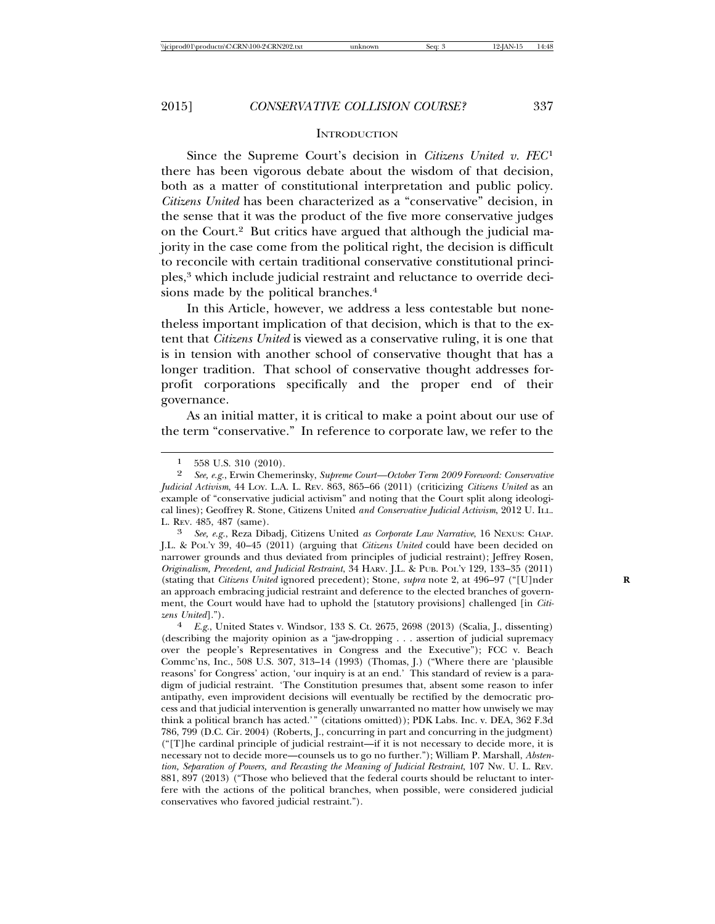#### **INTRODUCTION**

Since the Supreme Court's decision in *Citizens United v. FEC*<sup>1</sup> there has been vigorous debate about the wisdom of that decision, both as a matter of constitutional interpretation and public policy. *Citizens United* has been characterized as a "conservative" decision, in the sense that it was the product of the five more conservative judges on the Court.2 But critics have argued that although the judicial majority in the case come from the political right, the decision is difficult to reconcile with certain traditional conservative constitutional principles,3 which include judicial restraint and reluctance to override decisions made by the political branches.<sup>4</sup>

In this Article, however, we address a less contestable but nonetheless important implication of that decision, which is that to the extent that *Citizens United* is viewed as a conservative ruling, it is one that is in tension with another school of conservative thought that has a longer tradition. That school of conservative thought addresses forprofit corporations specifically and the proper end of their governance.

As an initial matter, it is critical to make a point about our use of the term "conservative." In reference to corporate law, we refer to the

J.L. & POL'Y 39, 40–45 (2011) (arguing that *Citizens United* could have been decided on narrower grounds and thus deviated from principles of judicial restraint); Jeffrey Rosen, *Originalism, Precedent, and Judicial Restraint*, 34 HARV. J.L. & PUB. POL'Y 129, 133–35 (2011) (stating that *Citizens United* ignored precedent); Stone, *supra* note 2, at 496–97 ("[U]nder **R** an approach embracing judicial restraint and deference to the elected branches of government, the Court would have had to uphold the [statutory provisions] challenged [in *Citizens United*]."). <sup>4</sup> *E.g.*, United States v. Windsor, 133 S. Ct. 2675, 2698 (2013) (Scalia, J., dissenting)

(describing the majority opinion as a "jaw-dropping . . . assertion of judicial supremacy over the people's Representatives in Congress and the Executive"); FCC v. Beach Commc'ns, Inc., 508 U.S. 307, 313–14 (1993) (Thomas, J.) ("Where there are 'plausible reasons' for Congress' action, 'our inquiry is at an end.' This standard of review is a paradigm of judicial restraint. 'The Constitution presumes that, absent some reason to infer antipathy, even improvident decisions will eventually be rectified by the democratic process and that judicial intervention is generally unwarranted no matter how unwisely we may think a political branch has acted.'" (citations omitted)); PDK Labs. Inc. v. DEA, 362 F.3d 786, 799 (D.C. Cir. 2004) (Roberts, J., concurring in part and concurring in the judgment) ("[T]he cardinal principle of judicial restraint—if it is not necessary to decide more, it is necessary not to decide more—counsels us to go no further."); William P. Marshall, *Abstention, Separation of Powers, and Recasting the Meaning of Judicial Restraint*, 107 NW. U. L. REV. 881, 897 (2013) ("Those who believed that the federal courts should be reluctant to interfere with the actions of the political branches, when possible, were considered judicial conservatives who favored judicial restraint.").

 $\frac{1}{2}$  558 U.S. 310 (2010).<br>2 See e.g. Erwin Cheme

<sup>2</sup> *See, e.g.*, Erwin Chemerinsky, *Supreme Court—October Term 2009 Foreword: Conservative Judicial Activism*, 44 LOY. L.A. L. REV. 863, 865–66 (2011) (criticizing *Citizens United* as an example of "conservative judicial activism" and noting that the Court split along ideological lines); Geoffrey R. Stone, Citizens United *and Conservative Judicial Activism*, 2012 U. ILL. L. REV. 485, 487 (same). <sup>3</sup> *See, e.g.*, Reza Dibadj, Citizens United *as Corporate Law Narrative*, 16 NEXUS: CHAP.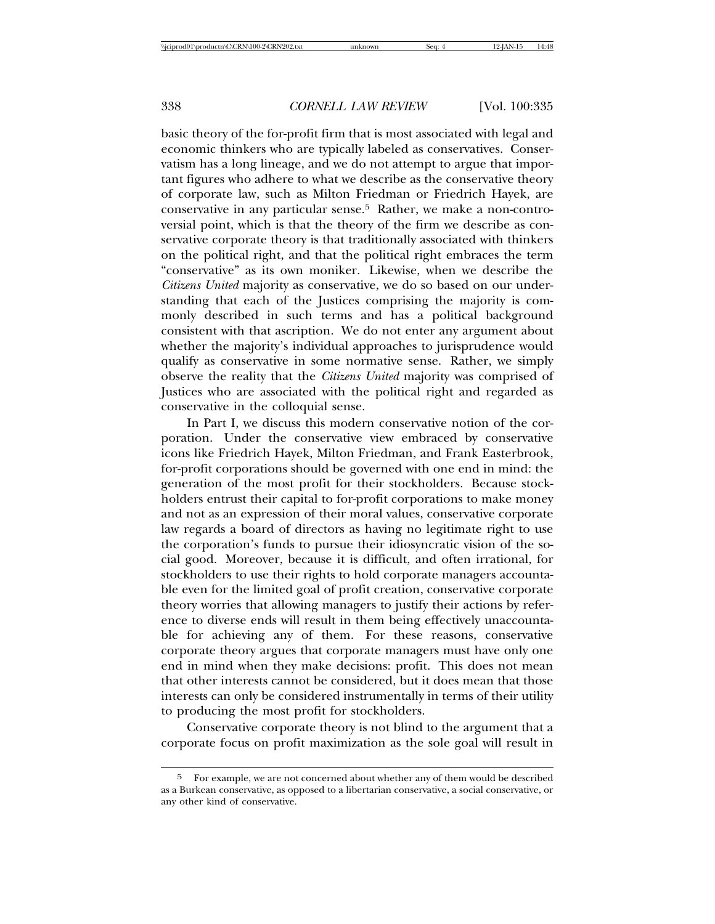basic theory of the for-profit firm that is most associated with legal and economic thinkers who are typically labeled as conservatives. Conservatism has a long lineage, and we do not attempt to argue that important figures who adhere to what we describe as the conservative theory of corporate law, such as Milton Friedman or Friedrich Hayek, are conservative in any particular sense.5 Rather, we make a non-controversial point, which is that the theory of the firm we describe as conservative corporate theory is that traditionally associated with thinkers on the political right, and that the political right embraces the term "conservative" as its own moniker. Likewise, when we describe the *Citizens United* majority as conservative, we do so based on our understanding that each of the Justices comprising the majority is commonly described in such terms and has a political background consistent with that ascription. We do not enter any argument about whether the majority's individual approaches to jurisprudence would qualify as conservative in some normative sense. Rather, we simply observe the reality that the *Citizens United* majority was comprised of Justices who are associated with the political right and regarded as conservative in the colloquial sense.

In Part I, we discuss this modern conservative notion of the corporation. Under the conservative view embraced by conservative icons like Friedrich Hayek, Milton Friedman, and Frank Easterbrook, for-profit corporations should be governed with one end in mind: the generation of the most profit for their stockholders. Because stockholders entrust their capital to for-profit corporations to make money and not as an expression of their moral values, conservative corporate law regards a board of directors as having no legitimate right to use the corporation's funds to pursue their idiosyncratic vision of the social good. Moreover, because it is difficult, and often irrational, for stockholders to use their rights to hold corporate managers accountable even for the limited goal of profit creation, conservative corporate theory worries that allowing managers to justify their actions by reference to diverse ends will result in them being effectively unaccountable for achieving any of them. For these reasons, conservative corporate theory argues that corporate managers must have only one end in mind when they make decisions: profit. This does not mean that other interests cannot be considered, but it does mean that those interests can only be considered instrumentally in terms of their utility to producing the most profit for stockholders.

Conservative corporate theory is not blind to the argument that a corporate focus on profit maximization as the sole goal will result in

<sup>5</sup> For example, we are not concerned about whether any of them would be described as a Burkean conservative, as opposed to a libertarian conservative, a social conservative, or any other kind of conservative.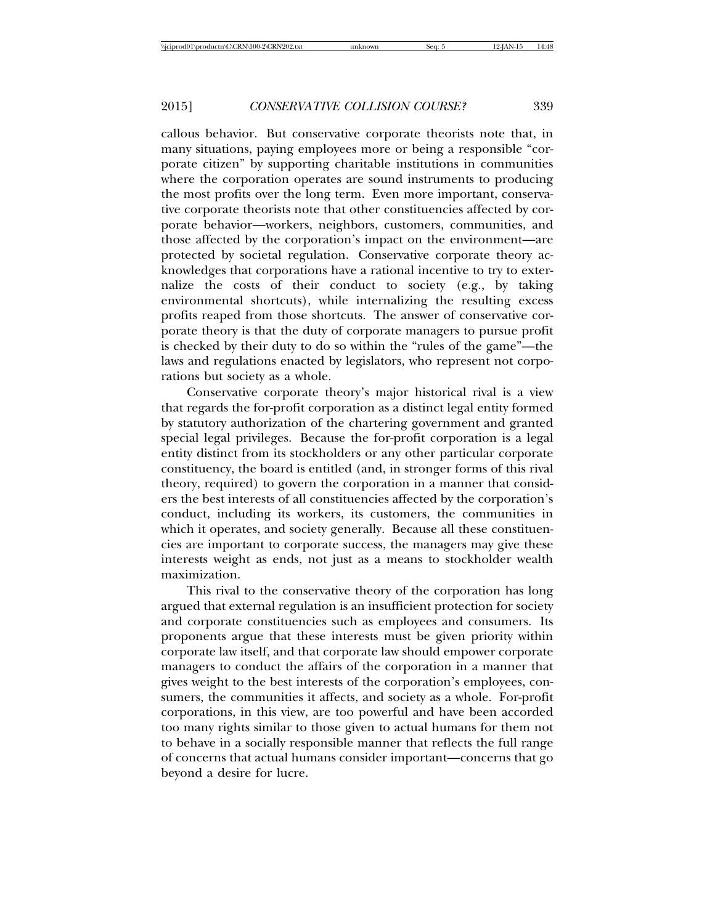callous behavior. But conservative corporate theorists note that, in many situations, paying employees more or being a responsible "corporate citizen" by supporting charitable institutions in communities where the corporation operates are sound instruments to producing the most profits over the long term. Even more important, conservative corporate theorists note that other constituencies affected by corporate behavior—workers, neighbors, customers, communities, and those affected by the corporation's impact on the environment—are protected by societal regulation. Conservative corporate theory acknowledges that corporations have a rational incentive to try to externalize the costs of their conduct to society (e.g., by taking environmental shortcuts), while internalizing the resulting excess profits reaped from those shortcuts. The answer of conservative corporate theory is that the duty of corporate managers to pursue profit is checked by their duty to do so within the "rules of the game"—the laws and regulations enacted by legislators, who represent not corporations but society as a whole.

Conservative corporate theory's major historical rival is a view that regards the for-profit corporation as a distinct legal entity formed by statutory authorization of the chartering government and granted special legal privileges. Because the for-profit corporation is a legal entity distinct from its stockholders or any other particular corporate constituency, the board is entitled (and, in stronger forms of this rival theory, required) to govern the corporation in a manner that considers the best interests of all constituencies affected by the corporation's conduct, including its workers, its customers, the communities in which it operates, and society generally. Because all these constituencies are important to corporate success, the managers may give these interests weight as ends, not just as a means to stockholder wealth maximization.

This rival to the conservative theory of the corporation has long argued that external regulation is an insufficient protection for society and corporate constituencies such as employees and consumers. Its proponents argue that these interests must be given priority within corporate law itself, and that corporate law should empower corporate managers to conduct the affairs of the corporation in a manner that gives weight to the best interests of the corporation's employees, consumers, the communities it affects, and society as a whole. For-profit corporations, in this view, are too powerful and have been accorded too many rights similar to those given to actual humans for them not to behave in a socially responsible manner that reflects the full range of concerns that actual humans consider important—concerns that go beyond a desire for lucre.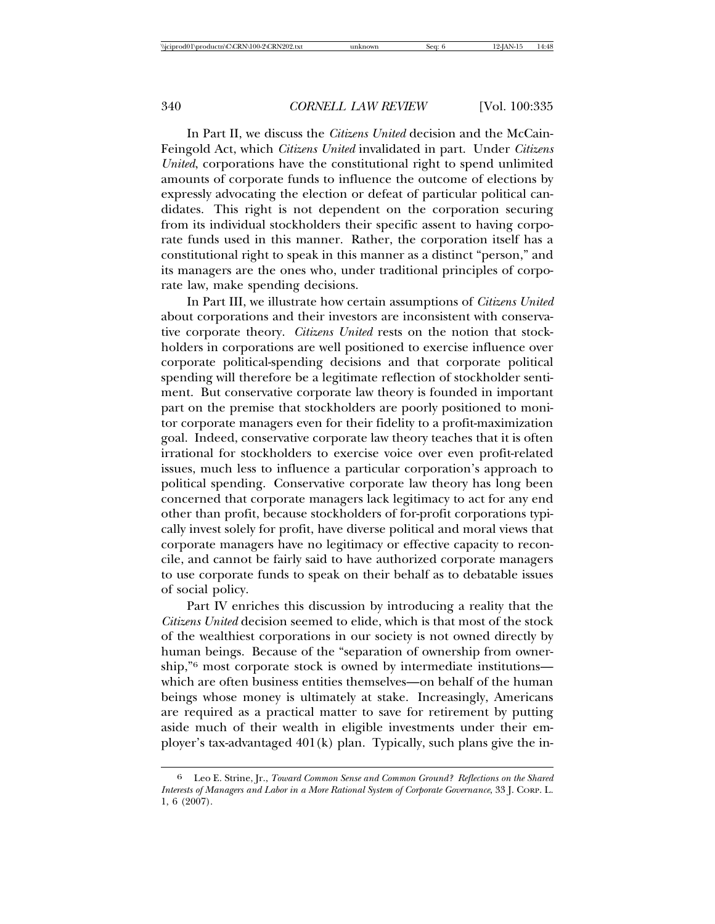In Part II, we discuss the *Citizens United* decision and the McCain-Feingold Act, which *Citizens United* invalidated in part. Under *Citizens United*, corporations have the constitutional right to spend unlimited amounts of corporate funds to influence the outcome of elections by expressly advocating the election or defeat of particular political candidates. This right is not dependent on the corporation securing from its individual stockholders their specific assent to having corporate funds used in this manner. Rather, the corporation itself has a constitutional right to speak in this manner as a distinct "person," and its managers are the ones who, under traditional principles of corporate law, make spending decisions.

In Part III, we illustrate how certain assumptions of *Citizens United* about corporations and their investors are inconsistent with conservative corporate theory. *Citizens United* rests on the notion that stockholders in corporations are well positioned to exercise influence over corporate political-spending decisions and that corporate political spending will therefore be a legitimate reflection of stockholder sentiment. But conservative corporate law theory is founded in important part on the premise that stockholders are poorly positioned to monitor corporate managers even for their fidelity to a profit-maximization goal. Indeed, conservative corporate law theory teaches that it is often irrational for stockholders to exercise voice over even profit-related issues, much less to influence a particular corporation's approach to political spending. Conservative corporate law theory has long been concerned that corporate managers lack legitimacy to act for any end other than profit, because stockholders of for-profit corporations typically invest solely for profit, have diverse political and moral views that corporate managers have no legitimacy or effective capacity to reconcile, and cannot be fairly said to have authorized corporate managers to use corporate funds to speak on their behalf as to debatable issues of social policy.

Part IV enriches this discussion by introducing a reality that the *Citizens United* decision seemed to elide, which is that most of the stock of the wealthiest corporations in our society is not owned directly by human beings. Because of the "separation of ownership from ownership,"6 most corporate stock is owned by intermediate institutions which are often business entities themselves—on behalf of the human beings whose money is ultimately at stake. Increasingly, Americans are required as a practical matter to save for retirement by putting aside much of their wealth in eligible investments under their employer's tax-advantaged 401(k) plan. Typically, such plans give the in-

<sup>6</sup> Leo E. Strine, Jr., *Toward Common Sense and Common Ground? Reflections on the Shared Interests of Managers and Labor in a More Rational System of Corporate Governance*, 33 J. CORP. L. 1, 6 (2007).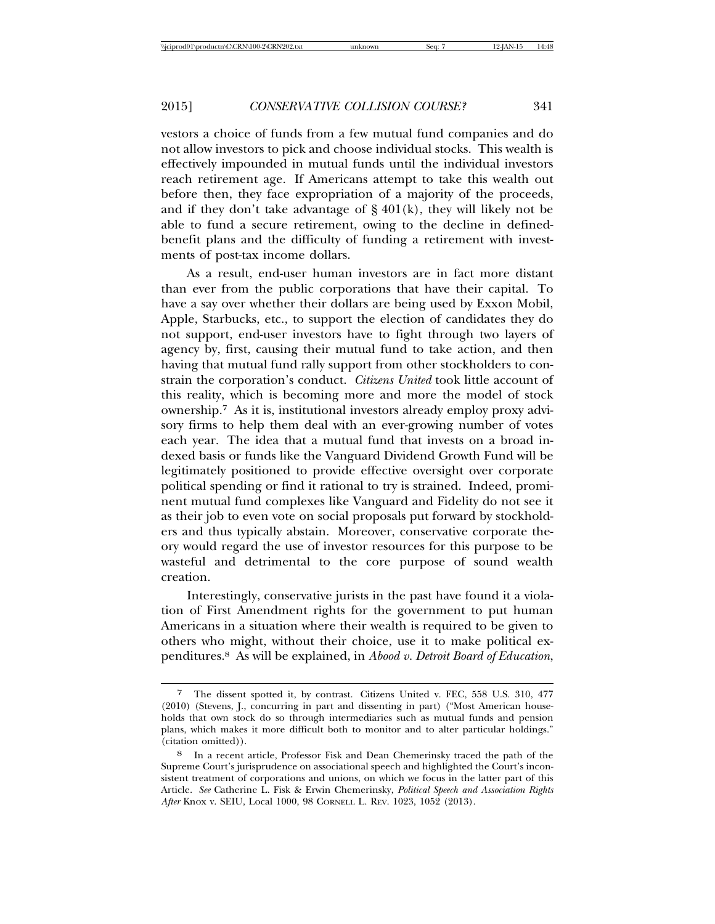vestors a choice of funds from a few mutual fund companies and do not allow investors to pick and choose individual stocks. This wealth is effectively impounded in mutual funds until the individual investors reach retirement age. If Americans attempt to take this wealth out before then, they face expropriation of a majority of the proceeds, and if they don't take advantage of  $\S 401(k)$ , they will likely not be able to fund a secure retirement, owing to the decline in definedbenefit plans and the difficulty of funding a retirement with investments of post-tax income dollars.

As a result, end-user human investors are in fact more distant than ever from the public corporations that have their capital. To have a say over whether their dollars are being used by Exxon Mobil, Apple, Starbucks, etc., to support the election of candidates they do not support, end-user investors have to fight through two layers of agency by, first, causing their mutual fund to take action, and then having that mutual fund rally support from other stockholders to constrain the corporation's conduct. *Citizens United* took little account of this reality, which is becoming more and more the model of stock ownership.7 As it is, institutional investors already employ proxy advisory firms to help them deal with an ever-growing number of votes each year. The idea that a mutual fund that invests on a broad indexed basis or funds like the Vanguard Dividend Growth Fund will be legitimately positioned to provide effective oversight over corporate political spending or find it rational to try is strained. Indeed, prominent mutual fund complexes like Vanguard and Fidelity do not see it as their job to even vote on social proposals put forward by stockholders and thus typically abstain. Moreover, conservative corporate theory would regard the use of investor resources for this purpose to be wasteful and detrimental to the core purpose of sound wealth creation.

Interestingly, conservative jurists in the past have found it a violation of First Amendment rights for the government to put human Americans in a situation where their wealth is required to be given to others who might, without their choice, use it to make political expenditures.8 As will be explained, in *Abood v. Detroit Board of Education*,

The dissent spotted it, by contrast. Citizens United v. FEC, 558 U.S. 310, 477 (2010) (Stevens, J., concurring in part and dissenting in part) ("Most American households that own stock do so through intermediaries such as mutual funds and pension plans, which makes it more difficult both to monitor and to alter particular holdings." (citation omitted)).

In a recent article, Professor Fisk and Dean Chemerinsky traced the path of the Supreme Court's jurisprudence on associational speech and highlighted the Court's inconsistent treatment of corporations and unions, on which we focus in the latter part of this Article. *See* Catherine L. Fisk & Erwin Chemerinsky, *Political Speech and Association Rights After* Knox v. SEIU, Local 1000, 98 CORNELL L. REV. 1023, 1052 (2013).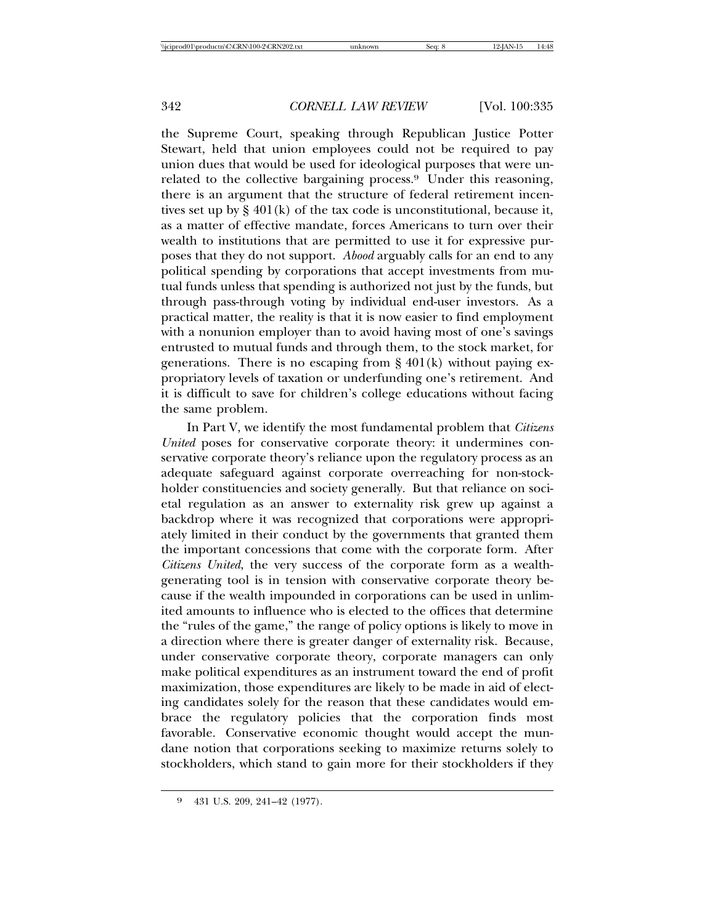the Supreme Court, speaking through Republican Justice Potter Stewart, held that union employees could not be required to pay union dues that would be used for ideological purposes that were unrelated to the collective bargaining process.9 Under this reasoning, there is an argument that the structure of federal retirement incentives set up by § 401(k) of the tax code is unconstitutional, because it, as a matter of effective mandate, forces Americans to turn over their wealth to institutions that are permitted to use it for expressive purposes that they do not support. *Abood* arguably calls for an end to any political spending by corporations that accept investments from mutual funds unless that spending is authorized not just by the funds, but through pass-through voting by individual end-user investors. As a practical matter, the reality is that it is now easier to find employment with a nonunion employer than to avoid having most of one's savings entrusted to mutual funds and through them, to the stock market, for generations. There is no escaping from  $\S 401(k)$  without paying expropriatory levels of taxation or underfunding one's retirement. And it is difficult to save for children's college educations without facing the same problem.

In Part V, we identify the most fundamental problem that *Citizens United* poses for conservative corporate theory: it undermines conservative corporate theory's reliance upon the regulatory process as an adequate safeguard against corporate overreaching for non-stockholder constituencies and society generally. But that reliance on societal regulation as an answer to externality risk grew up against a backdrop where it was recognized that corporations were appropriately limited in their conduct by the governments that granted them the important concessions that come with the corporate form. After *Citizens United*, the very success of the corporate form as a wealthgenerating tool is in tension with conservative corporate theory because if the wealth impounded in corporations can be used in unlimited amounts to influence who is elected to the offices that determine the "rules of the game," the range of policy options is likely to move in a direction where there is greater danger of externality risk. Because, under conservative corporate theory, corporate managers can only make political expenditures as an instrument toward the end of profit maximization, those expenditures are likely to be made in aid of electing candidates solely for the reason that these candidates would embrace the regulatory policies that the corporation finds most favorable. Conservative economic thought would accept the mundane notion that corporations seeking to maximize returns solely to stockholders, which stand to gain more for their stockholders if they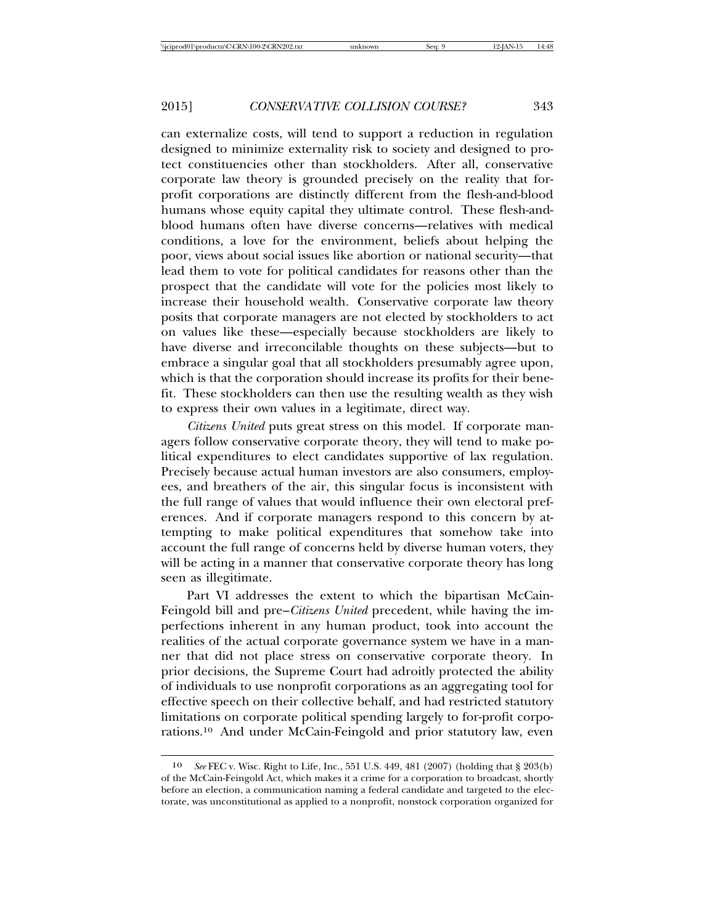can externalize costs, will tend to support a reduction in regulation designed to minimize externality risk to society and designed to protect constituencies other than stockholders. After all, conservative corporate law theory is grounded precisely on the reality that forprofit corporations are distinctly different from the flesh-and-blood humans whose equity capital they ultimate control. These flesh-andblood humans often have diverse concerns—relatives with medical conditions, a love for the environment, beliefs about helping the poor, views about social issues like abortion or national security—that lead them to vote for political candidates for reasons other than the prospect that the candidate will vote for the policies most likely to increase their household wealth. Conservative corporate law theory posits that corporate managers are not elected by stockholders to act on values like these—especially because stockholders are likely to have diverse and irreconcilable thoughts on these subjects—but to embrace a singular goal that all stockholders presumably agree upon, which is that the corporation should increase its profits for their benefit. These stockholders can then use the resulting wealth as they wish to express their own values in a legitimate, direct way.

*Citizens United* puts great stress on this model. If corporate managers follow conservative corporate theory, they will tend to make political expenditures to elect candidates supportive of lax regulation. Precisely because actual human investors are also consumers, employees, and breathers of the air, this singular focus is inconsistent with the full range of values that would influence their own electoral preferences. And if corporate managers respond to this concern by attempting to make political expenditures that somehow take into account the full range of concerns held by diverse human voters, they will be acting in a manner that conservative corporate theory has long seen as illegitimate.

Part VI addresses the extent to which the bipartisan McCain-Feingold bill and pre–*Citizens United* precedent, while having the imperfections inherent in any human product, took into account the realities of the actual corporate governance system we have in a manner that did not place stress on conservative corporate theory. In prior decisions, the Supreme Court had adroitly protected the ability of individuals to use nonprofit corporations as an aggregating tool for effective speech on their collective behalf, and had restricted statutory limitations on corporate political spending largely to for-profit corporations.10 And under McCain-Feingold and prior statutory law, even

<sup>10</sup> *See* FEC v. Wisc. Right to Life, Inc., 551 U.S. 449, 481 (2007) (holding that § 203(b) of the McCain-Feingold Act, which makes it a crime for a corporation to broadcast, shortly before an election, a communication naming a federal candidate and targeted to the electorate, was unconstitutional as applied to a nonprofit, nonstock corporation organized for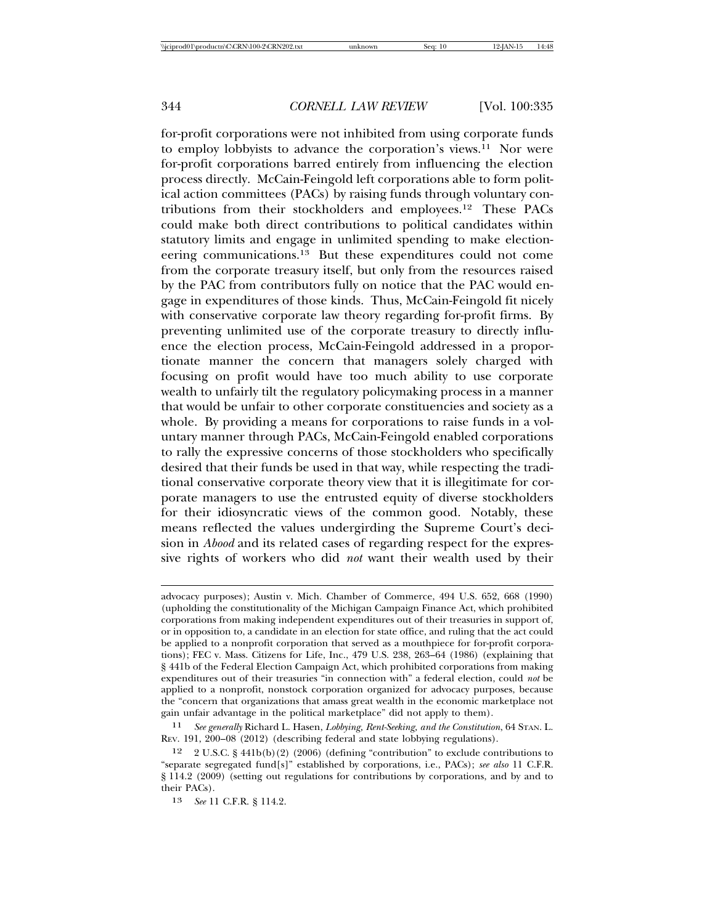for-profit corporations were not inhibited from using corporate funds to employ lobbyists to advance the corporation's views.11 Nor were for-profit corporations barred entirely from influencing the election process directly. McCain-Feingold left corporations able to form political action committees (PACs) by raising funds through voluntary contributions from their stockholders and employees.12 These PACs could make both direct contributions to political candidates within statutory limits and engage in unlimited spending to make electioneering communications.13 But these expenditures could not come from the corporate treasury itself, but only from the resources raised by the PAC from contributors fully on notice that the PAC would engage in expenditures of those kinds. Thus, McCain-Feingold fit nicely with conservative corporate law theory regarding for-profit firms. By preventing unlimited use of the corporate treasury to directly influence the election process, McCain-Feingold addressed in a proportionate manner the concern that managers solely charged with focusing on profit would have too much ability to use corporate wealth to unfairly tilt the regulatory policymaking process in a manner that would be unfair to other corporate constituencies and society as a whole. By providing a means for corporations to raise funds in a voluntary manner through PACs, McCain-Feingold enabled corporations to rally the expressive concerns of those stockholders who specifically desired that their funds be used in that way, while respecting the traditional conservative corporate theory view that it is illegitimate for corporate managers to use the entrusted equity of diverse stockholders for their idiosyncratic views of the common good. Notably, these means reflected the values undergirding the Supreme Court's decision in *Abood* and its related cases of regarding respect for the expressive rights of workers who did *not* want their wealth used by their

advocacy purposes); Austin v. Mich. Chamber of Commerce, 494 U.S. 652, 668 (1990) (upholding the constitutionality of the Michigan Campaign Finance Act, which prohibited corporations from making independent expenditures out of their treasuries in support of, or in opposition to, a candidate in an election for state office, and ruling that the act could be applied to a nonprofit corporation that served as a mouthpiece for for-profit corporations); FEC v. Mass. Citizens for Life, Inc., 479 U.S. 238, 263–64 (1986) (explaining that § 441b of the Federal Election Campaign Act, which prohibited corporations from making expenditures out of their treasuries "in connection with" a federal election, could *not* be applied to a nonprofit, nonstock corporation organized for advocacy purposes, because the "concern that organizations that amass great wealth in the economic marketplace not gain unfair advantage in the political marketplace" did not apply to them).

<sup>11</sup> *See generally* Richard L. Hasen, *Lobbying, Rent-Seeking, and the Constitution*, 64 STAN. L. REV. 191, 200–08 (2012) (describing federal and state lobbying regulations).

<sup>12</sup> 2 U.S.C. § 441b(b)(2) (2006) (defining "contribution" to exclude contributions to "separate segregated fund[s]" established by corporations, i.e., PACs); *see also* 11 C.F.R. § 114.2 (2009) (setting out regulations for contributions by corporations, and by and to their PACs).

<sup>13</sup> *See* 11 C.F.R. § 114.2.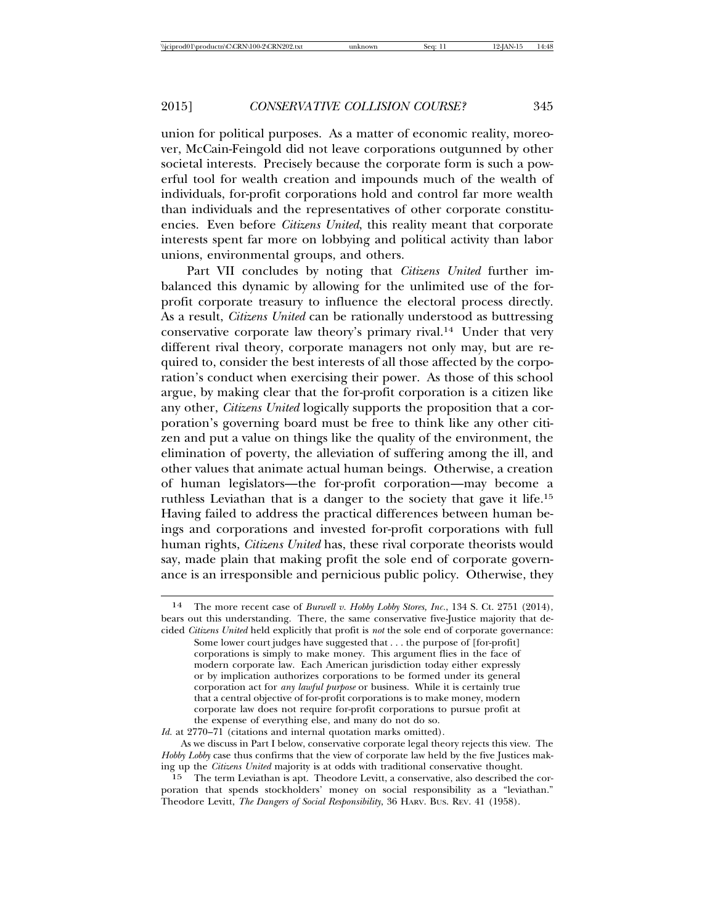union for political purposes. As a matter of economic reality, moreover, McCain-Feingold did not leave corporations outgunned by other societal interests. Precisely because the corporate form is such a powerful tool for wealth creation and impounds much of the wealth of individuals, for-profit corporations hold and control far more wealth than individuals and the representatives of other corporate constituencies. Even before *Citizens United*, this reality meant that corporate interests spent far more on lobbying and political activity than labor unions, environmental groups, and others.

Part VII concludes by noting that *Citizens United* further imbalanced this dynamic by allowing for the unlimited use of the forprofit corporate treasury to influence the electoral process directly. As a result, *Citizens United* can be rationally understood as buttressing conservative corporate law theory's primary rival.14 Under that very different rival theory, corporate managers not only may, but are required to, consider the best interests of all those affected by the corporation's conduct when exercising their power. As those of this school argue, by making clear that the for-profit corporation is a citizen like any other, *Citizens United* logically supports the proposition that a corporation's governing board must be free to think like any other citizen and put a value on things like the quality of the environment, the elimination of poverty, the alleviation of suffering among the ill, and other values that animate actual human beings. Otherwise, a creation of human legislators—the for-profit corporation—may become a ruthless Leviathan that is a danger to the society that gave it life.15 Having failed to address the practical differences between human beings and corporations and invested for-profit corporations with full human rights, *Citizens United* has, these rival corporate theorists would say, made plain that making profit the sole end of corporate governance is an irresponsible and pernicious public policy. Otherwise, they

*Id.* at 2770–71 (citations and internal quotation marks omitted).

As we discuss in Part I below, conservative corporate legal theory rejects this view. The *Hobby Lobby* case thus confirms that the view of corporate law held by the five Justices making up the *Citizens United* majority is at odds with traditional conservative thought.

 $15$  The term Leviathan is apt. Theodore Levitt, a conservative, also described the corporation that spends stockholders' money on social responsibility as a "leviathan." Theodore Levitt, *The Dangers of Social Responsibility*, 36 HARV. BUS. REV. 41 (1958).

<sup>14</sup> The more recent case of *Burwell v. Hobby Lobby Stores, Inc.*, 134 S. Ct. 2751 (2014), bears out this understanding. There, the same conservative five-Justice majority that decided *Citizens United* held explicitly that profit is *not* the sole end of corporate governance:

Some lower court judges have suggested that . . . the purpose of [for-profit] corporations is simply to make money. This argument flies in the face of modern corporate law. Each American jurisdiction today either expressly or by implication authorizes corporations to be formed under its general corporation act for *any lawful purpose* or business. While it is certainly true that a central objective of for-profit corporations is to make money, modern corporate law does not require for-profit corporations to pursue profit at the expense of everything else, and many do not do so.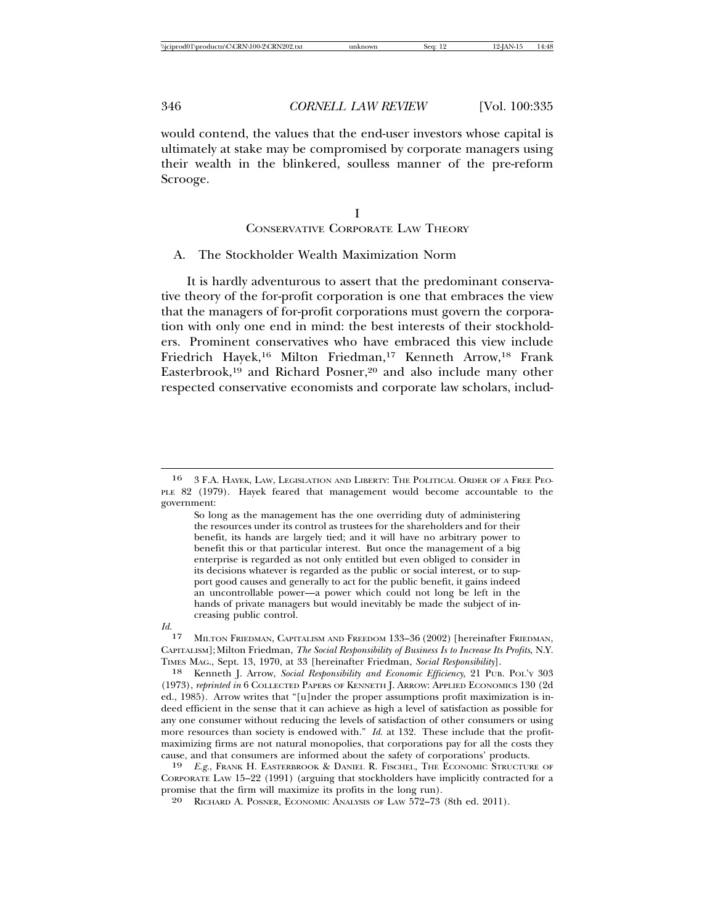would contend, the values that the end-user investors whose capital is ultimately at stake may be compromised by corporate managers using their wealth in the blinkered, soulless manner of the pre-reform Scrooge.

# I CONSERVATIVE CORPORATE LAW THEORY

### A. The Stockholder Wealth Maximization Norm

It is hardly adventurous to assert that the predominant conservative theory of the for-profit corporation is one that embraces the view that the managers of for-profit corporations must govern the corporation with only one end in mind: the best interests of their stockholders. Prominent conservatives who have embraced this view include Friedrich Hayek,<sup>16</sup> Milton Friedman,<sup>17</sup> Kenneth Arrow,<sup>18</sup> Frank Easterbrook,<sup>19</sup> and Richard Posner,<sup>20</sup> and also include many other respected conservative economists and corporate law scholars, includ-

<sup>16</sup> 3 F.A. HAYEK, LAW, LEGISLATION AND LIBERTY: THE POLITICAL ORDER OF A FREE PEO-PLE 82 (1979). Hayek feared that management would become accountable to the government:

So long as the management has the one overriding duty of administering the resources under its control as trustees for the shareholders and for their benefit, its hands are largely tied; and it will have no arbitrary power to benefit this or that particular interest. But once the management of a big enterprise is regarded as not only entitled but even obliged to consider in its decisions whatever is regarded as the public or social interest, or to support good causes and generally to act for the public benefit, it gains indeed an uncontrollable power—a power which could not long be left in the hands of private managers but would inevitably be made the subject of increasing public control.

 $Id.$ <sup>17</sup> MILTON FRIEDMAN, CAPITALISM AND FREEDOM 133-36 (2002) [hereinafter FRIEDMAN, CAPITALISM]; Milton Friedman, *The Social Responsibility of Business Is to Increase Its Profits*, N.Y. TIMES MAG., Sept. 13, 1970, at 33 [hereinafter Friedman, *Social Responsibility*].

<sup>18</sup> Kenneth J. Arrow, *Social Responsibility and Economic Efficiency*, 21 PUB. POL'Y 303 (1973), *reprinted in* 6 COLLECTED PAPERS OF KENNETH J. ARROW: APPLIED ECONOMICS 130 (2d ed., 1985). Arrow writes that "[u]nder the proper assumptions profit maximization is indeed efficient in the sense that it can achieve as high a level of satisfaction as possible for any one consumer without reducing the levels of satisfaction of other consumers or using more resources than society is endowed with." *Id.* at 132. These include that the profitmaximizing firms are not natural monopolies, that corporations pay for all the costs they cause, and that consumers are informed about the safety of corporations' products.

<sup>19</sup> *E.g.*, FRANK H. EASTERBROOK & DANIEL R. FISCHEL, THE ECONOMIC STRUCTURE OF CORPORATE LAW 15–22 (1991) (arguing that stockholders have implicitly contracted for a promise that the firm will maximize its profits in the long run).

<sup>20</sup> RICHARD A. POSNER, ECONOMIC ANALYSIS OF LAW 572–73 (8th ed. 2011).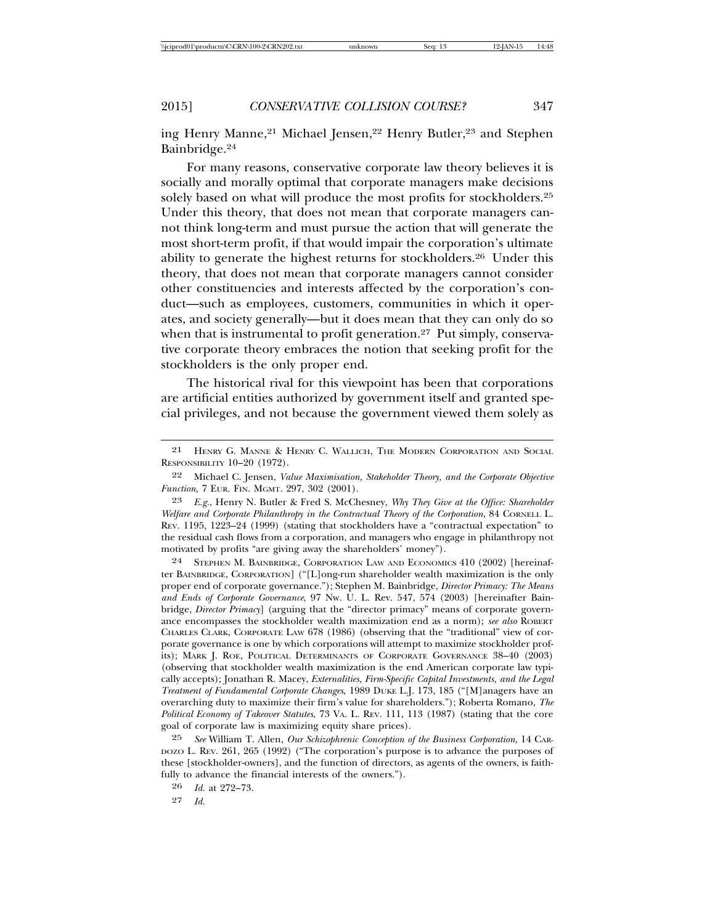ing Henry Manne,<sup>21</sup> Michael Jensen,<sup>22</sup> Henry Butler,<sup>23</sup> and Stephen Bainbridge.24

For many reasons, conservative corporate law theory believes it is socially and morally optimal that corporate managers make decisions solely based on what will produce the most profits for stockholders.25 Under this theory, that does not mean that corporate managers cannot think long-term and must pursue the action that will generate the most short-term profit, if that would impair the corporation's ultimate ability to generate the highest returns for stockholders.26 Under this theory, that does not mean that corporate managers cannot consider other constituencies and interests affected by the corporation's conduct—such as employees, customers, communities in which it operates, and society generally—but it does mean that they can only do so when that is instrumental to profit generation.<sup>27</sup> Put simply, conservative corporate theory embraces the notion that seeking profit for the stockholders is the only proper end.

The historical rival for this viewpoint has been that corporations are artificial entities authorized by government itself and granted special privileges, and not because the government viewed them solely as

24 STEPHEN M. BAINBRIDGE, CORPORATION LAW AND ECONOMICS 410 (2002) [hereinafter BAINBRIDGE, CORPORATION] ("[L]ong-run shareholder wealth maximization is the only proper end of corporate governance."); Stephen M. Bainbridge, *Director Primacy: The Means and Ends of Corporate Governance*, 97 Nw. U. L. Rev. 547, 574 (2003) [hereinafter Bainbridge, *Director Primacy*] (arguing that the "director primacy" means of corporate governance encompasses the stockholder wealth maximization end as a norm); see also ROBERT CHARLES CLARK, CORPORATE LAW 678 (1986) (observing that the "traditional" view of corporate governance is one by which corporations will attempt to maximize stockholder profits); MARK J. ROE, POLITICAL DETERMINANTS OF CORPORATE GOVERNANCE 38–40 (2003) (observing that stockholder wealth maximization is the end American corporate law typically accepts); Jonathan R. Macey, *Externalities, Firm-Specific Capital Investments, and the Legal Treatment of Fundamental Corporate Changes*, 1989 DUKE L.J. 173, 185 ("[M]anagers have an overarching duty to maximize their firm's value for shareholders."); Roberta Romano, *The Political Economy of Takeover Statutes*, 73 VA. L. REV. 111, 113 (1987) (stating that the core goal of corporate law is maximizing equity share prices).

25 *See* William T. Allen, *Our Schizophrenic Conception of the Business Corporation*, 14 CAR-DOZO L. REV. 261, 265 (1992) ("The corporation's purpose is to advance the purposes of these [stockholder-owners], and the function of directors, as agents of the owners, is faithfully to advance the financial interests of the owners.").

26 *Id.* at 272–73.

27 *Id.*

<sup>21</sup> HENRY G. MANNE & HENRY C. WALLICH, THE MODERN CORPORATION AND SOCIAL RESPONSIBILITY 10–20 (1972).

<sup>22</sup> Michael C. Jensen, *Value Maximisation, Stakeholder Theory, and the Corporate Objective Function*, 7 EUR. FIN. MGMT. 297, 302 (2001).

<sup>23</sup> *E.g.*, Henry N. Butler & Fred S. McChesney, *Why They Give at the Office: Shareholder Welfare and Corporate Philanthropy in the Contractual Theory of the Corporation*, 84 CORNELL L. REV. 1195, 1223–24 (1999) (stating that stockholders have a "contractual expectation" to the residual cash flows from a corporation, and managers who engage in philanthropy not motivated by profits "are giving away the shareholders' money").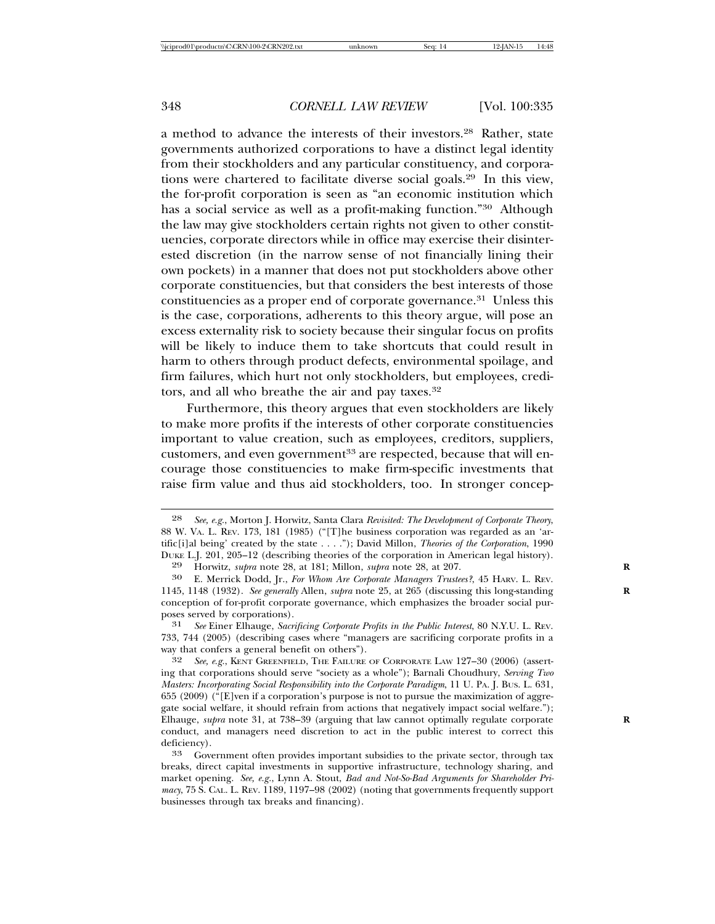a method to advance the interests of their investors.28 Rather, state governments authorized corporations to have a distinct legal identity from their stockholders and any particular constituency, and corporations were chartered to facilitate diverse social goals.29 In this view, the for-profit corporation is seen as "an economic institution which has a social service as well as a profit-making function."30 Although the law may give stockholders certain rights not given to other constituencies, corporate directors while in office may exercise their disinterested discretion (in the narrow sense of not financially lining their own pockets) in a manner that does not put stockholders above other corporate constituencies, but that considers the best interests of those constituencies as a proper end of corporate governance.31 Unless this is the case, corporations, adherents to this theory argue, will pose an excess externality risk to society because their singular focus on profits will be likely to induce them to take shortcuts that could result in harm to others through product defects, environmental spoilage, and firm failures, which hurt not only stockholders, but employees, creditors, and all who breathe the air and pay taxes.32

Furthermore, this theory argues that even stockholders are likely to make more profits if the interests of other corporate constituencies important to value creation, such as employees, creditors, suppliers, customers, and even government<sup>33</sup> are respected, because that will encourage those constituencies to make firm-specific investments that raise firm value and thus aid stockholders, too. In stronger concep-

<sup>28</sup> *See, e.g.*, Morton J. Horwitz, Santa Clara *Revisited: The Development of Corporate Theory*, 88 W. VA. L. REV. 173, 181 (1985) ("[T]he business corporation was regarded as an 'artific[i]al being' created by the state . . . ."); David Millon, *Theories of the Corporation*, 1990 DUKE L.J. 201, 205–12 (describing theories of the corporation in American legal history).<br><sup>29</sup> Horwitz, *subra* note 28, at 181: Millon, *subra* note 28, at 207.

<sup>29</sup> Horwitz, *supra* note 28, at 181; Millon, *supra* note 28, at 207.<br><sup>30</sup> E. Merrick Dodd Jr. For Whom Are Corporate Managers Truste

<sup>30</sup> E. Merrick Dodd, Jr., *For Whom Are Corporate Managers Trustees?*, 45 HARV. L. REV. 1145, 1148 (1932). *See generally* Allen, *supra* note 25, at 265 (discussing this long-standing **R** conception of for-profit corporate governance, which emphasizes the broader social purposes served by corporations).

<sup>31</sup> *See* Einer Elhauge, *Sacrificing Corporate Profits in the Public Interest*, 80 N.Y.U. L. REV. 733, 744 (2005) (describing cases where "managers are sacrificing corporate profits in a way that confers a general benefit on others").

<sup>32</sup> *See, e.g.*, KENT GREENFIELD, THE FAILURE OF CORPORATE LAW 127–30 (2006) (asserting that corporations should serve "society as a whole"); Barnali Choudhury, *Serving Two Masters: Incorporating Social Responsibility into the Corporate Paradigm*, 11 U. PA. J. BUS. L. 631, 655 (2009) ("[E]ven if a corporation's purpose is not to pursue the maximization of aggregate social welfare, it should refrain from actions that negatively impact social welfare."); Elhauge, *supra* note 31, at 738–39 (arguing that law cannot optimally regulate corporate **R** conduct, and managers need discretion to act in the public interest to correct this deficiency).<br><sup>33</sup> Government often provides important subsidies to the private sector, through tax

breaks, direct capital investments in supportive infrastructure, technology sharing, and market opening. *See, e.g.*, Lynn A. Stout, *Bad and Not-So-Bad Arguments for Shareholder Primacy*, 75 S. CAL. L. REV. 1189, 1197–98 (2002) (noting that governments frequently support businesses through tax breaks and financing).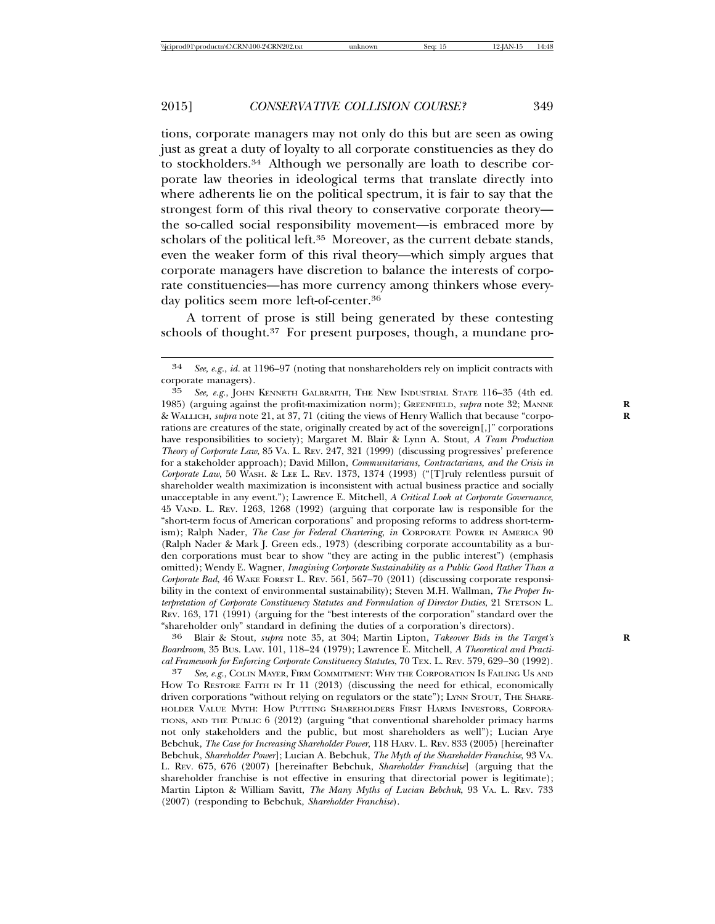tions, corporate managers may not only do this but are seen as owing just as great a duty of loyalty to all corporate constituencies as they do to stockholders.34 Although we personally are loath to describe corporate law theories in ideological terms that translate directly into where adherents lie on the political spectrum, it is fair to say that the strongest form of this rival theory to conservative corporate theory the so-called social responsibility movement—is embraced more by scholars of the political left.<sup>35</sup> Moreover, as the current debate stands, even the weaker form of this rival theory—which simply argues that corporate managers have discretion to balance the interests of corporate constituencies—has more currency among thinkers whose everyday politics seem more left-of-center.36

A torrent of prose is still being generated by these contesting schools of thought.37 For present purposes, though, a mundane pro-

*Boardroom*, 35 BUS. LAW. 101, 118–24 (1979); Lawrence E. Mitchell, *A Theoretical and Practical Framework for Enforcing Corporate Constituency Statutes*, 70 TEX. L. REV. 579, 629–30 (1992).

<sup>34</sup> *See, e.g.*, *id.* at 1196–97 (noting that nonshareholders rely on implicit contracts with corporate managers).

<sup>35</sup> *See, e.g.*, JOHN KENNETH GALBRAITH, THE NEW INDUSTRIAL STATE 116–35 (4th ed. 1985) (arguing against the profit-maximization norm); GREENFIELD, *supra* note 32; MANNE **R** & WALLICH, *supra* note 21, at 37, 71 (citing the views of Henry Wallich that because "corporations are creatures of the state, originally created by act of the sovereign[,]" corporations have responsibilities to society); Margaret M. Blair & Lynn A. Stout, *A Team Production Theory of Corporate Law*, 85 VA. L. REV. 247, 321 (1999) (discussing progressives' preference for a stakeholder approach); David Millon, *Communitarians, Contractarians, and the Crisis in Corporate Law*, 50 WASH. & LEE L. REV. 1373, 1374 (1993) ("[T]ruly relentless pursuit of shareholder wealth maximization is inconsistent with actual business practice and socially unacceptable in any event."); Lawrence E. Mitchell, *A Critical Look at Corporate Governance*, 45 VAND. L. REV. 1263, 1268 (1992) (arguing that corporate law is responsible for the "short-term focus of American corporations" and proposing reforms to address short-termism); Ralph Nader, *The Case for Federal Chartering*, *in* CORPORATE POWER IN AMERICA 90 (Ralph Nader & Mark J. Green eds., 1973) (describing corporate accountability as a burden corporations must bear to show "they are acting in the public interest") (emphasis omitted); Wendy E. Wagner, *Imagining Corporate Sustainability as a Public Good Rather Than a Corporate Bad*, 46 WAKE FOREST L. REV. 561, 567–70 (2011) (discussing corporate responsibility in the context of environmental sustainability); Steven M.H. Wallman, *The Proper Interpretation of Corporate Constituency Statutes and Formulation of Director Duties*, 21 STETSON L. REV. 163, 171 (1991) (arguing for the "best interests of the corporation" standard over the "shareholder only" standard in defining the duties of a corporation's directors). <sup>36</sup> Blair & Stout, *supra* note 35, at 304; Martin Lipton, *Takeover Bids in the Target's* **<sup>R</sup>**

<sup>37</sup> *See, e.g.*, COLIN MAYER, FIRM COMMITMENT: WHY THE CORPORATION IS FAILING US AND HOW TO RESTORE FAITH IN IT 11 (2013) (discussing the need for ethical, economically driven corporations "without relying on regulators or the state"); LYNN STOUT, THE SHARE-HOLDER VALUE MYTH: HOW PUTTING SHAREHOLDERS FIRST HARMS INVESTORS, CORPORA-TIONS, AND THE PUBLIC 6 (2012) (arguing "that conventional shareholder primacy harms not only stakeholders and the public, but most shareholders as well"); Lucian Arye Bebchuk, *The Case for Increasing Shareholder Power*, 118 HARV. L. REV. 833 (2005) [hereinafter Bebchuk, *Shareholder Power*]; Lucian A. Bebchuk, *The Myth of the Shareholder Franchise*, 93 VA. L. REV. 675, 676 (2007) [hereinafter Bebchuk, *Shareholder Franchise*] (arguing that the shareholder franchise is not effective in ensuring that directorial power is legitimate); Martin Lipton & William Savitt, *The Many Myths of Lucian Bebchuk*, 93 VA. L. REV. 733 (2007) (responding to Bebchuk, *Shareholder Franchise*).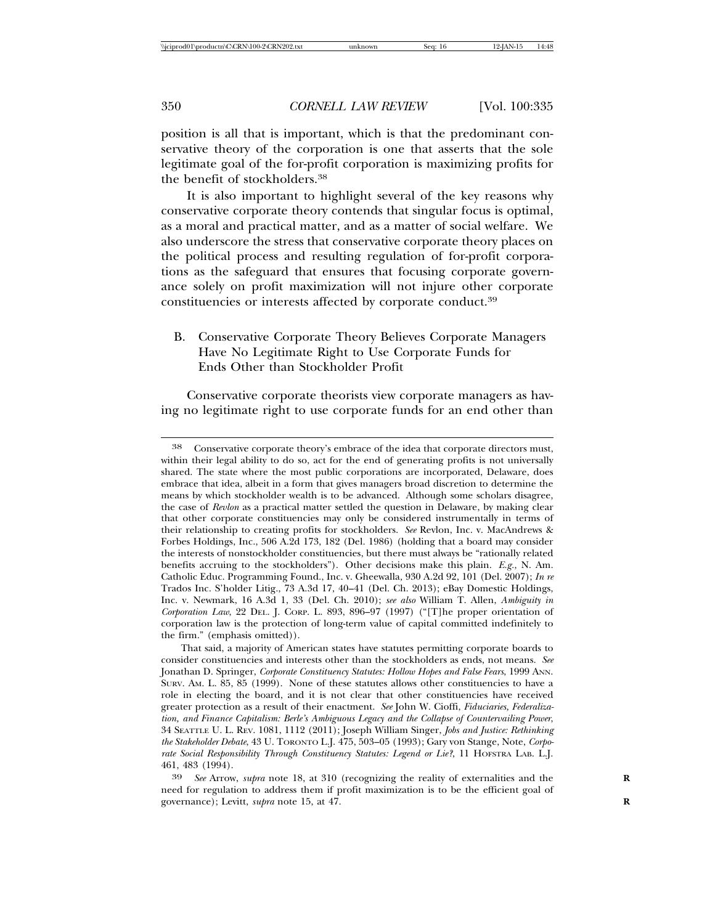position is all that is important, which is that the predominant conservative theory of the corporation is one that asserts that the sole legitimate goal of the for-profit corporation is maximizing profits for the benefit of stockholders.38

It is also important to highlight several of the key reasons why conservative corporate theory contends that singular focus is optimal, as a moral and practical matter, and as a matter of social welfare. We also underscore the stress that conservative corporate theory places on the political process and resulting regulation of for-profit corporations as the safeguard that ensures that focusing corporate governance solely on profit maximization will not injure other corporate constituencies or interests affected by corporate conduct.39

# B. Conservative Corporate Theory Believes Corporate Managers Have No Legitimate Right to Use Corporate Funds for Ends Other than Stockholder Profit

Conservative corporate theorists view corporate managers as having no legitimate right to use corporate funds for an end other than

<sup>38</sup> Conservative corporate theory's embrace of the idea that corporate directors must, within their legal ability to do so, act for the end of generating profits is not universally shared. The state where the most public corporations are incorporated, Delaware, does embrace that idea, albeit in a form that gives managers broad discretion to determine the means by which stockholder wealth is to be advanced. Although some scholars disagree, the case of *Revlon* as a practical matter settled the question in Delaware, by making clear that other corporate constituencies may only be considered instrumentally in terms of their relationship to creating profits for stockholders. *See* Revlon, Inc. v. MacAndrews & Forbes Holdings, Inc., 506 A.2d 173, 182 (Del. 1986) (holding that a board may consider the interests of nonstockholder constituencies, but there must always be "rationally related benefits accruing to the stockholders"). Other decisions make this plain. *E.g.*, N. Am. Catholic Educ. Programming Found., Inc. v. Gheewalla*,* 930 A.2d 92, 101 (Del. 2007); *In re* Trados Inc. S'holder Litig., 73 A.3d 17, 40–41 (Del. Ch. 2013); eBay Domestic Holdings, Inc. v. Newmark, 16 A.3d 1, 33 (Del. Ch. 2010); *see also* William T. Allen, *Ambiguity in Corporation Law*, 22 DEL. J. CORP. L. 893, 896–97 (1997) ("[T]he proper orientation of corporation law is the protection of long-term value of capital committed indefinitely to the firm." (emphasis omitted)).

That said, a majority of American states have statutes permitting corporate boards to consider constituencies and interests other than the stockholders as ends, not means. *See* Jonathan D. Springer, *Corporate Constituency Statutes: Hollow Hopes and False Fears*, 1999 ANN. SURV. AM. L. 85, 85 (1999). None of these statutes allows other constituencies to have a role in electing the board, and it is not clear that other constituencies have received greater protection as a result of their enactment. *See* John W. Cioffi, *Fiduciaries, Federalization, and Finance Capitalism: Berle's Ambiguous Legacy and the Collapse of Countervailing Power*, 34 SEATTLE U. L. REV. 1081, 1112 (2011); Joseph William Singer, *Jobs and Justice: Rethinking the Stakeholder Debate*, 43 U. TORONTO L.J. 475, 503–05 (1993); Gary von Stange, Note, *Corporate Social Responsibility Through Constituency Statutes: Legend or Lie?*, 11 HOFSTRA LAB. L.J. 461, 483 (1994).

<sup>39</sup> *See* Arrow, *supra* note 18, at 310 (recognizing the reality of externalities and the **R** need for regulation to address them if profit maximization is to be the efficient goal of governance); Levitt, *supra* note 15, at 47. **R**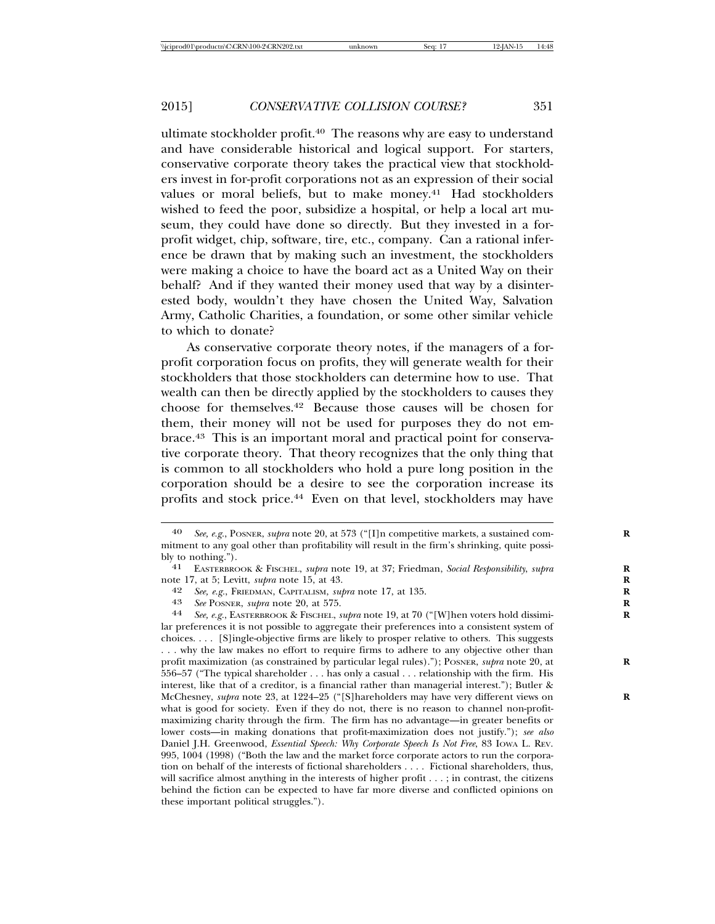ultimate stockholder profit.<sup>40</sup> The reasons why are easy to understand and have considerable historical and logical support. For starters, conservative corporate theory takes the practical view that stockholders invest in for-profit corporations not as an expression of their social values or moral beliefs, but to make money.<sup>41</sup> Had stockholders wished to feed the poor, subsidize a hospital, or help a local art museum, they could have done so directly. But they invested in a forprofit widget, chip, software, tire, etc., company. Can a rational inference be drawn that by making such an investment, the stockholders were making a choice to have the board act as a United Way on their behalf? And if they wanted their money used that way by a disinterested body, wouldn't they have chosen the United Way, Salvation Army, Catholic Charities, a foundation, or some other similar vehicle to which to donate?

As conservative corporate theory notes, if the managers of a forprofit corporation focus on profits, they will generate wealth for their stockholders that those stockholders can determine how to use. That wealth can then be directly applied by the stockholders to causes they choose for themselves.42 Because those causes will be chosen for them, their money will not be used for purposes they do not embrace.43 This is an important moral and practical point for conservative corporate theory. That theory recognizes that the only thing that is common to all stockholders who hold a pure long position in the corporation should be a desire to see the corporation increase its profits and stock price.44 Even on that level, stockholders may have

<sup>40</sup> *See, e.g.*, POSNER, *supra* note 20, at 573 ("[I]n competitive markets, a sustained com- **R** mitment to any goal other than profitability will result in the firm's shrinking, quite possibly to nothing."). <sup>41</sup> EASTERBROOK & FISCHEL, *supra* note 19, at 37; Friedman, *Social Responsibility*, *supra* **<sup>R</sup>**

note 17, at 5; Levitt, *supra* note 15, at 43. **R**

<sup>42</sup> *See, e.g.*, FRIEDMAN, CAPITALISM, *supra* note 17, at 135. **R**

See POSNER, *supra* note 20, at 575.

<sup>44</sup> *See, e.g.*, EASTERBROOK & FISCHEL, *supra* note 19, at 70 ("[W]hen voters hold dissimi- **R** lar preferences it is not possible to aggregate their preferences into a consistent system of choices. . . . [S]ingle-objective firms are likely to prosper relative to others. This suggests . . . why the law makes no effort to require firms to adhere to any objective other than profit maximization (as constrained by particular legal rules)."); POSNER, *supra* note 20, at 556–57 ("The typical shareholder . . . has only a casual . . . relationship with the firm. His interest, like that of a creditor, is a financial rather than managerial interest."); Butler & McChesney, *supra* note 23, at 1224–25 ("[S]hareholders may have very different views on what is good for society. Even if they do not, there is no reason to channel non-profitmaximizing charity through the firm. The firm has no advantage—in greater benefits or lower costs—in making donations that profit-maximization does not justify."); *see also* Daniel J.H. Greenwood, *Essential Speech: Why Corporate Speech Is Not Free*, 83 IOWA L. REV. 995, 1004 (1998) ("Both the law and the market force corporate actors to run the corporation on behalf of the interests of fictional shareholders . . . . Fictional shareholders, thus, will sacrifice almost anything in the interests of higher profit . . . ; in contrast, the citizens behind the fiction can be expected to have far more diverse and conflicted opinions on these important political struggles.").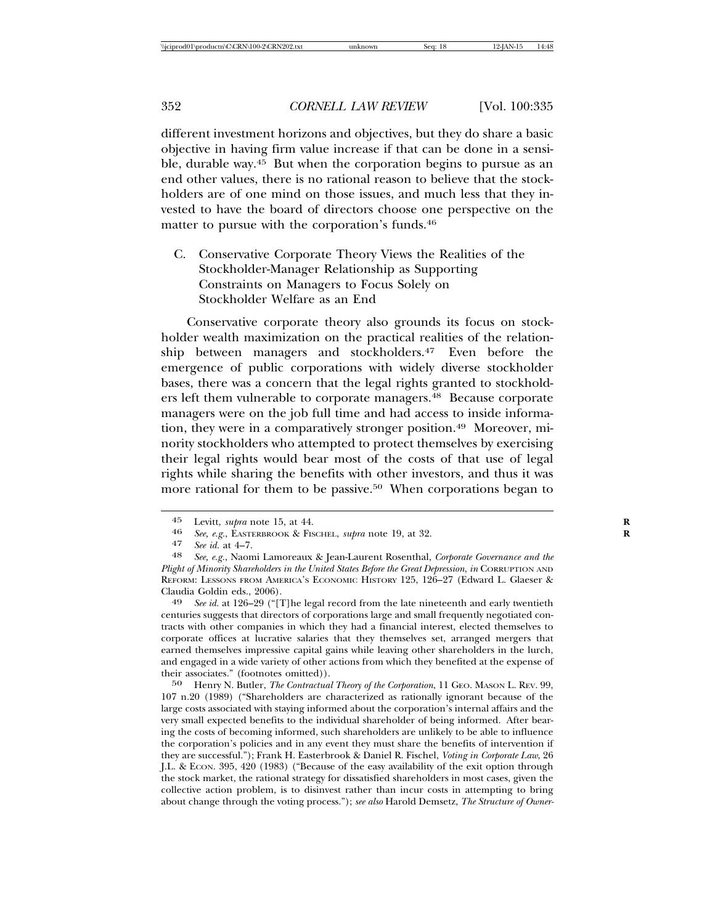different investment horizons and objectives, but they do share a basic objective in having firm value increase if that can be done in a sensible, durable way.45 But when the corporation begins to pursue as an end other values, there is no rational reason to believe that the stockholders are of one mind on those issues, and much less that they invested to have the board of directors choose one perspective on the matter to pursue with the corporation's funds.<sup>46</sup>

C. Conservative Corporate Theory Views the Realities of the Stockholder-Manager Relationship as Supporting Constraints on Managers to Focus Solely on Stockholder Welfare as an End

Conservative corporate theory also grounds its focus on stockholder wealth maximization on the practical realities of the relationship between managers and stockholders.47 Even before the emergence of public corporations with widely diverse stockholder bases, there was a concern that the legal rights granted to stockholders left them vulnerable to corporate managers.48 Because corporate managers were on the job full time and had access to inside information, they were in a comparatively stronger position.<sup>49</sup> Moreover, minority stockholders who attempted to protect themselves by exercising their legal rights would bear most of the costs of that use of legal rights while sharing the benefits with other investors, and thus it was more rational for them to be passive.50 When corporations began to

centuries suggests that directors of corporations large and small frequently negotiated contracts with other companies in which they had a financial interest, elected themselves to corporate offices at lucrative salaries that they themselves set, arranged mergers that earned themselves impressive capital gains while leaving other shareholders in the lurch, and engaged in a wide variety of other actions from which they benefited at the expense of their associates." (footnotes omitted)).

50 Henry N. Butler, *The Contractual Theory of the Corporation*, 11 GEO. MASON L. REV. 99, 107 n.20 (1989) ("Shareholders are characterized as rationally ignorant because of the large costs associated with staying informed about the corporation's internal affairs and the very small expected benefits to the individual shareholder of being informed. After bearing the costs of becoming informed, such shareholders are unlikely to be able to influence the corporation's policies and in any event they must share the benefits of intervention if they are successful."); Frank H. Easterbrook & Daniel R. Fischel, *Voting in Corporate Law*, 26 J.L. & ECON. 395, 420 (1983) ("Because of the easy availability of the exit option through the stock market, the rational strategy for dissatisfied shareholders in most cases, given the collective action problem, is to disinvest rather than incur costs in attempting to bring about change through the voting process."); *see also* Harold Demsetz, *The Structure of Owner-*

<sup>45</sup> Levitt, *supra* note 15, at 44. **R**

<sup>46</sup> *See, e.g.*, EASTERBROOK & FISCHEL, *supra* note 19, at 32. **R**

<sup>47</sup> *See id.* at 4–7. <sup>48</sup> *See, e.g.*, Naomi Lamoreaux & Jean-Laurent Rosenthal, *Corporate Governance and the Plight of Minority Shareholders in the United States Before the Great Depression*, *in* CORRUPTION AND REFORM: LESSONS FROM AMERICA'S ECONOMIC HISTORY 125, 126–27 (Edward L. Glaeser & Claudia Goldin eds., 2006). <sup>49</sup> *See id.* at 126–29 ("[T]he legal record from the late nineteenth and early twentieth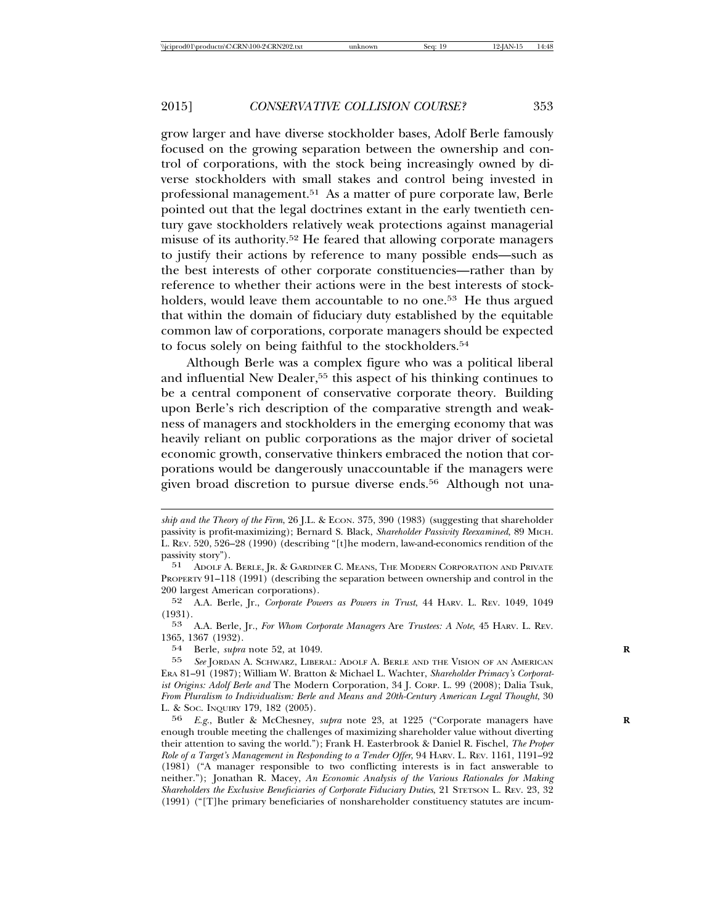grow larger and have diverse stockholder bases, Adolf Berle famously focused on the growing separation between the ownership and control of corporations, with the stock being increasingly owned by diverse stockholders with small stakes and control being invested in professional management.51 As a matter of pure corporate law, Berle pointed out that the legal doctrines extant in the early twentieth century gave stockholders relatively weak protections against managerial misuse of its authority.52 He feared that allowing corporate managers to justify their actions by reference to many possible ends—such as the best interests of other corporate constituencies—rather than by reference to whether their actions were in the best interests of stockholders, would leave them accountable to no one.<sup>53</sup> He thus argued that within the domain of fiduciary duty established by the equitable common law of corporations, corporate managers should be expected to focus solely on being faithful to the stockholders.54

Although Berle was a complex figure who was a political liberal and influential New Dealer,<sup>55</sup> this aspect of his thinking continues to be a central component of conservative corporate theory. Building upon Berle's rich description of the comparative strength and weakness of managers and stockholders in the emerging economy that was heavily reliant on public corporations as the major driver of societal economic growth, conservative thinkers embraced the notion that corporations would be dangerously unaccountable if the managers were given broad discretion to pursue diverse ends.<sup>56</sup> Although not una-

54 Berle, *supra* note 52, at 1049.<br>55 See JORDAN A SCHWARZ LIBER

*ship and the Theory of the Firm*, 26 J.L. & ECON. 375, 390 (1983) (suggesting that shareholder passivity is profit-maximizing); Bernard S. Black, *Shareholder Passivity Reexamined*, 89 MICH. L. REV. 520, 526–28 (1990) (describing "[t]he modern, law-and-economics rendition of the passivity story").<br> $51$  ADOLE A

ADOLF A. BERLE, JR. & GARDINER C. MEANS, THE MODERN CORPORATION AND PRIVATE PROPERTY 91–118 (1991) (describing the separation between ownership and control in the 200 largest American corporations).

<sup>52</sup> A.A. Berle, Jr., *Corporate Powers as Powers in Trust*, 44 HARV. L. REV. 1049, 1049 (1931).

<sup>53</sup> A.A. Berle, Jr., *For Whom Corporate Managers* Are *Trustees: A Note*, 45 HARV. L. REV. 1365, 1367 (1932).

See JORDAN A. SCHWARZ, LIBERAL: ADOLF A. BERLE AND THE VISION OF AN AMERICAN ERA 81–91 (1987); William W. Bratton & Michael L. Wachter, *Shareholder Primacy's Corporatist Origins: Adolf Berle and* The Modern Corporation, 34 J. CORP. L. 99 (2008); Dalia Tsuk, *From Pluralism to Individualism: Berle and Means and 20th-Century American Legal Thought*, 30 L. & SOC. INQUIRY 179, 182 (2005).

<sup>56</sup> *E.g.*, Butler & McChesney, *supra* note 23, at 1225 ("Corporate managers have **R** enough trouble meeting the challenges of maximizing shareholder value without diverting their attention to saving the world."); Frank H. Easterbrook & Daniel R. Fischel, *The Proper Role of a Target's Management in Responding to a Tender Offer*, 94 HARV. L. REV. 1161, 1191–92 (1981) ("A manager responsible to two conflicting interests is in fact answerable to neither."); Jonathan R. Macey, *An Economic Analysis of the Various Rationales for Making Shareholders the Exclusive Beneficiaries of Corporate Fiduciary Duties*, 21 STETSON L. REV. 23, 32 (1991) ("[T]he primary beneficiaries of nonshareholder constituency statutes are incum-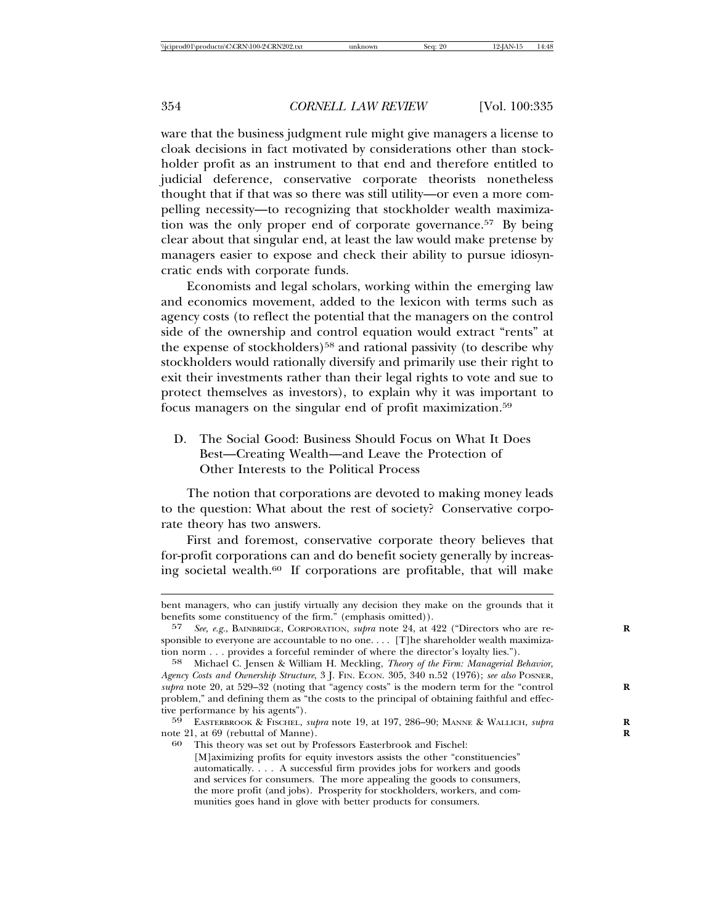ware that the business judgment rule might give managers a license to cloak decisions in fact motivated by considerations other than stockholder profit as an instrument to that end and therefore entitled to judicial deference, conservative corporate theorists nonetheless thought that if that was so there was still utility—or even a more compelling necessity—to recognizing that stockholder wealth maximization was the only proper end of corporate governance.57 By being clear about that singular end, at least the law would make pretense by managers easier to expose and check their ability to pursue idiosyncratic ends with corporate funds.

Economists and legal scholars, working within the emerging law and economics movement, added to the lexicon with terms such as agency costs (to reflect the potential that the managers on the control side of the ownership and control equation would extract "rents" at the expense of stockholders)58 and rational passivity (to describe why stockholders would rationally diversify and primarily use their right to exit their investments rather than their legal rights to vote and sue to protect themselves as investors), to explain why it was important to focus managers on the singular end of profit maximization.59

D. The Social Good: Business Should Focus on What It Does Best—Creating Wealth—and Leave the Protection of Other Interests to the Political Process

The notion that corporations are devoted to making money leads to the question: What about the rest of society? Conservative corporate theory has two answers.

First and foremost, conservative corporate theory believes that for-profit corporations can and do benefit society generally by increasing societal wealth.60 If corporations are profitable, that will make

bent managers, who can justify virtually any decision they make on the grounds that it benefits some constituency of the firm." (emphasis omitted)).

<sup>57</sup> *See, e.g.*, BAINBRIDGE, CORPORATION, *supra* note 24, at 422 ("Directors who are re- **R** sponsible to everyone are accountable to no one.... [T]he shareholder wealth maximization norm . . . provides a forceful reminder of where the director's loyalty lies.").

<sup>58</sup> Michael C. Jensen & William H. Meckling, *Theory of the Firm: Managerial Behavior, Agency Costs and Ownership Structure*, 3 J. FIN. ECON. 305, 340 n.52 (1976); *see also* POSNER, supra note 20, at 529–32 (noting that "agency costs" is the modern term for the "control" problem," and defining them as "the costs to the principal of obtaining faithful and effective performance by his agents").

<sup>59</sup> EASTERBROOK & FISCHEL, *supra* note 19, at 197, 286–90; MANNE & WALLICH, *supra* **R** note 21, at 69 (rebuttal of Manne).

<sup>60</sup> This theory was set out by Professors Easterbrook and Fischel: [M]aximizing profits for equity investors assists the other "constituencies" automatically. . . . A successful firm provides jobs for workers and goods and services for consumers. The more appealing the goods to consumers, the more profit (and jobs). Prosperity for stockholders, workers, and communities goes hand in glove with better products for consumers.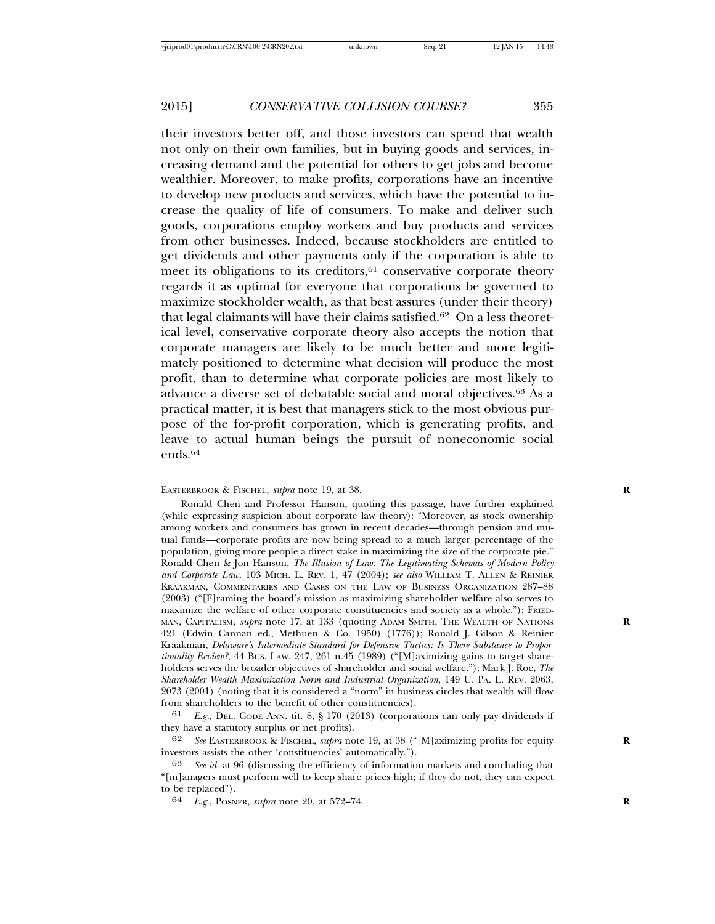their investors better off, and those investors can spend that wealth not only on their own families, but in buying goods and services, increasing demand and the potential for others to get jobs and become wealthier. Moreover, to make profits, corporations have an incentive to develop new products and services, which have the potential to increase the quality of life of consumers. To make and deliver such goods, corporations employ workers and buy products and services from other businesses. Indeed, because stockholders are entitled to get dividends and other payments only if the corporation is able to meet its obligations to its creditors, $61$  conservative corporate theory regards it as optimal for everyone that corporations be governed to maximize stockholder wealth, as that best assures (under their theory) that legal claimants will have their claims satisfied.62 On a less theoretical level, conservative corporate theory also accepts the notion that corporate managers are likely to be much better and more legitimately positioned to determine what decision will produce the most profit, than to determine what corporate policies are most likely to advance a diverse set of debatable social and moral objectives.63 As a practical matter, it is best that managers stick to the most obvious purpose of the for-profit corporation, which is generating profits, and leave to actual human beings the pursuit of noneconomic social ends.64

61 *E.g.*, DEL. CODE ANN. tit. 8, § 170 (2013) (corporations can only pay dividends if they have a statutory surplus or net profits).

62 *See* EASTERBROOK & FISCHEL, *supra* note 19, at 38 ("[M]aximizing profits for equity **R** investors assists the other 'constituencies' automatically.").

EASTERBROOK & FISCHEL, *supra* note 19, at 38. **R**

Ronald Chen and Professor Hanson, quoting this passage, have further explained (while expressing suspicion about corporate law theory): "Moreover, as stock ownership among workers and consumers has grown in recent decades—through pension and mutual funds—corporate profits are now being spread to a much larger percentage of the population, giving more people a direct stake in maximizing the size of the corporate pie." Ronald Chen & Jon Hanson, *The Illusion of Law: The Legitimating Schemas of Modern Policy and Corporate Law*, 103 MICH. L. REV. 1, 47 (2004); *see also* WILLIAM T. ALLEN & REINIER KRAAKMAN, COMMENTARIES AND CASES ON THE LAW OF BUSINESS ORGANIZATION 287–88 (2003) ("[F]raming the board's mission as maximizing shareholder welfare also serves to maximize the welfare of other corporate constituencies and society as a whole."); FRIED-MAN, CAPITALISM, *supra* note 17, at 133 (quoting ADAM SMITH, THE WEALTH OF NATIONS **R** 421 (Edwin Cannan ed., Methuen & Co. 1950) (1776)); Ronald J. Gilson & Reinier Kraakman, *Delaware's Intermediate Standard for Defensive Tactics: Is There Substance to Proportionality Review?*, 44 BUS. LAW. 247, 261 n.45 (1989) ("[M]aximizing gains to target shareholders serves the broader objectives of shareholder and social welfare."); Mark J. Roe, *The Shareholder Wealth Maximization Norm and Industrial Organization*, 149 U. PA. L. REV. 2063, 2073 (2001) (noting that it is considered a "norm" in business circles that wealth will flow from shareholders to the benefit of other constituencies).

See id. at 96 (discussing the efficiency of information markets and concluding that "[m]anagers must perform well to keep share prices high; if they do not, they can expect to be replaced").

<sup>64</sup> *E.g.*, POSNER, *supra* note 20, at 572–74. **R**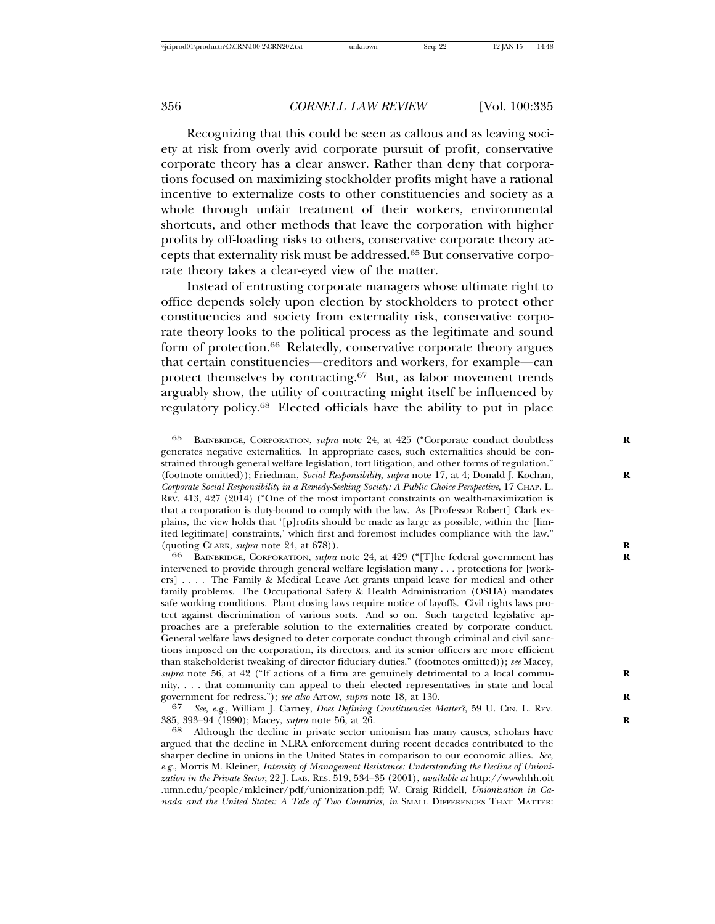Recognizing that this could be seen as callous and as leaving society at risk from overly avid corporate pursuit of profit, conservative corporate theory has a clear answer. Rather than deny that corporations focused on maximizing stockholder profits might have a rational incentive to externalize costs to other constituencies and society as a whole through unfair treatment of their workers, environmental shortcuts, and other methods that leave the corporation with higher profits by off-loading risks to others, conservative corporate theory accepts that externality risk must be addressed.65 But conservative corporate theory takes a clear-eyed view of the matter.

Instead of entrusting corporate managers whose ultimate right to office depends solely upon election by stockholders to protect other constituencies and society from externality risk, conservative corporate theory looks to the political process as the legitimate and sound form of protection.66 Relatedly, conservative corporate theory argues that certain constituencies—creditors and workers, for example—can protect themselves by contracting.67 But, as labor movement trends arguably show, the utility of contracting might itself be influenced by regulatory policy.68 Elected officials have the ability to put in place

67 *See, e.g.*, William J. Carney, *Does Defining Constituencies Matter?*, 59 U. CIN. L. REV. 385, 393–94 (1990); Macey, *supra* note 56, at 26. **R**

<sup>65</sup> BAINBRIDGE, CORPORATION, *supra* note 24, at 425 ("Corporate conduct doubtless **R** generates negative externalities. In appropriate cases, such externalities should be constrained through general welfare legislation, tort litigation, and other forms of regulation." (footnote omitted)); Friedman, *Social Responsibility*, *supra* note 17, at 4; Donald J. Kochan, **R** *Corporate Social Responsibility in a Remedy-Seeking Society: A Public Choice Perspective*, 17 CHAP. L. REV. 413, 427 (2014) ("One of the most important constraints on wealth-maximization is that a corporation is duty-bound to comply with the law. As [Professor Robert] Clark explains, the view holds that '[p]rofits should be made as large as possible, within the [limited legitimate] constraints,' which first and foremost includes compliance with the law." (quoting CLARK, *supra* note 24, at 678)). **R**

<sup>66</sup> BAINBRIDGE, CORPORATION, *supra* note 24, at 429 ("[T]he federal government has **R** intervened to provide through general welfare legislation many . . . protections for [workers] . . . . The Family & Medical Leave Act grants unpaid leave for medical and other family problems. The Occupational Safety & Health Administration (OSHA) mandates safe working conditions. Plant closing laws require notice of layoffs. Civil rights laws protect against discrimination of various sorts. And so on. Such targeted legislative approaches are a preferable solution to the externalities created by corporate conduct. General welfare laws designed to deter corporate conduct through criminal and civil sanctions imposed on the corporation, its directors, and its senior officers are more efficient than stakeholderist tweaking of director fiduciary duties." (footnotes omitted)); *see* Macey, *supra* note 56, at 42 ("If actions of a firm are genuinely detrimental to a local community, . . . that community can appeal to their elected representatives in state and local government for redress."); *see also* Arrow, *supra* note 18, at 130. **R**

Although the decline in private sector unionism has many causes, scholars have argued that the decline in NLRA enforcement during recent decades contributed to the sharper decline in unions in the United States in comparison to our economic allies. *See, e.g.*, Morris M. Kleiner, *Intensity of Management Resistance: Understanding the Decline of Unionization in the Private Sector*, 22 J. LAB. RES. 519, 534–35 (2001), *available at* http://wwwhhh.oit .umn.edu/people/mkleiner/pdf/unionization.pdf; W. Craig Riddell, *Unionization in Canada and the United States: A Tale of Two Countries*, *in* SMALL DIFFERENCES THAT MATTER: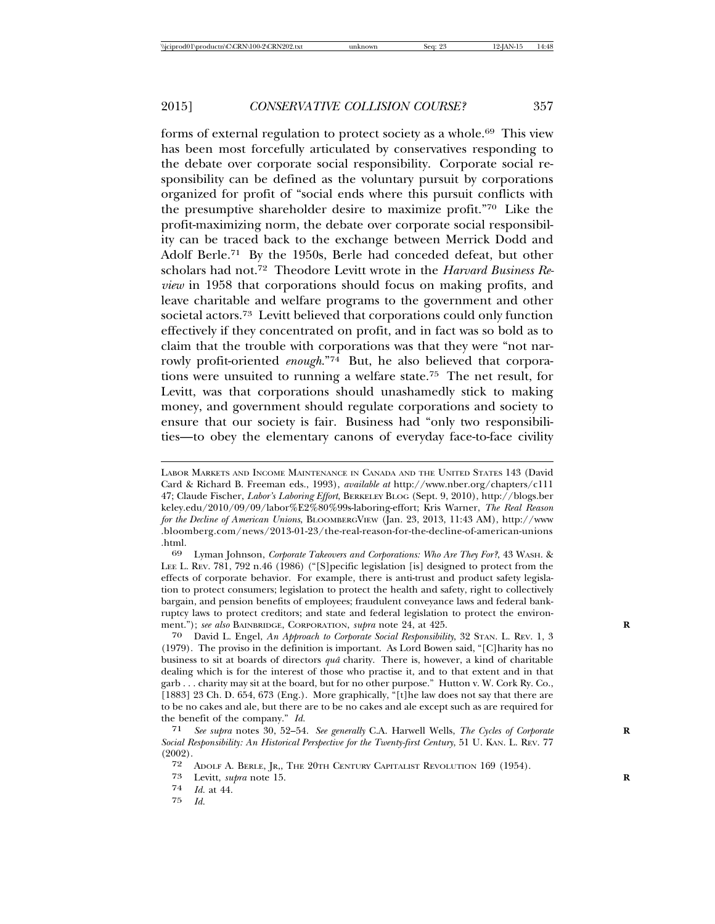forms of external regulation to protect society as a whole.69 This view has been most forcefully articulated by conservatives responding to the debate over corporate social responsibility. Corporate social responsibility can be defined as the voluntary pursuit by corporations organized for profit of "social ends where this pursuit conflicts with the presumptive shareholder desire to maximize profit."70 Like the profit-maximizing norm, the debate over corporate social responsibility can be traced back to the exchange between Merrick Dodd and Adolf Berle.71 By the 1950s, Berle had conceded defeat, but other scholars had not.72 Theodore Levitt wrote in the *Harvard Business Review* in 1958 that corporations should focus on making profits, and leave charitable and welfare programs to the government and other societal actors.73 Levitt believed that corporations could only function effectively if they concentrated on profit, and in fact was so bold as to claim that the trouble with corporations was that they were "not narrowly profit-oriented *enough*."74 But, he also believed that corporations were unsuited to running a welfare state.75 The net result, for Levitt, was that corporations should unashamedly stick to making money, and government should regulate corporations and society to ensure that our society is fair. Business had "only two responsibilities—to obey the elementary canons of everyday face-to-face civility

75 *Id.*

LABOR MARKETS AND INCOME MAINTENANCE IN CANADA AND THE UNITED STATES 143 (David Card & Richard B. Freeman eds., 1993), *available at* http://www.nber.org/chapters/c111 47; Claude Fischer, *Labor's Laboring Effort*, BERKELEY BLOG (Sept. 9, 2010), http://blogs.ber keley.edu/2010/09/09/labor%E2%80%99s-laboring-effort; Kris Warner, *The Real Reason for the Decline of American Unions*, BLOOMBERGVIEW (Jan. 23, 2013, 11:43 AM), http://www .bloomberg.com/news/2013-01-23/the-real-reason-for-the-decline-of-american-unions .html. <sup>69</sup> Lyman Johnson, *Corporate Takeovers and Corporations: Who Are They For?*, 43 WASH. &

LEE L. REV. 781, 792 n.46 (1986) ("[S]pecific legislation [is] designed to protect from the effects of corporate behavior. For example, there is anti-trust and product safety legislation to protect consumers; legislation to protect the health and safety, right to collectively bargain, and pension benefits of employees; fraudulent conveyance laws and federal bankruptcy laws to protect creditors; and state and federal legislation to protect the environment."); see also BAINBRIDGE, CORPORATION, supra note 24, at 425.

<sup>70</sup> David L. Engel, *An Approach to Corporate Social Responsibility*, 32 STAN. L. REV. 1, 3 (1979). The proviso in the definition is important. As Lord Bowen said, "[C]harity has no business to sit at boards of directors *quaˆ* charity. There is, however, a kind of charitable dealing which is for the interest of those who practise it, and to that extent and in that garb . . . charity may sit at the board, but for no other purpose." Hutton v. W. Cork Ry. Co., [1883] 23 Ch. D. 654, 673 (Eng.). More graphically, "[t]he law does not say that there are to be no cakes and ale, but there are to be no cakes and ale except such as are required for the benefit of the company." *Id.*<br>
<sup>71</sup> See subra notes 30, 52–54

<sup>71</sup> *See supra* notes 30, 52–54. *See generally* C.A. Harwell Wells, *The Cycles of Corporate* **R** *Social Responsibility: An Historical Perspective for the Twenty-first Century*, 51 U. KAN. L. REV. 77  $(2002)$ .<br>72

<sup>72</sup> ADOLF A. BERLE, JR., THE 20TH CENTURY CAPITALIST REVOLUTION 169 (1954).<br>73 Levitt. *subra* note 15.

<sup>73</sup> Levitt, *supra* note 15.<br>74 *M* at 44

 $\frac{74}{75}$  *Id.* at 44.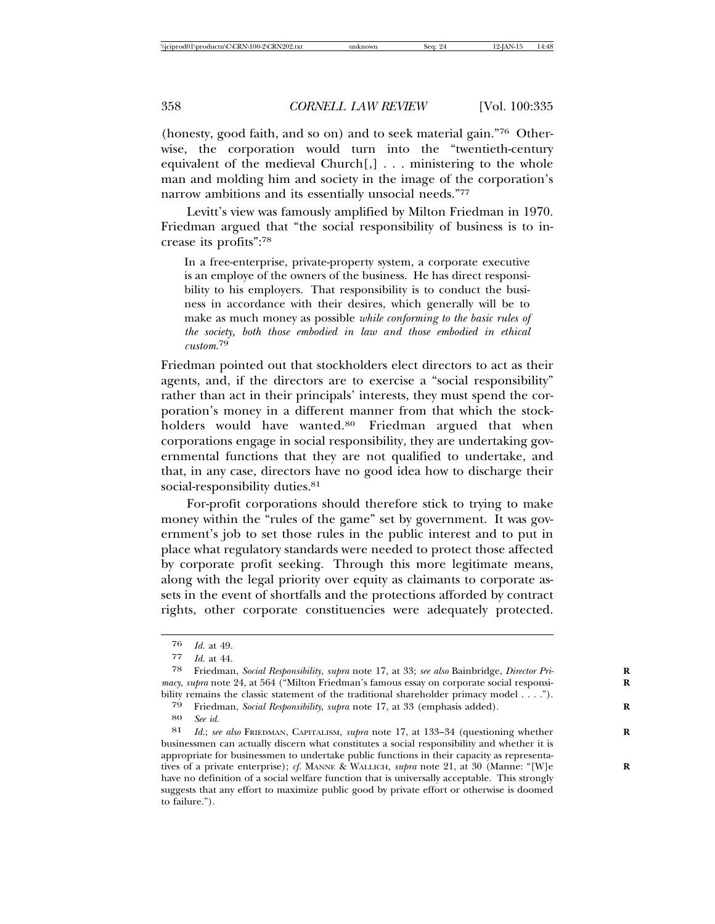(honesty, good faith, and so on) and to seek material gain."76 Otherwise, the corporation would turn into the "twentieth-century equivalent of the medieval Church[,] . . . ministering to the whole man and molding him and society in the image of the corporation's narrow ambitions and its essentially unsocial needs."77

Levitt's view was famously amplified by Milton Friedman in 1970. Friedman argued that "the social responsibility of business is to increase its profits":78

In a free-enterprise, private-property system, a corporate executive is an employe of the owners of the business. He has direct responsibility to his employers. That responsibility is to conduct the business in accordance with their desires, which generally will be to make as much money as possible *while conforming to the basic rules of the society, both those embodied in law and those embodied in ethical custom*. 79

Friedman pointed out that stockholders elect directors to act as their agents, and, if the directors are to exercise a "social responsibility" rather than act in their principals' interests, they must spend the corporation's money in a different manner from that which the stockholders would have wanted.<sup>80</sup> Friedman argued that when corporations engage in social responsibility, they are undertaking governmental functions that they are not qualified to undertake, and that, in any case, directors have no good idea how to discharge their social-responsibility duties.<sup>81</sup>

For-profit corporations should therefore stick to trying to make money within the "rules of the game" set by government. It was government's job to set those rules in the public interest and to put in place what regulatory standards were needed to protect those affected by corporate profit seeking. Through this more legitimate means, along with the legal priority over equity as claimants to corporate assets in the event of shortfalls and the protections afforded by contract rights, other corporate constituencies were adequately protected.

<sup>76</sup> *Id.* at 49.

*Id.* at 44.

<sup>78</sup> Friedman, *Social Responsibility*, *supra* note 17, at 33; *see also* Bainbridge, *Director Pri-* **R** *macy*, *supra* note 24, at 564 ("Milton Friedman's famous essay on corporate social responsibility remains the classic statement of the traditional shareholder primacy model . . . .").

<sup>79</sup> Friedman, *Social Responsibility*, *supra* note 17, at 33 (emphasis added). **R**

<sup>80</sup> *See id.*

Id.; see also FRIEDMAN, CAPITALISM, *supra* note 17, at 133-34 (questioning whether businessmen can actually discern what constitutes a social responsibility and whether it is appropriate for businessmen to undertake public functions in their capacity as representatives of a private enterprise); *cf.* MANNE & WALLICH, *supra* note 21, at 30 (Manne: "[W]e have no definition of a social welfare function that is universally acceptable. This strongly suggests that any effort to maximize public good by private effort or otherwise is doomed to failure.").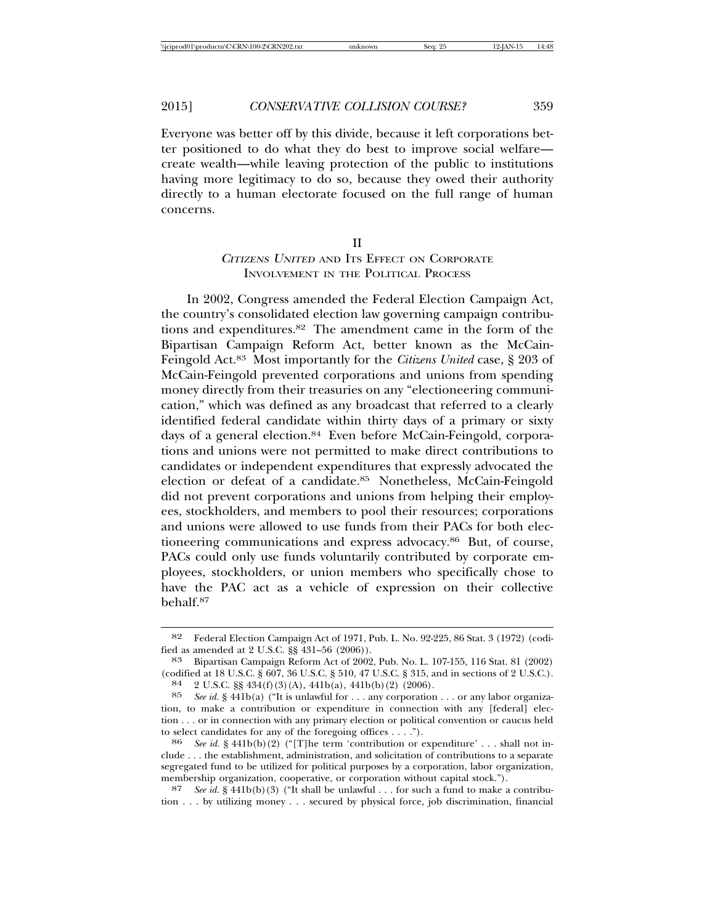Everyone was better off by this divide, because it left corporations better positioned to do what they do best to improve social welfare create wealth—while leaving protection of the public to institutions having more legitimacy to do so, because they owed their authority directly to a human electorate focused on the full range of human concerns.

# II <sup>C</sup>ITIZENS UNITED AND ITS EFFECT ON CORPORATE INVOLVEMENT IN THE POLITICAL PROCESS

In 2002, Congress amended the Federal Election Campaign Act, the country's consolidated election law governing campaign contributions and expenditures.82 The amendment came in the form of the Bipartisan Campaign Reform Act, better known as the McCain-Feingold Act.83 Most importantly for the *Citizens United* case, § 203 of McCain-Feingold prevented corporations and unions from spending money directly from their treasuries on any "electioneering communication," which was defined as any broadcast that referred to a clearly identified federal candidate within thirty days of a primary or sixty days of a general election.<sup>84</sup> Even before McCain-Feingold, corporations and unions were not permitted to make direct contributions to candidates or independent expenditures that expressly advocated the election or defeat of a candidate.85 Nonetheless, McCain-Feingold did not prevent corporations and unions from helping their employees, stockholders, and members to pool their resources; corporations and unions were allowed to use funds from their PACs for both electioneering communications and express advocacy.86 But, of course, PACs could only use funds voluntarily contributed by corporate employees, stockholders, or union members who specifically chose to have the PAC act as a vehicle of expression on their collective behalf.87

<sup>82</sup> Federal Election Campaign Act of 1971, Pub. L. No. 92-225, 86 Stat. 3 (1972) (codi-

fied as amended at 2 U.S.C. §§ 431–56 (2006)).<br><sup>83</sup> Bipartisan Campaign Reform Act of 2002, Pub. No. L. 107-155, 116 Stat. 81 (2002)<br>(codified at 18 U.S.C. § 607, 36 U.S.C. § 510, 47 U.S.C. § 315, and in sections of 2 U.S.

<sup>84 2</sup> U.S.C. §§ 434(f) (3) (A), 441b(a), 441b(b) (2) (2006).<br>85 See id. § 441b(a) ("It is unlawful for ... any corporation ... or any labor organization, to make a contribution or expenditure in connection with any [federal] election . . . or in connection with any primary election or political convention or caucus held to select candidates for any of the foregoing offices  $\dots$ .").

 $t^{86}$  *See id.* § 441b(b)(2) ("[T]he term 'contribution or expenditure' . . . shall not include . . . the establishment, administration, and solicitation of contributions to a separate segregated fund to be utilized for political purposes by a corporation, labor organization, membership organization, cooperative, or corporation without capital stock.").

<sup>87</sup> *See id.* § 441b(b)(3) ("It shall be unlawful . . . for such a fund to make a contribution . . . by utilizing money . . . secured by physical force, job discrimination, financial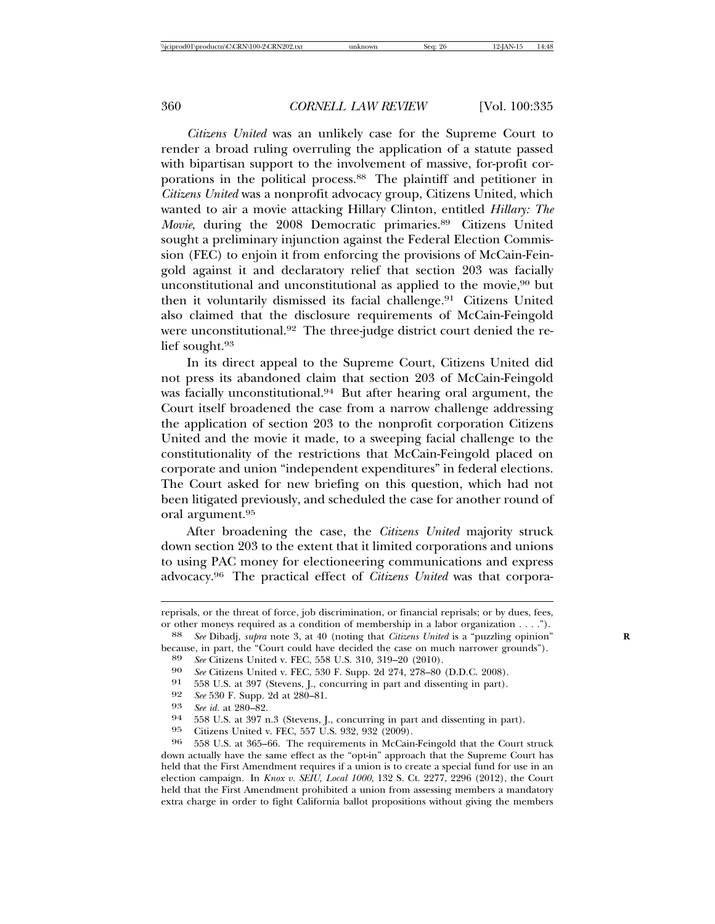*Citizens United* was an unlikely case for the Supreme Court to render a broad ruling overruling the application of a statute passed with bipartisan support to the involvement of massive, for-profit corporations in the political process.88 The plaintiff and petitioner in *Citizens United* was a nonprofit advocacy group, Citizens United, which wanted to air a movie attacking Hillary Clinton, entitled *Hillary: The Movie*, during the 2008 Democratic primaries.<sup>89</sup> Citizens United sought a preliminary injunction against the Federal Election Commission (FEC) to enjoin it from enforcing the provisions of McCain-Feingold against it and declaratory relief that section 203 was facially unconstitutional and unconstitutional as applied to the movie,<sup>90</sup> but then it voluntarily dismissed its facial challenge.<sup>91</sup> Citizens United also claimed that the disclosure requirements of McCain-Feingold were unconstitutional.<sup>92</sup> The three-judge district court denied the relief sought.93

In its direct appeal to the Supreme Court, Citizens United did not press its abandoned claim that section 203 of McCain-Feingold was facially unconstitutional.<sup>94</sup> But after hearing oral argument, the Court itself broadened the case from a narrow challenge addressing the application of section 203 to the nonprofit corporation Citizens United and the movie it made, to a sweeping facial challenge to the constitutionality of the restrictions that McCain-Feingold placed on corporate and union "independent expenditures" in federal elections. The Court asked for new briefing on this question, which had not been litigated previously, and scheduled the case for another round of oral argument.95

After broadening the case, the *Citizens United* majority struck down section 203 to the extent that it limited corporations and unions to using PAC money for electioneering communications and express advocacy.96 The practical effect of *Citizens United* was that corpora-

reprisals, or the threat of force, job discrimination, or financial reprisals; or by dues, fees,

or other moneys required as a condition of membership in a labor organization . . . ."). <sup>88</sup> *See* Dibadj, *supra* note 3, at 40 (noting that *Citizens United* is a "puzzling opinion" because, in part, the "Court could ha

<sup>&</sup>lt;sup>89</sup> *See* Citizens United v. FEC, 558 U.S. 310, 319–20  $(2010)$ .<br><sup>90</sup> *See* Citizens United v. FEC, 530 F. Supp. 2d 274, 278–80  $(D.D.C. 2008)$ .<br><sup>91</sup> 558 U.S. at 397 (Stevens J. concurring in part and dissenting in part)

<sup>91 558</sup> U.S. at 397 (Stevens, J., concurring in part and dissenting in part).<br>92 See 530 F. Supp. 2d at 280-81.

<sup>92</sup> *See* 530 F. Supp. 2d at 280–81.<br>
93 *See id.* at 280–82.<br>
94 558 U.S. at 397 n.3 (Stevens, J., concurring in part and dissenting in part).<br>
95 Citizens United v. FEC. 557 U.S. 932. 932 (2009).

<sup>95</sup> Citizens United v. FEC, 557 U.S. 932, 932 (2009). <sup>96</sup> 558 U.S. at 365–66. The requirements in McCain-Feingold that the Court struck down actually have the same effect as the "opt-in" approach that the Supreme Court has held that the First Amendment requires if a union is to create a special fund for use in an election campaign. In *Knox v. SEIU, Local 1000*, 132 S. Ct. 2277, 2296 (2012), the Court held that the First Amendment prohibited a union from assessing members a mandatory extra charge in order to fight California ballot propositions without giving the members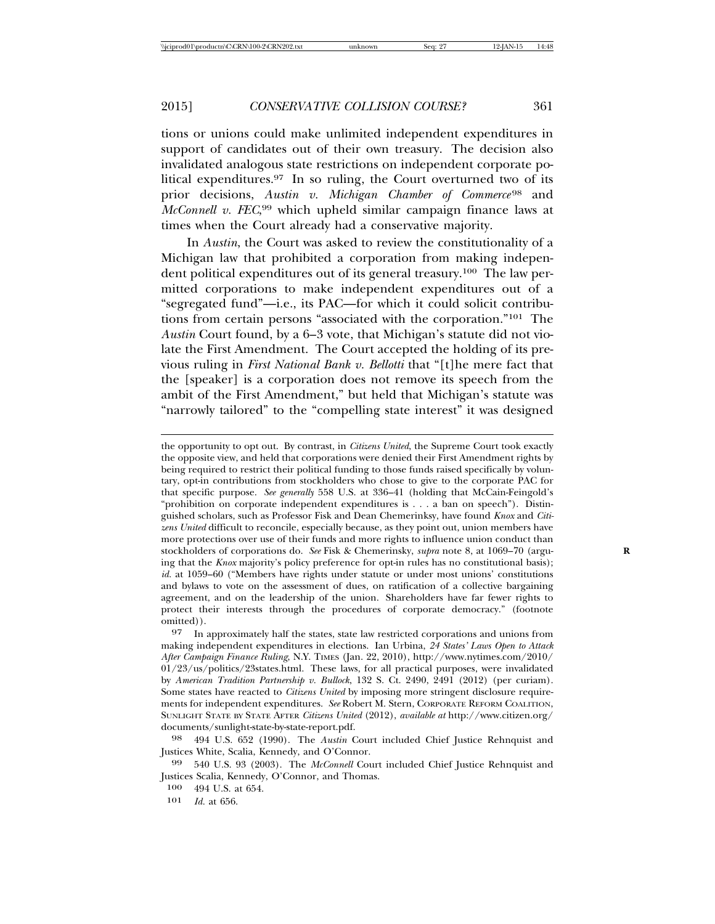tions or unions could make unlimited independent expenditures in support of candidates out of their own treasury. The decision also invalidated analogous state restrictions on independent corporate political expenditures.97 In so ruling, the Court overturned two of its prior decisions, *Austin v. Michigan Chamber of Commerce*<sup>98</sup> and *McConnell v. FEC*, 99 which upheld similar campaign finance laws at times when the Court already had a conservative majority.

In *Austin*, the Court was asked to review the constitutionality of a Michigan law that prohibited a corporation from making independent political expenditures out of its general treasury.100 The law permitted corporations to make independent expenditures out of a "segregated fund"—i.e., its PAC—for which it could solicit contributions from certain persons "associated with the corporation."101 The *Austin* Court found, by a 6–3 vote, that Michigan's statute did not violate the First Amendment. The Court accepted the holding of its previous ruling in *First National Bank v. Bellotti* that "[t]he mere fact that the [speaker] is a corporation does not remove its speech from the ambit of the First Amendment," but held that Michigan's statute was "narrowly tailored" to the "compelling state interest" it was designed

the opportunity to opt out. By contrast, in *Citizens United*, the Supreme Court took exactly the opposite view, and held that corporations were denied their First Amendment rights by being required to restrict their political funding to those funds raised specifically by voluntary, opt-in contributions from stockholders who chose to give to the corporate PAC for that specific purpose. *See generally* 558 U.S. at 336–41 (holding that McCain-Feingold's "prohibition on corporate independent expenditures is . . . a ban on speech"). Distinguished scholars, such as Professor Fisk and Dean Chemerinksy, have found *Knox* and *Citizens United* difficult to reconcile, especially because, as they point out, union members have more protections over use of their funds and more rights to influence union conduct than stockholders of corporations do. *See* Fisk & Chemerinsky, *supra* note 8, at 1069–70 (arguing that the *Knox* majority's policy preference for opt-in rules has no constitutional basis); *id.* at 1059–60 ("Members have rights under statute or under most unions' constitutions and bylaws to vote on the assessment of dues, on ratification of a collective bargaining agreement, and on the leadership of the union. Shareholders have far fewer rights to protect their interests through the procedures of corporate democracy." (footnote omitted)).

97 In approximately half the states, state law restricted corporations and unions from making independent expenditures in elections. Ian Urbina, *24 States' Laws Open to Attack After Campaign Finance Ruling*, N.Y. TIMES (Jan. 22, 2010), http://www.nytimes.com/2010/ 01/23/us/politics/23states.html. These laws, for all practical purposes, were invalidated by *American Tradition Partnership v. Bullock*, 132 S. Ct. 2490, 2491 (2012) (per curiam). Some states have reacted to *Citizens United* by imposing more stringent disclosure requirements for independent expenditures. *See* Robert M. Stern, CORPORATE REFORM COALITION, SUNLIGHT STATE BY STATE AFTER *Citizens United* (2012), *available at* http://www.citizen.org/ documents/sunlight-state-by-state-report.pdf.

98 494 U.S. 652 (1990). The *Austin* Court included Chief Justice Rehnquist and Justices White, Scalia, Kennedy, and O'Connor.

99 540 U.S. 93 (2003). The *McConnell* Court included Chief Justice Rehnquist and Justices Scalia, Kennedy, O'Connor, and Thomas.

 $\frac{100}{101}$  494 U.S. at 654.

*Id.* at 656.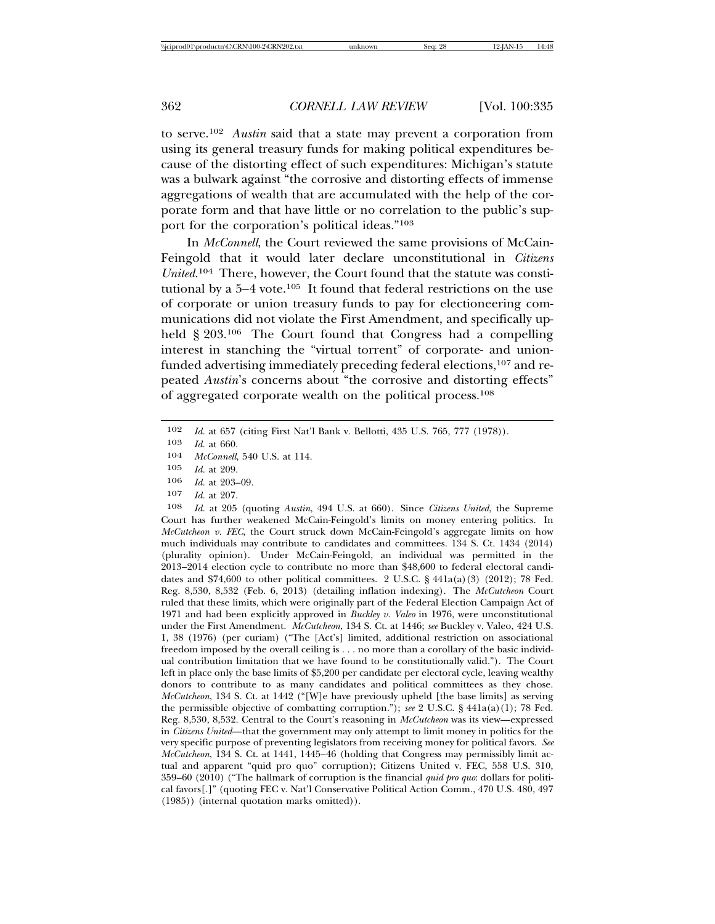to serve.102 *Austin* said that a state may prevent a corporation from using its general treasury funds for making political expenditures because of the distorting effect of such expenditures: Michigan's statute was a bulwark against "the corrosive and distorting effects of immense aggregations of wealth that are accumulated with the help of the corporate form and that have little or no correlation to the public's support for the corporation's political ideas."103

In *McConnell*, the Court reviewed the same provisions of McCain-Feingold that it would later declare unconstitutional in *Citizens United*. 104 There, however, the Court found that the statute was constitutional by a  $5-4$  vote.<sup>105</sup> It found that federal restrictions on the use of corporate or union treasury funds to pay for electioneering communications did not violate the First Amendment, and specifically upheld  $\S 203<sup>106</sup>$  The Court found that Congress had a compelling interest in stanching the "virtual torrent" of corporate- and unionfunded advertising immediately preceding federal elections,107 and repeated *Austin*'s concerns about "the corrosive and distorting effects" of aggregated corporate wealth on the political process.108

- 106 *Id.* at 203–09.<br>107 *Id.* at 207
- *Id.* at 207.

108 *Id.* at 205 (quoting *Austin*, 494 U.S. at 660). Since *Citizens United*, the Supreme Court has further weakened McCain-Feingold's limits on money entering politics. In *McCutcheon v. FEC*, the Court struck down McCain-Feingold's aggregate limits on how much individuals may contribute to candidates and committees. 134 S. Ct. 1434 (2014) (plurality opinion). Under McCain-Feingold, an individual was permitted in the 2013–2014 election cycle to contribute no more than \$48,600 to federal electoral candidates and  $$74,600$  to other political committees. 2 U.S.C. § 441a(a)(3) (2012); 78 Fed. Reg. 8,530, 8,532 (Feb. 6, 2013) (detailing inflation indexing). The *McCutcheon* Court ruled that these limits, which were originally part of the Federal Election Campaign Act of 1971 and had been explicitly approved in *Buckley v. Valeo* in 1976, were unconstitutional under the First Amendment. *McCutcheon*, 134 S. Ct. at 1446; *see* Buckley v. Valeo, 424 U.S. 1, 38 (1976) (per curiam) ("The [Act's] limited, additional restriction on associational freedom imposed by the overall ceiling is . . . no more than a corollary of the basic individual contribution limitation that we have found to be constitutionally valid."). The Court left in place only the base limits of \$5,200 per candidate per electoral cycle, leaving wealthy donors to contribute to as many candidates and political committees as they chose. *McCutcheon*, 134 S. Ct. at 1442 ("[W]e have previously upheld [the base limits] as serving the permissible objective of combatting corruption."); *see* 2 U.S.C. § 441a(a)(1); 78 Fed. Reg. 8,530, 8,532. Central to the Court's reasoning in *McCutcheon* was its view—expressed in *Citizens United*—that the government may only attempt to limit money in politics for the very specific purpose of preventing legislators from receiving money for political favors. *See McCutcheon*, 134 S. Ct. at 1441, 1445–46 (holding that Congress may permissibly limit actual and apparent "quid pro quo" corruption); Citizens United v. FEC, 558 U.S. 310, 359–60 (2010) ("The hallmark of corruption is the financial *quid pro quo*: dollars for political favors[.]" (quoting FEC v. Nat'l Conservative Political Action Comm., 470 U.S. 480, 497 (1985)) (internal quotation marks omitted)).

<sup>102</sup> *Id.* at 657 (citing First Nat'l Bank v. Bellotti, 435 U.S. 765, 777 (1978)).

<sup>103</sup> *Id.* at 660.

<sup>104</sup> *McConnell*, 540 U.S. at 114.<br>105 *Id* at 209

*Id.* at 209.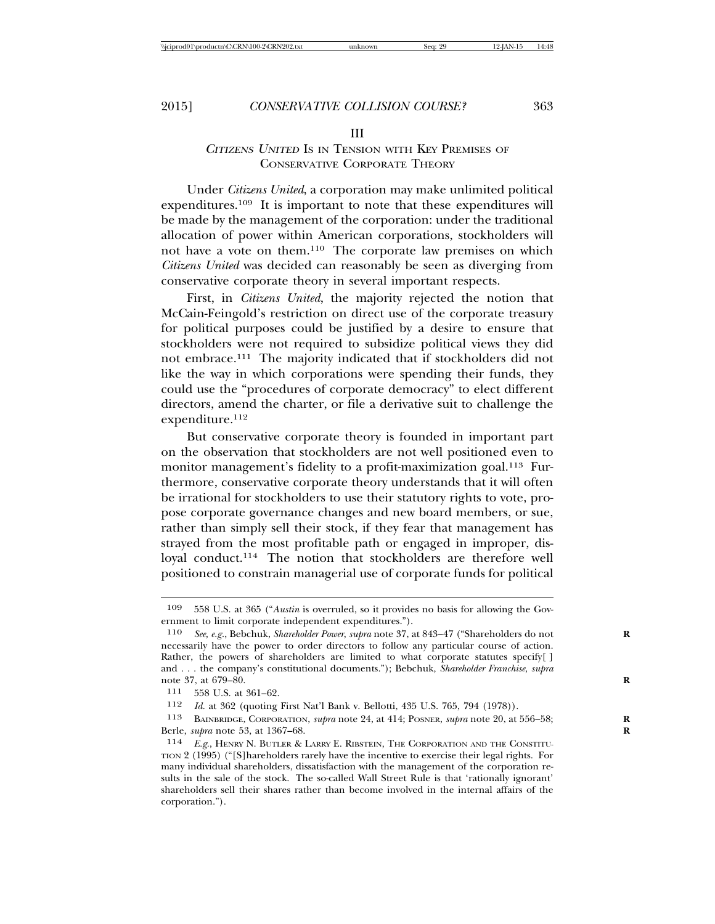#### III

## <sup>C</sup>ITIZENS UNITED IS IN TENSION WITH KEY PREMISES OF CONSERVATIVE CORPORATE THEORY

Under *Citizens United*, a corporation may make unlimited political expenditures.109 It is important to note that these expenditures will be made by the management of the corporation: under the traditional allocation of power within American corporations, stockholders will not have a vote on them.110 The corporate law premises on which *Citizens United* was decided can reasonably be seen as diverging from conservative corporate theory in several important respects.

First, in *Citizens United*, the majority rejected the notion that McCain-Feingold's restriction on direct use of the corporate treasury for political purposes could be justified by a desire to ensure that stockholders were not required to subsidize political views they did not embrace.111 The majority indicated that if stockholders did not like the way in which corporations were spending their funds, they could use the "procedures of corporate democracy" to elect different directors, amend the charter, or file a derivative suit to challenge the expenditure.<sup>112</sup>

But conservative corporate theory is founded in important part on the observation that stockholders are not well positioned even to monitor management's fidelity to a profit-maximization goal.<sup>113</sup> Furthermore, conservative corporate theory understands that it will often be irrational for stockholders to use their statutory rights to vote, propose corporate governance changes and new board members, or sue, rather than simply sell their stock, if they fear that management has strayed from the most profitable path or engaged in improper, disloyal conduct.114 The notion that stockholders are therefore well positioned to constrain managerial use of corporate funds for political

<sup>109</sup> 558 U.S. at 365 ("*Austin* is overruled, so it provides no basis for allowing the Government to limit corporate independent expenditures.").

<sup>110</sup> *See, e.g.*, Bebchuk, *Shareholder Power*, *supra* note 37, at 843–47 ("Shareholders do not **R** necessarily have the power to order directors to follow any particular course of action. Rather, the powers of shareholders are limited to what corporate statutes specify[] and . . . the company's constitutional documents."); Bebchuk, *Shareholder Franchise*, *supra* note 37, at 679–80. **R**

<sup>111</sup> 558 U.S. at 361–62.

<sup>112</sup> *Id.* at 362 (quoting First Nat'l Bank v. Bellotti, 435 U.S. 765, 794 (1978)).

<sup>113</sup> BAINBRIDGE, CORPORATION, *supra* note 24, at 414; POSNER, *supra* note 20, at 556–58; **R** Berle, *supra* note 53, at 1367–68. **R**

<sup>114</sup> *E.g.*, HENRY N. BUTLER & LARRY E. RIBSTEIN, THE CORPORATION AND THE CONSTITU-TION 2 (1995) ("[S]hareholders rarely have the incentive to exercise their legal rights. For many individual shareholders, dissatisfaction with the management of the corporation results in the sale of the stock. The so-called Wall Street Rule is that 'rationally ignorant' shareholders sell their shares rather than become involved in the internal affairs of the corporation.").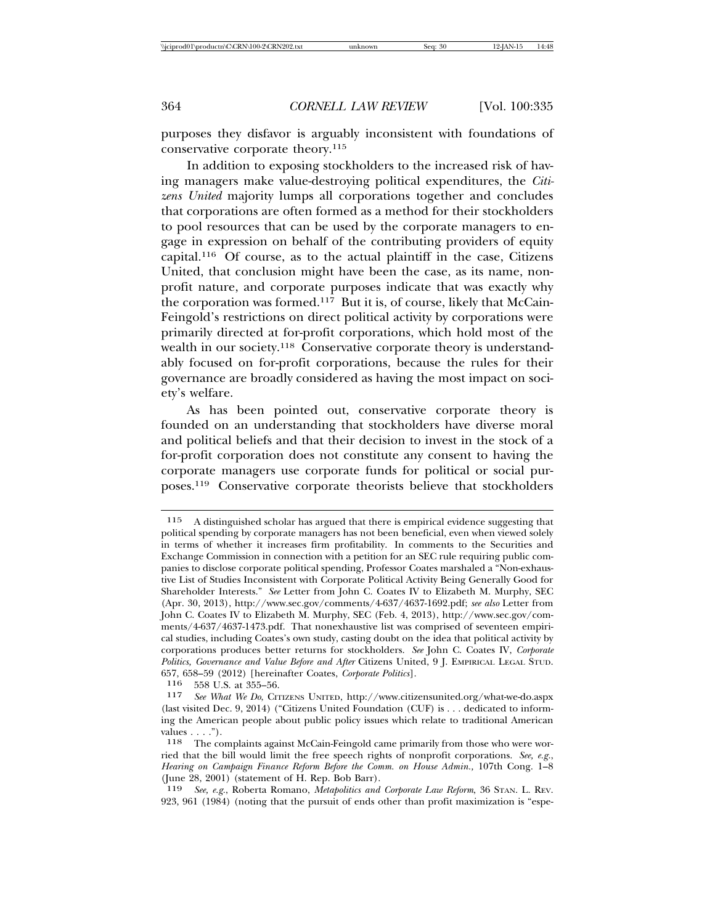purposes they disfavor is arguably inconsistent with foundations of conservative corporate theory.115

In addition to exposing stockholders to the increased risk of having managers make value-destroying political expenditures, the *Citizens United* majority lumps all corporations together and concludes that corporations are often formed as a method for their stockholders to pool resources that can be used by the corporate managers to engage in expression on behalf of the contributing providers of equity capital.116 Of course, as to the actual plaintiff in the case, Citizens United, that conclusion might have been the case, as its name, nonprofit nature, and corporate purposes indicate that was exactly why the corporation was formed.117 But it is, of course, likely that McCain-Feingold's restrictions on direct political activity by corporations were primarily directed at for-profit corporations, which hold most of the wealth in our society.<sup>118</sup> Conservative corporate theory is understandably focused on for-profit corporations, because the rules for their governance are broadly considered as having the most impact on society's welfare.

As has been pointed out, conservative corporate theory is founded on an understanding that stockholders have diverse moral and political beliefs and that their decision to invest in the stock of a for-profit corporation does not constitute any consent to having the corporate managers use corporate funds for political or social purposes.119 Conservative corporate theorists believe that stockholders

116 558 U.S. at 355–56.<br>117 See What We Do CIT

<sup>115</sup> A distinguished scholar has argued that there is empirical evidence suggesting that political spending by corporate managers has not been beneficial, even when viewed solely in terms of whether it increases firm profitability. In comments to the Securities and Exchange Commission in connection with a petition for an SEC rule requiring public companies to disclose corporate political spending, Professor Coates marshaled a "Non-exhaustive List of Studies Inconsistent with Corporate Political Activity Being Generally Good for Shareholder Interests." *See* Letter from John C. Coates IV to Elizabeth M. Murphy, SEC (Apr. 30, 2013), http://www.sec.gov/comments/4-637/4637-1692.pdf; *see also* Letter from John C. Coates IV to Elizabeth M. Murphy, SEC (Feb. 4, 2013), http://www.sec.gov/comments/4-637/4637-1473.pdf. That nonexhaustive list was comprised of seventeen empirical studies, including Coates's own study, casting doubt on the idea that political activity by corporations produces better returns for stockholders. *See* John C. Coates IV, *Corporate Politics, Governance and Value Before and After* Citizens United, 9 J. EMPIRICAL LEGAL STUD. 657, 658–59 (2012) [hereinafter Coates, *Corporate Politics*].

<sup>117</sup> *See What We Do*, CITIZENS UNITED, http://www.citizensunited.org/what-we-do.aspx (last visited Dec. 9, 2014) ("Citizens United Foundation (CUF) is . . . dedicated to informing the American people about public policy issues which relate to traditional American values  $\ldots$ .").

<sup>118</sup> The complaints against McCain-Feingold came primarily from those who were worried that the bill would limit the free speech rights of nonprofit corporations. *See, e.g.*, *Hearing on Campaign Finance Reform Before the Comm. on House Admin.,* 107th Cong. 1–8 (June 28, 2001) (statement of H. Rep. Bob Barr).

<sup>119</sup> *See, e.g.*, Roberta Romano, *Metapolitics and Corporate Law Reform*, 36 STAN. L. REV. 923, 961 (1984) (noting that the pursuit of ends other than profit maximization is "espe-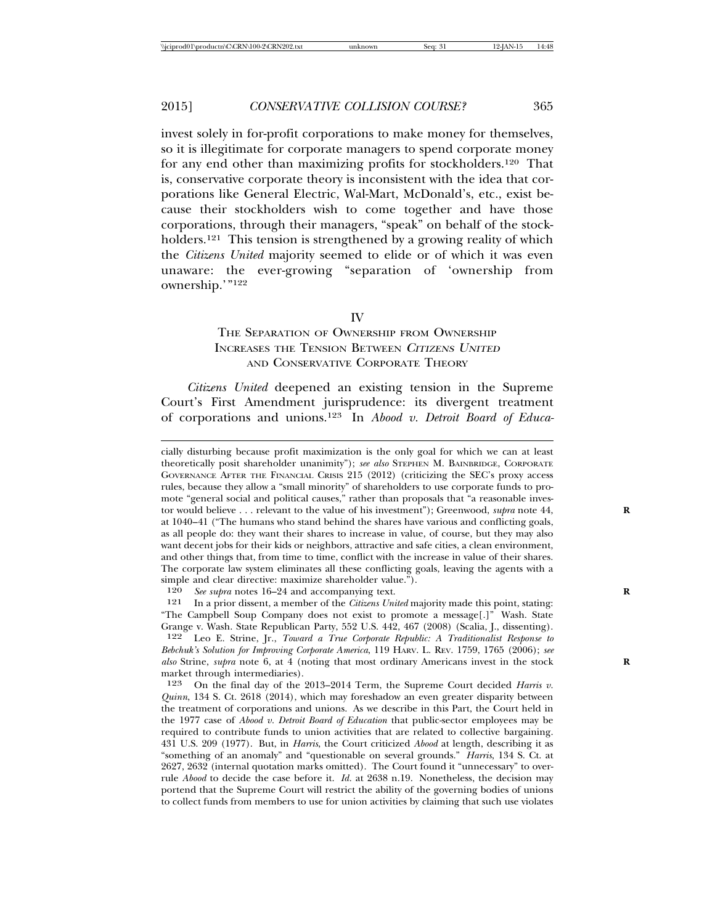invest solely in for-profit corporations to make money for themselves, so it is illegitimate for corporate managers to spend corporate money for any end other than maximizing profits for stockholders.120 That is, conservative corporate theory is inconsistent with the idea that corporations like General Electric, Wal-Mart, McDonald's, etc., exist because their stockholders wish to come together and have those corporations, through their managers, "speak" on behalf of the stockholders.<sup>121</sup> This tension is strengthened by a growing reality of which the *Citizens United* majority seemed to elide or of which it was even unaware: the ever-growing "separation of 'ownership from ownership.'"122

IV

## THE SEPARATION OF OWNERSHIP FROM OWNERSHIP INCREASES THE TENSION BETWEEN <sup>C</sup>ITIZENS UNITED AND CONSERVATIVE CORPORATE THEORY

*Citizens United* deepened an existing tension in the Supreme Court's First Amendment jurisprudence: its divergent treatment of corporations and unions.123 In *Abood v. Detroit Board of Educa-*

120 *See supra* notes 16–24 and accompanying text.<br><sup>121</sup> In a prior dissent, a member of the *Citizens Uni* 

121 In a prior dissent, a member of the *Citizens United* majority made this point, stating: "The Campbell Soup Company does not exist to promote a message[.]" Wash. State Grange v. Wash. State Republican Party, 552 U.S. 442, 467 (2008) (Scalia, J., dissenting).

122 Leo E. Strine, Jr., *Toward a True Corporate Republic: A Traditionalist Response to Bebchuk's Solution for Improving Corporate America*, 119 HARV. L. REV. 1759, 1765 (2006); *see also* Strine, *supra* note 6, at 4 (noting that most ordinary Americans invest in the stock **R** market through intermediaries).

123 On the final day of the 2013–2014 Term, the Supreme Court decided *Harris v. Quinn*, 134 S. Ct. 2618 (2014), which may foreshadow an even greater disparity between the treatment of corporations and unions. As we describe in this Part, the Court held in the 1977 case of *Abood v. Detroit Board of Education* that public-sector employees may be required to contribute funds to union activities that are related to collective bargaining. 431 U.S. 209 (1977). But, in *Harris*, the Court criticized *Abood* at length, describing it as "something of an anomaly" and "questionable on several grounds." *Harris*, 134 S. Ct. at 2627, 2632 (internal quotation marks omitted). The Court found it "unnecessary" to overrule *Abood* to decide the case before it. *Id.* at 2638 n.19. Nonetheless, the decision may portend that the Supreme Court will restrict the ability of the governing bodies of unions to collect funds from members to use for union activities by claiming that such use violates

cially disturbing because profit maximization is the only goal for which we can at least theoretically posit shareholder unanimity"); *see also* STEPHEN M. BAINBRIDGE, CORPORATE GOVERNANCE AFTER THE FINANCIAL CRISIS 215 (2012) (criticizing the SEC's proxy access rules, because they allow a "small minority" of shareholders to use corporate funds to promote "general social and political causes," rather than proposals that "a reasonable investor would believe . . . relevant to the value of his investment"); Greenwood, *supra* note 44, **R** at 1040–41 ("The humans who stand behind the shares have various and conflicting goals, as all people do: they want their shares to increase in value, of course, but they may also want decent jobs for their kids or neighbors, attractive and safe cities, a clean environment, and other things that, from time to time, conflict with the increase in value of their shares. The corporate law system eliminates all these conflicting goals, leaving the agents with a simple and clear directive: maximize shareholder value.").<br> $120$  See subra notes 16–24 and accompanying text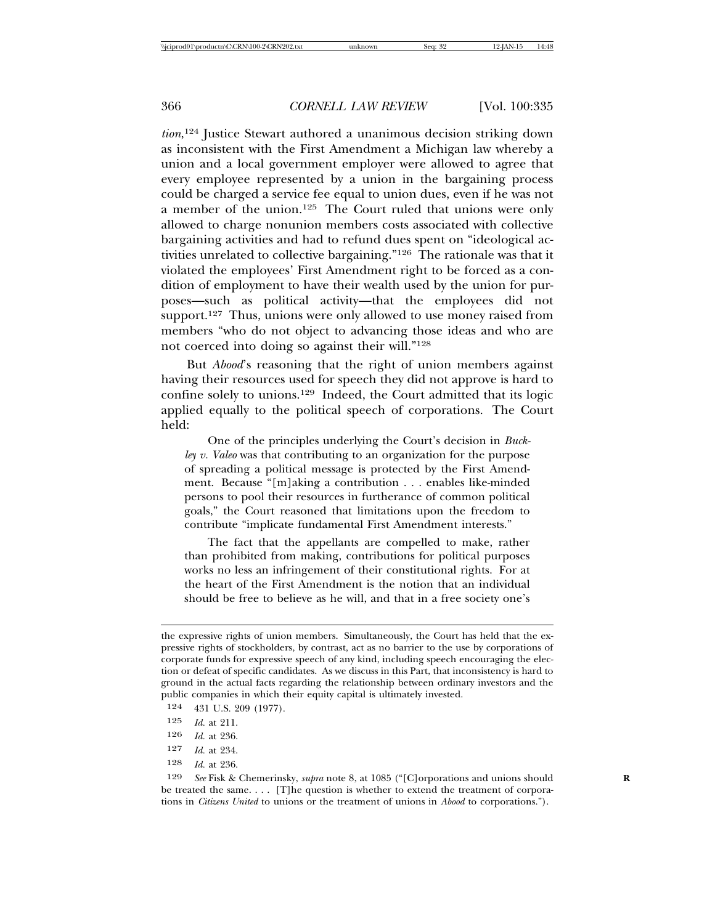*tion*, 124 Justice Stewart authored a unanimous decision striking down as inconsistent with the First Amendment a Michigan law whereby a union and a local government employer were allowed to agree that every employee represented by a union in the bargaining process could be charged a service fee equal to union dues, even if he was not a member of the union.125 The Court ruled that unions were only allowed to charge nonunion members costs associated with collective bargaining activities and had to refund dues spent on "ideological activities unrelated to collective bargaining."126 The rationale was that it violated the employees' First Amendment right to be forced as a condition of employment to have their wealth used by the union for purposes—such as political activity—that the employees did not support.<sup>127</sup> Thus, unions were only allowed to use money raised from members "who do not object to advancing those ideas and who are not coerced into doing so against their will."128

But *Abood*'s reasoning that the right of union members against having their resources used for speech they did not approve is hard to confine solely to unions.129 Indeed, the Court admitted that its logic applied equally to the political speech of corporations. The Court held:

One of the principles underlying the Court's decision in *Buckley v. Valeo* was that contributing to an organization for the purpose of spreading a political message is protected by the First Amendment. Because "[m]aking a contribution . . . enables like-minded persons to pool their resources in furtherance of common political goals," the Court reasoned that limitations upon the freedom to contribute "implicate fundamental First Amendment interests."

The fact that the appellants are compelled to make, rather than prohibited from making, contributions for political purposes works no less an infringement of their constitutional rights. For at the heart of the First Amendment is the notion that an individual should be free to believe as he will, and that in a free society one's

- 124 431 U.S. 209 (1977).
- 125 *Id.* at 211.
- 126 *Id.* at 236.
- 127 *Id.* at 234.
- 128 *Id.* at 236.

129 *See* Fisk & Chemerinsky, *supra* note 8, at 1085 ("[C]orporations and unions should **R** be treated the same. . . . [T]he question is whether to extend the treatment of corporations in *Citizens United* to unions or the treatment of unions in *Abood* to corporations.").

the expressive rights of union members. Simultaneously, the Court has held that the expressive rights of stockholders, by contrast, act as no barrier to the use by corporations of corporate funds for expressive speech of any kind, including speech encouraging the election or defeat of specific candidates. As we discuss in this Part, that inconsistency is hard to ground in the actual facts regarding the relationship between ordinary investors and the public companies in which their equity capital is ultimately invested.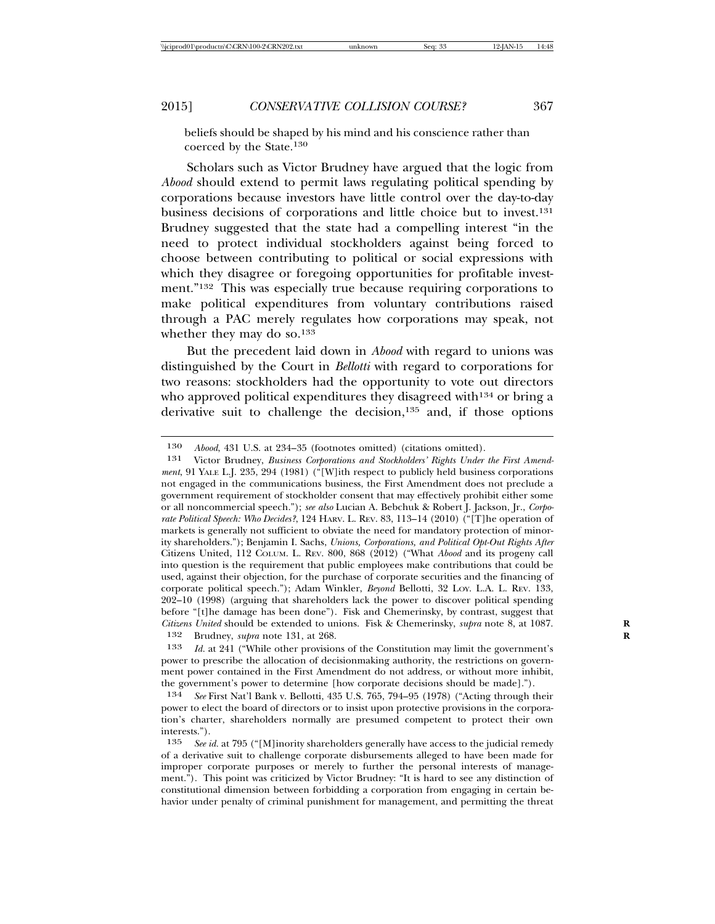beliefs should be shaped by his mind and his conscience rather than coerced by the State.<sup>130</sup>

Scholars such as Victor Brudney have argued that the logic from *Abood* should extend to permit laws regulating political spending by corporations because investors have little control over the day-to-day business decisions of corporations and little choice but to invest.131 Brudney suggested that the state had a compelling interest "in the need to protect individual stockholders against being forced to choose between contributing to political or social expressions with which they disagree or foregoing opportunities for profitable investment."132 This was especially true because requiring corporations to make political expenditures from voluntary contributions raised through a PAC merely regulates how corporations may speak, not whether they may do so.<sup>133</sup>

But the precedent laid down in *Abood* with regard to unions was distinguished by the Court in *Bellotti* with regard to corporations for two reasons: stockholders had the opportunity to vote out directors who approved political expenditures they disagreed with<sup>134</sup> or bring a derivative suit to challenge the decision,135 and, if those options

133 *Id.* at 241 ("While other provisions of the Constitution may limit the government's power to prescribe the allocation of decisionmaking authority, the restrictions on government power contained in the First Amendment do not address, or without more inhibit, the government's power to determine [how corporate decisions should be made].").

<sup>130</sup> *Abood*, 431 U.S. at 234–35 (footnotes omitted) (citations omitted).

<sup>131</sup> Victor Brudney, *Business Corporations and Stockholders' Rights Under the First Amendment*, 91 YALE L.J. 235, 294 (1981) ("[W]ith respect to publicly held business corporations not engaged in the communications business, the First Amendment does not preclude a government requirement of stockholder consent that may effectively prohibit either some or all noncommercial speech."); *see also* Lucian A. Bebchuk & Robert J. Jackson, Jr., *Corporate Political Speech: Who Decides?*, 124 HARV. L. REV. 83, 113–14 (2010) ("[T]he operation of markets is generally not sufficient to obviate the need for mandatory protection of minority shareholders."); Benjamin I. Sachs, *Unions, Corporations, and Political Opt-Out Rights After* Citizens United, 112 COLUM. L. REV. 800, 868 (2012) ("What *Abood* and its progeny call into question is the requirement that public employees make contributions that could be used, against their objection, for the purchase of corporate securities and the financing of corporate political speech."); Adam Winkler, *Beyond* Bellotti, 32 LOY. L.A. L. REV. 133, 202–10 (1998) (arguing that shareholders lack the power to discover political spending before "[t]he damage has been done"). Fisk and Chemerinsky, by contrast, suggest that *Citizens United* should be extended to unions. Fisk & Chemerinsky, *supra* note 8, at 1087. **R** 132 Brudney, *supra* note 131, at 268. **R**

<sup>134</sup> *See* First Nat'l Bank v. Bellotti, 435 U.S. 765, 794–95 (1978) ("Acting through their power to elect the board of directors or to insist upon protective provisions in the corporation's charter, shareholders normally are presumed competent to protect their own interests.").<br> $\frac{135}{\sqrt{2}} \frac{5}{\sqrt{2}}$ 

See id. at 795 ("[M]inority shareholders generally have access to the judicial remedy of a derivative suit to challenge corporate disbursements alleged to have been made for improper corporate purposes or merely to further the personal interests of management."). This point was criticized by Victor Brudney: "It is hard to see any distinction of constitutional dimension between forbidding a corporation from engaging in certain behavior under penalty of criminal punishment for management, and permitting the threat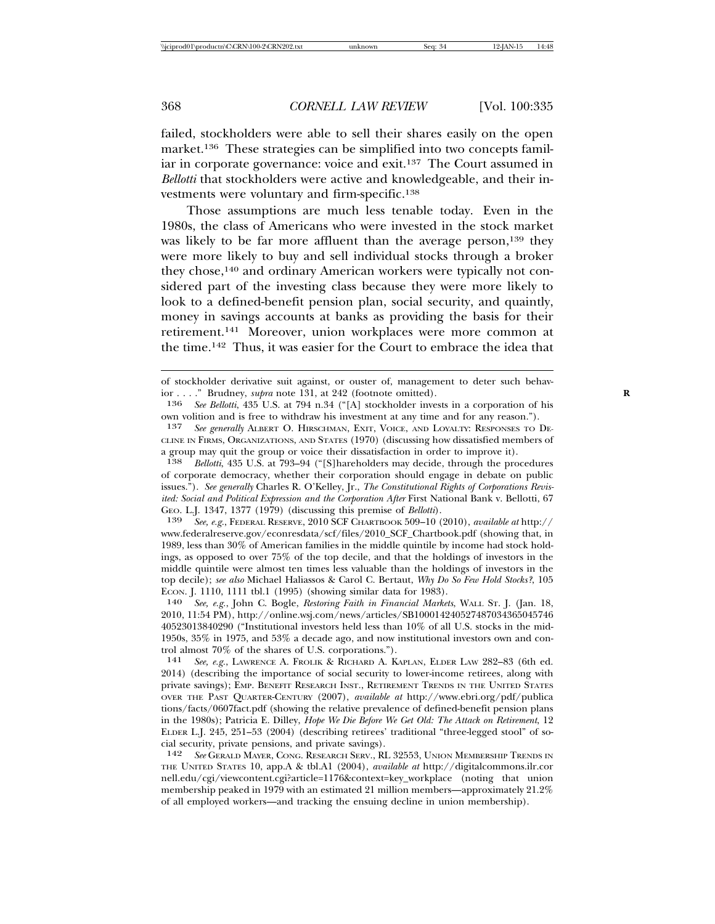failed, stockholders were able to sell their shares easily on the open market.136 These strategies can be simplified into two concepts familiar in corporate governance: voice and exit.137 The Court assumed in *Bellotti* that stockholders were active and knowledgeable, and their investments were voluntary and firm-specific.138

Those assumptions are much less tenable today. Even in the 1980s, the class of Americans who were invested in the stock market was likely to be far more affluent than the average person,<sup>139</sup> they were more likely to buy and sell individual stocks through a broker they chose,140 and ordinary American workers were typically not considered part of the investing class because they were more likely to look to a defined-benefit pension plan, social security, and quaintly, money in savings accounts at banks as providing the basis for their retirement.141 Moreover, union workplaces were more common at the time.142 Thus, it was easier for the Court to embrace the idea that

of stockholder derivative suit against, or ouster of, management to deter such behavior . . . . " Brudney, *supra* note 131, at 242 (footnote omitted).<br>**136** See Bellotti, 435 U.S. at 794 n.34 ("[A] stockholder inve

<sup>136</sup> *See Bellotti*, 435 U.S. at 794 n.34 ("[A] stockholder invests in a corporation of his own volition and is free to withdraw his investment at any time and for any reason.").

<sup>137</sup> *See generally* ALBERT O. HIRSCHMAN, EXIT, VOICE, AND LOYALTY: RESPONSES TO DE-CLINE IN FIRMS, ORGANIZATIONS, AND STATES (1970) (discussing how dissatisfied members of a group may quit the group or voice their dissatisfaction in order to improve it).<br> $\frac{138}{138}$  Rellatti 435 U.S. at 793-94 ("[S]bareholders may decide through the pro

<sup>138</sup> *Bellotti*, 435 U.S. at 793–94 ("[S]hareholders may decide, through the procedures of corporate democracy, whether their corporation should engage in debate on public issues."). *See generally* Charles R. O'Kelley, Jr., *The Constitutional Rights of Corporations Revisited: Social and Political Expression and the Corporation After First National Bank v. Bellotti, 67* GEO. L.J. 1347, 1377 (1979) (discussing this premise of *Bellotti*).

<sup>139</sup> *See, e.g.*, FEDERAL RESERVE, 2010 SCF CHARTBOOK 509–10 (2010), *available at* http:// www.federalreserve.gov/econresdata/scf/files/2010\_SCF\_Chartbook.pdf (showing that, in 1989, less than 30% of American families in the middle quintile by income had stock holdings, as opposed to over 75% of the top decile, and that the holdings of investors in the middle quintile were almost ten times less valuable than the holdings of investors in the top decile); *see also* Michael Haliassos & Carol C. Bertaut, *Why Do So Few Hold Stocks?*, 105 ECON. J. 1110, 1111 tbl.1 (1995) (showing similar data for 1983).<br> $140$  See, e.g., John C. Bogle. Restoring Faith in Financial Market

<sup>140</sup> *See, e.g.*, John C. Bogle, *Restoring Faith in Financial Markets*, WALL ST. J. (Jan. 18, 2010, 11:54 PM), http://online.wsj.com/news/articles/SB100014240527487034365045746 40523013840290 ("Institutional investors held less than 10% of all U.S. stocks in the mid-1950s, 35% in 1975, and 53% a decade ago, and now institutional investors own and control almost 70% of the shares of U.S. corporations.").

<sup>141</sup> *See, e.g.*, LAWRENCE A. FROLIK & RICHARD A. KAPLAN, ELDER LAW 282–83 (6th ed. 2014) (describing the importance of social security to lower-income retirees, along with private savings); EMP. BENEFIT RESEARCH INST., RETIREMENT TRENDS IN THE UNITED STATES OVER THE PAST QUARTER-CENTURY (2007), *available at* http://www.ebri.org/pdf/publica tions/facts/0607fact.pdf (showing the relative prevalence of defined-benefit pension plans in the 1980s); Patricia E. Dilley, *Hope We Die Before We Get Old: The Attack on Retirement*, 12 ELDER L.J. 245, 251–53 (2004) (describing retirees' traditional "three-legged stool" of social security, private pensions, and private savings).

<sup>142</sup> *See* GERALD MAYER, CONG. RESEARCH SERV., RL 32553, UNION MEMBERSHIP TRENDS IN THE UNITED STATES 10, app.A & tbl.A1 (2004), *available at* http://digitalcommons.ilr.cor nell.edu/cgi/viewcontent.cgi?article=1176&context=key\_workplace (noting that union membership peaked in 1979 with an estimated 21 million members—approximately 21.2% of all employed workers—and tracking the ensuing decline in union membership).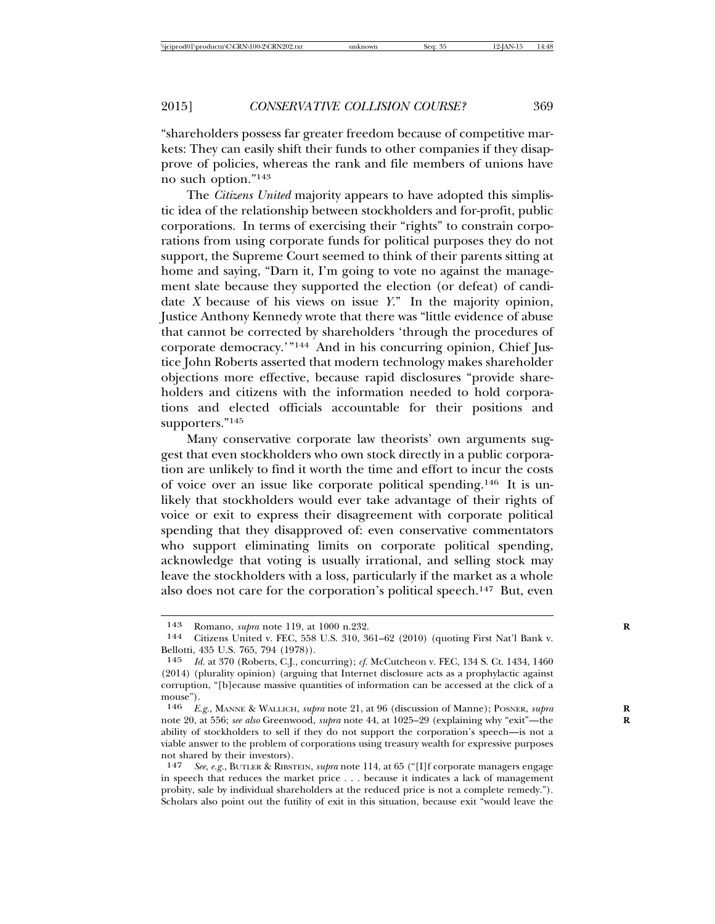"shareholders possess far greater freedom because of competitive markets: They can easily shift their funds to other companies if they disapprove of policies, whereas the rank and file members of unions have no such option."143

The *Citizens United* majority appears to have adopted this simplistic idea of the relationship between stockholders and for-profit, public corporations. In terms of exercising their "rights" to constrain corporations from using corporate funds for political purposes they do not support, the Supreme Court seemed to think of their parents sitting at home and saying, "Darn it, I'm going to vote no against the management slate because they supported the election (or defeat) of candidate *X* because of his views on issue *Y*." In the majority opinion, Justice Anthony Kennedy wrote that there was "little evidence of abuse that cannot be corrected by shareholders 'through the procedures of corporate democracy.'"144 And in his concurring opinion, Chief Justice John Roberts asserted that modern technology makes shareholder objections more effective, because rapid disclosures "provide shareholders and citizens with the information needed to hold corporations and elected officials accountable for their positions and supporters."145

Many conservative corporate law theorists' own arguments suggest that even stockholders who own stock directly in a public corporation are unlikely to find it worth the time and effort to incur the costs of voice over an issue like corporate political spending.146 It is unlikely that stockholders would ever take advantage of their rights of voice or exit to express their disagreement with corporate political spending that they disapproved of: even conservative commentators who support eliminating limits on corporate political spending, acknowledge that voting is usually irrational, and selling stock may leave the stockholders with a loss, particularly if the market as a whole also does not care for the corporation's political speech.147 But, even

<sup>143</sup> Romano, *supra* note 119, at 1000 n.232.<br>144 Citizens United v FEC 558 U.S. 310 3

Citizens United v. FEC, 558 U.S. 310, 361-62 (2010) (quoting First Nat'l Bank v. Bellotti, 435 U.S. 765, 794 (1978)).

<sup>145</sup> *Id.* at 370 (Roberts, C.J., concurring); *cf.* McCutcheon v. FEC, 134 S. Ct. 1434, 1460 (2014) (plurality opinion) (arguing that Internet disclosure acts as a prophylactic against corruption, "[b]ecause massive quantities of information can be accessed at the click of a mouse").

<sup>146</sup> *E.g.*, MANNE & WALLICH, *supra* note 21, at 96 (discussion of Manne); POSNER, *supra* **R** note 20, at 556; *see also* Greenwood, *supra* note 44, at 1025–29 (explaining why "exit"—the **R** ability of stockholders to sell if they do not support the corporation's speech—is not a viable answer to the problem of corporations using treasury wealth for expressive purposes not shared by their investors).

<sup>147</sup> *See, e.g.*, BUTLER & RIBSTEIN, *supra* note 114, at 65 ("[I]f corporate managers engage in speech that reduces the market price . . . because it indicates a lack of management probity, sale by individual shareholders at the reduced price is not a complete remedy."). Scholars also point out the futility of exit in this situation, because exit "would leave the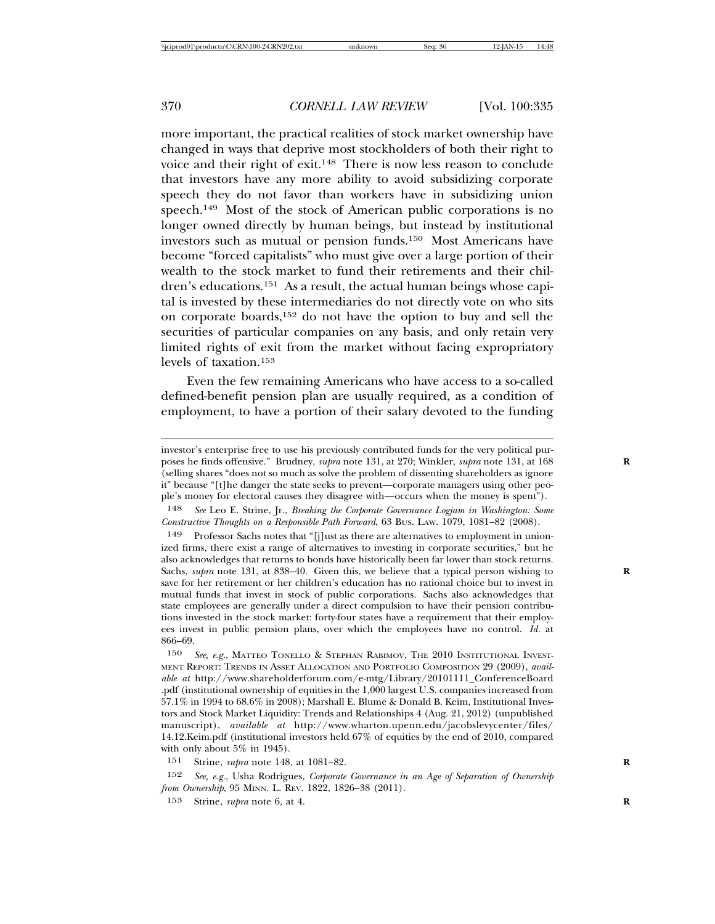more important, the practical realities of stock market ownership have changed in ways that deprive most stockholders of both their right to voice and their right of exit.148 There is now less reason to conclude that investors have any more ability to avoid subsidizing corporate speech they do not favor than workers have in subsidizing union speech.<sup>149</sup> Most of the stock of American public corporations is no longer owned directly by human beings, but instead by institutional investors such as mutual or pension funds.150 Most Americans have become "forced capitalists" who must give over a large portion of their wealth to the stock market to fund their retirements and their children's educations.151 As a result, the actual human beings whose capital is invested by these intermediaries do not directly vote on who sits on corporate boards,152 do not have the option to buy and sell the securities of particular companies on any basis, and only retain very limited rights of exit from the market without facing expropriatory levels of taxation.153

Even the few remaining Americans who have access to a so-called defined-benefit pension plan are usually required, as a condition of employment, to have a portion of their salary devoted to the funding

150 *See, e.g.*, MATTEO TONELLO & STEPHAN RABIMOV, THE 2010 INSTITUTIONAL INVEST-MENT REPORT: TRENDS IN ASSET ALLOCATION AND PORTFOLIO COMPOSITION 29 (2009), *available at* http://www.shareholderforum.com/e-mtg/Library/20101111\_ConferenceBoard .pdf (institutional ownership of equities in the 1,000 largest U.S. companies increased from 57.1% in 1994 to 68.6% in 2008); Marshall E. Blume & Donald B. Keim, Institutional Investors and Stock Market Liquidity: Trends and Relationships 4 (Aug. 21, 2012) (unpublished manuscript), *available at* http://www.wharton.upenn.edu/jacobslevycenter/files/ 14.12.Keim.pdf (institutional investors held 67% of equities by the end of 2010, compared with only about 5% in 1945).

151 Strine, *supra* note 148, at 1081–82. **R**

152 *See, e.g.*, Usha Rodrigues, *Corporate Governance in an Age of Separation of Ownership from Ownership*, 95 MINN. L. REV. 1822, 1826–38 (2011).

153 Strine, *supra* note 6, at 4. **R**

investor's enterprise free to use his previously contributed funds for the very political purposes he finds offensive." Brudney, *supra* note 131, at 270; Winkler, *supra* note 131, at 168 **R** (selling shares "does not so much as solve the problem of dissenting shareholders as ignore it" because "[t]he danger the state seeks to prevent—corporate managers using other people's money for electoral causes they disagree with—occurs when the money is spent").

<sup>148</sup> *See* Leo E. Strine, Jr., *Breaking the Corporate Governance Logjam in Washington: Some Constructive Thoughts on a Responsible Path Forward*, 63 BUS. LAW. 1079, 1081–82 (2008).

<sup>149</sup> Professor Sachs notes that "[j]ust as there are alternatives to employment in unionized firms, there exist a range of alternatives to investing in corporate securities," but he also acknowledges that returns to bonds have historically been far lower than stock returns. Sachs, *supra* note 131, at 838–40. Given this, we believe that a typical person wishing to save for her retirement or her children's education has no rational choice but to invest in mutual funds that invest in stock of public corporations. Sachs also acknowledges that state employees are generally under a direct compulsion to have their pension contributions invested in the stock market: forty-four states have a requirement that their employees invest in public pension plans, over which the employees have no control. *Id.* at 866–69.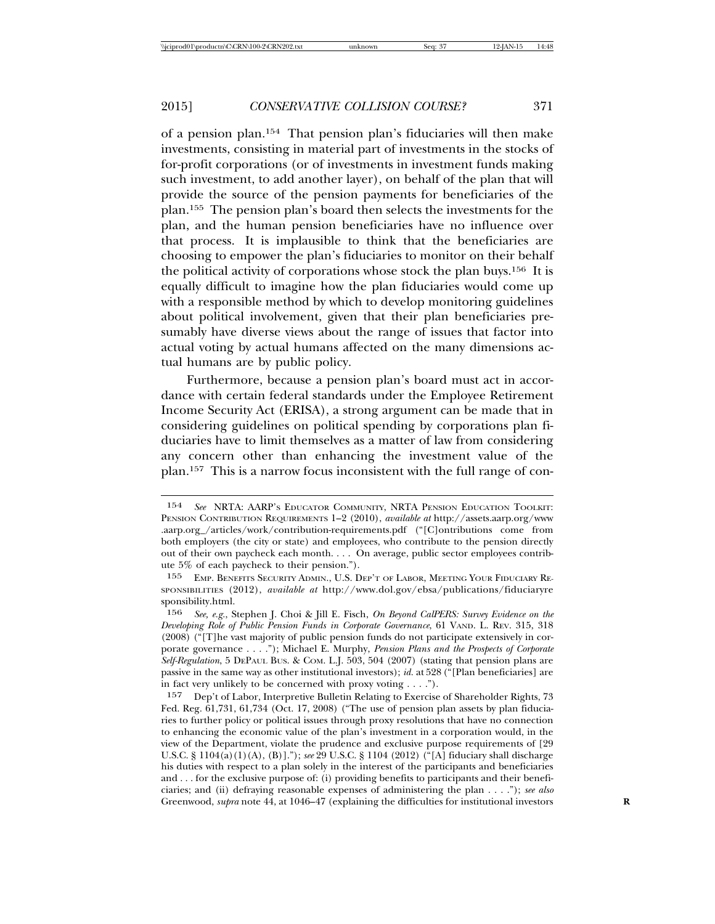of a pension plan.154 That pension plan's fiduciaries will then make investments, consisting in material part of investments in the stocks of for-profit corporations (or of investments in investment funds making such investment, to add another layer), on behalf of the plan that will provide the source of the pension payments for beneficiaries of the plan.155 The pension plan's board then selects the investments for the plan, and the human pension beneficiaries have no influence over that process. It is implausible to think that the beneficiaries are choosing to empower the plan's fiduciaries to monitor on their behalf the political activity of corporations whose stock the plan buys.156 It is equally difficult to imagine how the plan fiduciaries would come up with a responsible method by which to develop monitoring guidelines about political involvement, given that their plan beneficiaries presumably have diverse views about the range of issues that factor into actual voting by actual humans affected on the many dimensions actual humans are by public policy.

Furthermore, because a pension plan's board must act in accordance with certain federal standards under the Employee Retirement Income Security Act (ERISA), a strong argument can be made that in considering guidelines on political spending by corporations plan fiduciaries have to limit themselves as a matter of law from considering any concern other than enhancing the investment value of the plan.157 This is a narrow focus inconsistent with the full range of con-

<sup>154</sup> *See* NRTA: AARP'S EDUCATOR COMMUNITY, NRTA PENSION EDUCATION TOOLKIT: PENSION CONTRIBUTION REQUIREMENTS 1–2 (2010), *available at* http://assets.aarp.org/www .aarp.org\_/articles/work/contribution-requirements.pdf ("[C]ontributions come from both employers (the city or state) and employees, who contribute to the pension directly out of their own paycheck each month. . . . On average, public sector employees contribute 5% of each paycheck to their pension.").

<sup>155</sup> EMP. BENEFITS SECURITY ADMIN., U.S. DEP'T OF LABOR, MEETING YOUR FIDUCIARY RE-SPONSIBILITIES (2012), *available at* http://www.dol.gov/ebsa/publications/fiduciaryre sponsibility.html.<br>156 See e  $\sigma$  S

<sup>156</sup> *See, e.g.*, Stephen J. Choi & Jill E. Fisch, *On Beyond CalPERS: Survey Evidence on the Developing Role of Public Pension Funds in Corporate Governance*, 61 VAND. L. REV. 315, 318 (2008) ("[T]he vast majority of public pension funds do not participate extensively in corporate governance . . . ."); Michael E. Murphy, *Pension Plans and the Prospects of Corporate Self-Regulation*, 5 DEPAUL BUS. & COM. L.J. 503, 504 (2007) (stating that pension plans are passive in the same way as other institutional investors); *id.* at 528 ("[Plan beneficiaries] are in fact very unlikely to be concerned with proxy voting . . . .").

<sup>157</sup> Dep't of Labor, Interpretive Bulletin Relating to Exercise of Shareholder Rights, 73 Fed. Reg. 61,731, 61,734 (Oct. 17, 2008) ("The use of pension plan assets by plan fiduciaries to further policy or political issues through proxy resolutions that have no connection to enhancing the economic value of the plan's investment in a corporation would, in the view of the Department, violate the prudence and exclusive purpose requirements of [29 U.S.C. § 1104(a)(1)(A), (B)]."); *see* 29 U.S.C. § 1104 (2012) ("[A] fiduciary shall discharge his duties with respect to a plan solely in the interest of the participants and beneficiaries and . . . for the exclusive purpose of: (i) providing benefits to participants and their beneficiaries; and (ii) defraying reasonable expenses of administering the plan . . . ."); *see also* Greenwood, *supra* note 44, at 1046–47 (explaining the difficulties for institutional investors **R**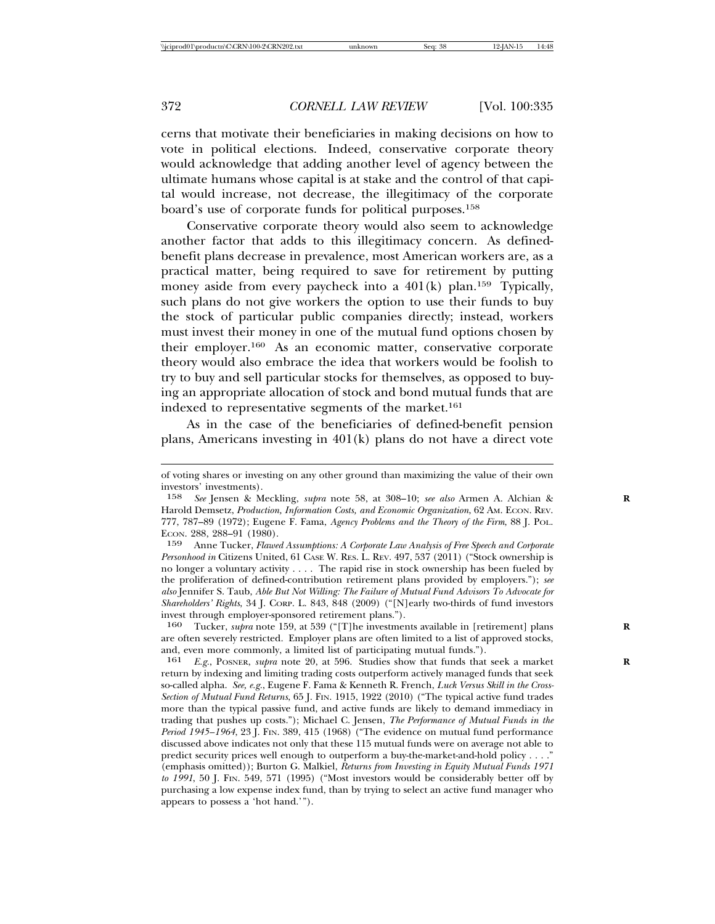cerns that motivate their beneficiaries in making decisions on how to vote in political elections. Indeed, conservative corporate theory would acknowledge that adding another level of agency between the ultimate humans whose capital is at stake and the control of that capital would increase, not decrease, the illegitimacy of the corporate board's use of corporate funds for political purposes.158

Conservative corporate theory would also seem to acknowledge another factor that adds to this illegitimacy concern. As definedbenefit plans decrease in prevalence, most American workers are, as a practical matter, being required to save for retirement by putting money aside from every paycheck into a 401(k) plan.<sup>159</sup> Typically, such plans do not give workers the option to use their funds to buy the stock of particular public companies directly; instead, workers must invest their money in one of the mutual fund options chosen by their employer.160 As an economic matter, conservative corporate theory would also embrace the idea that workers would be foolish to try to buy and sell particular stocks for themselves, as opposed to buying an appropriate allocation of stock and bond mutual funds that are indexed to representative segments of the market.<sup>161</sup>

As in the case of the beneficiaries of defined-benefit pension plans, Americans investing in 401(k) plans do not have a direct vote

of voting shares or investing on any other ground than maximizing the value of their own investors' investments).

<sup>158</sup> *See* Jensen & Meckling, *supra* note 58, at 308–10; *see also* Armen A. Alchian & **R** Harold Demsetz, *Production, Information Costs, and Economic Organization*, 62 AM. ECON. REV. 777, 787–89 (1972); Eugene F. Fama, *Agency Problems and the Theory of the Firm*, 88 J. POL. ECON. 288, 288–91 (1980).

<sup>159</sup> Anne Tucker, *Flawed Assumptions: A Corporate Law Analysis of Free Speech and Corporate Personhood in* Citizens United, 61 CASE W. RES. L. REV. 497, 537 (2011) ("Stock ownership is no longer a voluntary activity . . . . The rapid rise in stock ownership has been fueled by the proliferation of defined-contribution retirement plans provided by employers."); *see also* Jennifer S. Taub, *Able But Not Willing: The Failure of Mutual Fund Advisors To Advocate for Shareholders' Rights*, 34 J. CORP. L. 843, 848 (2009) ("[N]early two-thirds of fund investors invest through employer-sponsored retirement plans.").

<sup>160</sup> Tucker, *supra* note 159, at 539 ("[T]he investments available in [retirement] plans **R** are often severely restricted. Employer plans are often limited to a list of approved stocks, and, even more commonly, a limited list of participating mutual funds.").

<sup>161</sup> *E.g.*, POSNER, *supra* note 20, at 596. Studies show that funds that seek a market **R** return by indexing and limiting trading costs outperform actively managed funds that seek so-called alpha. *See, e.g.*, Eugene F. Fama & Kenneth R. French, *Luck Versus Skill in the Cross-Section of Mutual Fund Returns*, 65 J. FIN. 1915, 1922 (2010) ("The typical active fund trades more than the typical passive fund, and active funds are likely to demand immediacy in trading that pushes up costs."); Michael C. Jensen, *The Performance of Mutual Funds in the Period 1945–1964*, 23 J. FIN. 389, 415 (1968) ("The evidence on mutual fund performance discussed above indicates not only that these 115 mutual funds were on average not able to predict security prices well enough to outperform a buy-the-market-and-hold policy . . . ." (emphasis omitted)); Burton G. Malkiel, *Returns from Investing in Equity Mutual Funds 1971 to 1991*, 50 J. FIN. 549, 571 (1995) ("Most investors would be considerably better off by purchasing a low expense index fund, than by trying to select an active fund manager who appears to possess a 'hot hand.'").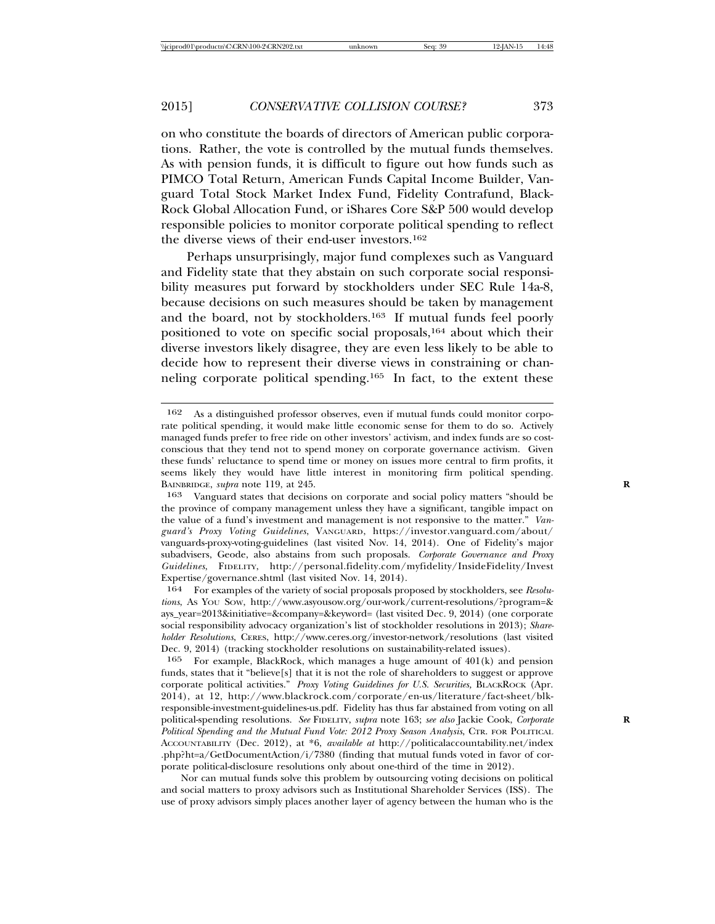on who constitute the boards of directors of American public corporations. Rather, the vote is controlled by the mutual funds themselves. As with pension funds, it is difficult to figure out how funds such as PIMCO Total Return, American Funds Capital Income Builder, Vanguard Total Stock Market Index Fund, Fidelity Contrafund, Black-Rock Global Allocation Fund, or iShares Core S&P 500 would develop responsible policies to monitor corporate political spending to reflect the diverse views of their end-user investors.162

Perhaps unsurprisingly, major fund complexes such as Vanguard and Fidelity state that they abstain on such corporate social responsibility measures put forward by stockholders under SEC Rule 14a-8, because decisions on such measures should be taken by management and the board, not by stockholders.163 If mutual funds feel poorly positioned to vote on specific social proposals,164 about which their diverse investors likely disagree, they are even less likely to be able to decide how to represent their diverse views in constraining or channeling corporate political spending.165 In fact, to the extent these

Nor can mutual funds solve this problem by outsourcing voting decisions on political and social matters to proxy advisors such as Institutional Shareholder Services (ISS). The use of proxy advisors simply places another layer of agency between the human who is the

<sup>162</sup> As a distinguished professor observes, even if mutual funds could monitor corporate political spending, it would make little economic sense for them to do so. Actively managed funds prefer to free ride on other investors' activism, and index funds are so costconscious that they tend not to spend money on corporate governance activism. Given these funds' reluctance to spend time or money on issues more central to firm profits, it seems likely they would have little interest in monitoring firm political spending. BAINBRIDGE, *supra* note 119, at 245. **R**

<sup>163</sup> Vanguard states that decisions on corporate and social policy matters "should be the province of company management unless they have a significant, tangible impact on the value of a fund's investment and management is not responsive to the matter." *Vanguard's Proxy Voting Guidelines*, VANGUARD, https://investor.vanguard.com/about/ vanguards-proxy-voting-guidelines (last visited Nov. 14, 2014). One of Fidelity's major subadvisers, Geode, also abstains from such proposals. *Corporate Governance and Proxy Guidelines*, FIDELITY, http://personal.fidelity.com/myfidelity/InsideFidelity/Invest Expertise/governance.shtml (last visited Nov. 14, 2014).

<sup>164</sup> For examples of the variety of social proposals proposed by stockholders, see *Resolutions*, AS YOU SOW, http://www.asyousow.org/our-work/current-resolutions/?program=& ays\_year=2013&initiative=&company=&keyword= (last visited Dec. 9, 2014) (one corporate social responsibility advocacy organization's list of stockholder resolutions in 2013); *Shareholder Resolutions*, CERES, http://www.ceres.org/investor-network/resolutions (last visited Dec. 9, 2014) (tracking stockholder resolutions on sustainability-related issues).

 $165$  For example, BlackRock, which manages a huge amount of  $401(k)$  and pension funds, states that it "believe[s] that it is not the role of shareholders to suggest or approve corporate political activities." *Proxy Voting Guidelines for U.S. Securities,* BLACKROCK (Apr. 2014), at 12, http://www.blackrock.com/corporate/en-us/literature/fact-sheet/blkresponsible-investment-guidelines-us.pdf. Fidelity has thus far abstained from voting on all political-spending resolutions. See FIDELITY, supra note 163; see also Jackie Cook, Corporate *Political Spending and the Mutual Fund Vote: 2012 Proxy Season Analysis*, CTR. FOR POLITICAL ACCOUNTABILITY (Dec. 2012), at \*6, *available at* http://politicalaccountability.net/index .php?ht=a/GetDocumentAction/ $i/7380$  (finding that mutual funds voted in favor of corporate political-disclosure resolutions only about one-third of the time in 2012).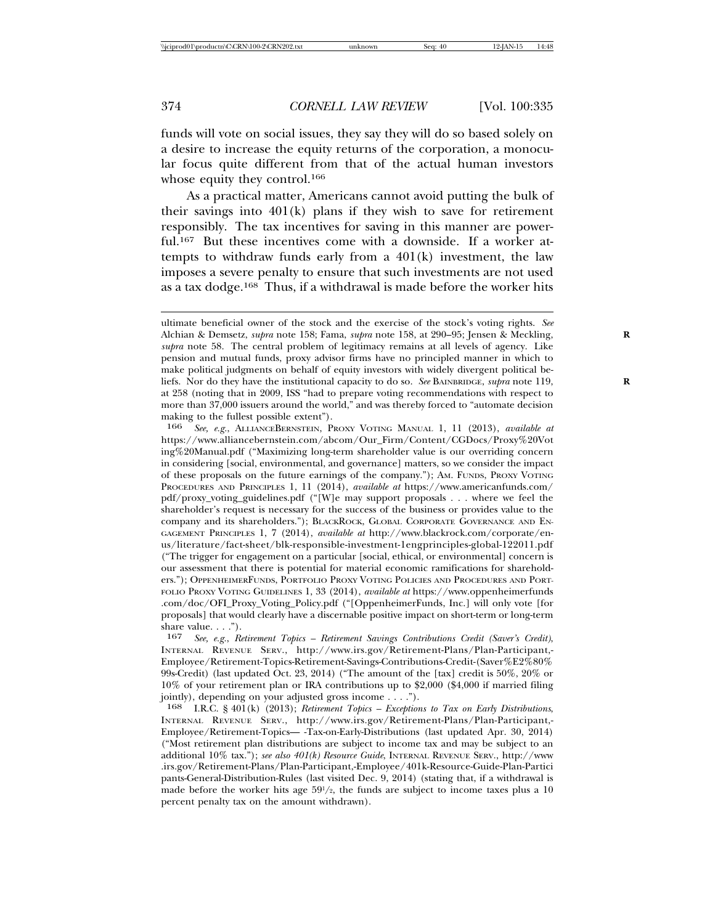funds will vote on social issues, they say they will do so based solely on a desire to increase the equity returns of the corporation, a monocular focus quite different from that of the actual human investors whose equity they control.<sup>166</sup>

As a practical matter, Americans cannot avoid putting the bulk of their savings into  $401(k)$  plans if they wish to save for retirement responsibly. The tax incentives for saving in this manner are powerful.167 But these incentives come with a downside. If a worker attempts to withdraw funds early from a 401(k) investment, the law imposes a severe penalty to ensure that such investments are not used as a tax dodge.168 Thus, if a withdrawal is made before the worker hits

166 *See, e.g.*, ALLIANCEBERNSTEIN, PROXY VOTING MANUAL 1, 11 (2013), *available at* https://www.alliancebernstein.com/abcom/Our\_Firm/Content/CGDocs/Proxy%20Vot ing%20Manual.pdf ("Maximizing long-term shareholder value is our overriding concern in considering [social, environmental, and governance] matters, so we consider the impact of these proposals on the future earnings of the company."); AM. FUNDS, PROXY VOTING PROCEDURES AND PRINCIPLES 1, 11 (2014), *available at* https://www.americanfunds.com/ pdf/proxy\_voting\_guidelines.pdf ("[W]e may support proposals . . . where we feel the shareholder's request is necessary for the success of the business or provides value to the company and its shareholders."); BLACKROCK, GLOBAL CORPORATE GOVERNANCE AND EN-GAGEMENT PRINCIPLES 1, 7 (2014), *available at* http://www.blackrock.com/corporate/enus/literature/fact-sheet/blk-responsible-investment-1engprinciples-global-122011.pdf ("The trigger for engagement on a particular [social, ethical, or environmental] concern is our assessment that there is potential for material economic ramifications for shareholders."); OPPENHEIMERFUNDS, PORTFOLIO PROXY VOTING POLICIES AND PROCEDURES AND PORT-FOLIO PROXY VOTING GUIDELINES 1, 33 (2014), *available at* https://www.oppenheimerfunds .com/doc/OFI\_Proxy\_Voting\_Policy.pdf ("[OppenheimerFunds, Inc.] will only vote [for proposals] that would clearly have a discernable positive impact on short-term or long-term share value.  $\ldots$ ").

167 *See, e.g.*, *Retirement Topics – Retirement Savings Contributions Credit (Saver's Credit)*, INTERNAL REVENUE SERV., http://www.irs.gov/Retirement-Plans/Plan-Participant,- Employee/Retirement-Topics-Retirement-Savings-Contributions-Credit-(Saver%E2%80% 99s-Credit) (last updated Oct. 23, 2014) ("The amount of the [tax] credit is 50%, 20% or 10% of your retirement plan or IRA contributions up to \$2,000 (\$4,000 if married filing jointly), depending on your adjusted gross income . . . .").

168 I.R.C. § 401(k) (2013); *Retirement Topics – Exceptions to Tax on Early Distributions*, INTERNAL REVENUE SERV., http://www.irs.gov/Retirement-Plans/Plan-Participant,- Employee/Retirement-Topics— -Tax-on-Early-Distributions (last updated Apr. 30, 2014) ("Most retirement plan distributions are subject to income tax and may be subject to an additional 10% tax."); *see also 401(k) Resource Guide*, INTERNAL REVENUE SERV., http://www .irs.gov/Retirement-Plans/Plan-Participant,-Employee/401k-Resource-Guide-Plan-Partici pants-General-Distribution-Rules (last visited Dec. 9, 2014) (stating that, if a withdrawal is made before the worker hits age  $59<sup>1</sup>/2$ , the funds are subject to income taxes plus a 10 percent penalty tax on the amount withdrawn).

ultimate beneficial owner of the stock and the exercise of the stock's voting rights. *See* Alchian & Demsetz, *supra* note 158; Fama, *supra* note 158, at 290–95; Jensen & Meckling, **R** *supra* note 58. The central problem of legitimacy remains at all levels of agency. Like pension and mutual funds, proxy advisor firms have no principled manner in which to make political judgments on behalf of equity investors with widely divergent political beliefs. Nor do they have the institutional capacity to do so. *See* BAINBRIDGE, *supra* note 119, at 258 (noting that in 2009, ISS "had to prepare voting recommendations with respect to more than 37,000 issuers around the world," and was thereby forced to "automate decision making to the fullest possible extent").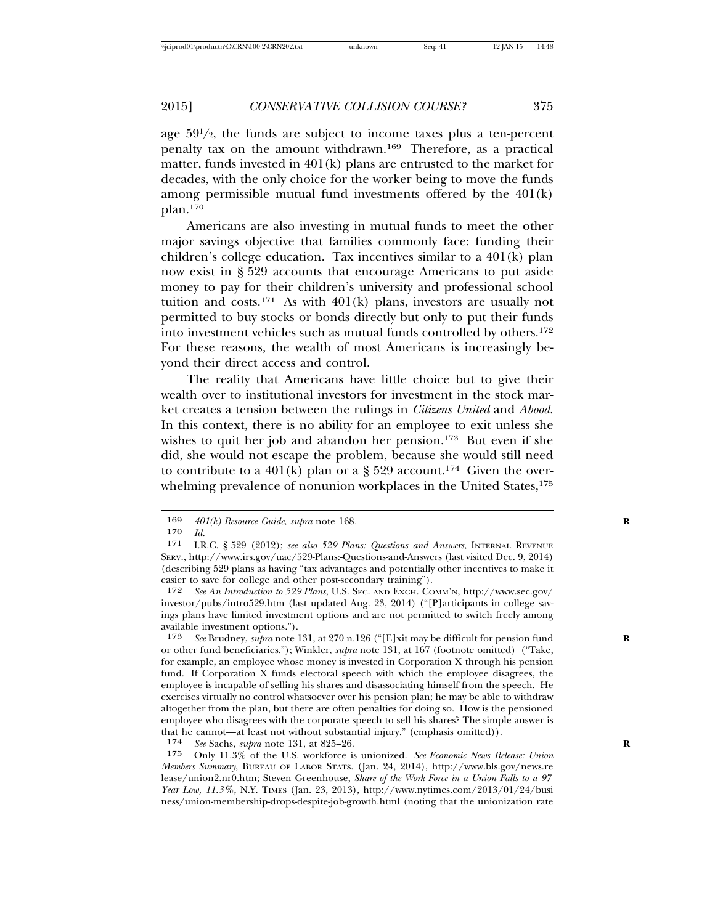age 591 /2, the funds are subject to income taxes plus a ten-percent penalty tax on the amount withdrawn.169 Therefore, as a practical matter, funds invested in 401(k) plans are entrusted to the market for decades, with the only choice for the worker being to move the funds among permissible mutual fund investments offered by the 401(k) plan.170

Americans are also investing in mutual funds to meet the other major savings objective that families commonly face: funding their children's college education. Tax incentives similar to a 401(k) plan now exist in § 529 accounts that encourage Americans to put aside money to pay for their children's university and professional school tuition and costs.<sup>171</sup> As with  $401(k)$  plans, investors are usually not permitted to buy stocks or bonds directly but only to put their funds into investment vehicles such as mutual funds controlled by others.172 For these reasons, the wealth of most Americans is increasingly beyond their direct access and control.

The reality that Americans have little choice but to give their wealth over to institutional investors for investment in the stock market creates a tension between the rulings in *Citizens United* and *Abood*. In this context, there is no ability for an employee to exit unless she wishes to quit her job and abandon her pension.<sup>173</sup> But even if she did, she would not escape the problem, because she would still need to contribute to a 401(k) plan or a  $\S 529$  account.<sup>174</sup> Given the overwhelming prevalence of nonunion workplaces in the United States,<sup>175</sup>

172 *See An Introduction to 529 Plans*, U.S. SEC. AND EXCH. COMM'N, http://www.sec.gov/ investor/pubs/intro529.htm (last updated Aug. 23, 2014) ("[P]articipants in college savings plans have limited investment options and are not permitted to switch freely among available investment options.").<br>173 See Brudney, *subra* note 1

See Brudney, *supra* note 131, at 270 n.126 ("[E]xit may be difficult for pension fund or other fund beneficiaries."); Winkler, *supra* note 131, at 167 (footnote omitted) ("Take, for example, an employee whose money is invested in Corporation X through his pension fund. If Corporation X funds electoral speech with which the employee disagrees, the employee is incapable of selling his shares and disassociating himself from the speech. He exercises virtually no control whatsoever over his pension plan; he may be able to withdraw altogether from the plan, but there are often penalties for doing so. How is the pensioned employee who disagrees with the corporate speech to sell his shares? The simple answer is that he cannot—at least not without substantial injury." (emphasis omitted)).<br> $174 \,$  See Sachs, subra note 131 at 895–96

174 *See* Sachs, *supra* note 131, at 825–26. **R**

175 Only 11.3% of the U.S. workforce is unionized. *See Economic News Release: Union Members Summary*, BUREAU OF LABOR STATS. (Jan. 24, 2014), http://www.bls.gov/news.re lease/union2.nr0.htm; Steven Greenhouse, *Share of the Work Force in a Union Falls to a 97- Year Low, 11.3%*, N.Y. TIMES (Jan. 23, 2013), http://www.nytimes.com/2013/01/24/busi ness/union-membership-drops-despite-job-growth.html (noting that the unionization rate

<sup>169</sup> *401(k) Resource Guide*, *supra* note 168*.* **R**

<sup>170</sup> *Id.*

I.R.C. § 529 (2012); see also 529 Plans: Questions and Answers, INTERNAL REVENUE SERV., http://www.irs.gov/uac/529-Plans:-Questions-and-Answers (last visited Dec. 9, 2014) (describing 529 plans as having "tax advantages and potentially other incentives to make it easier to save for college and other post-secondary training").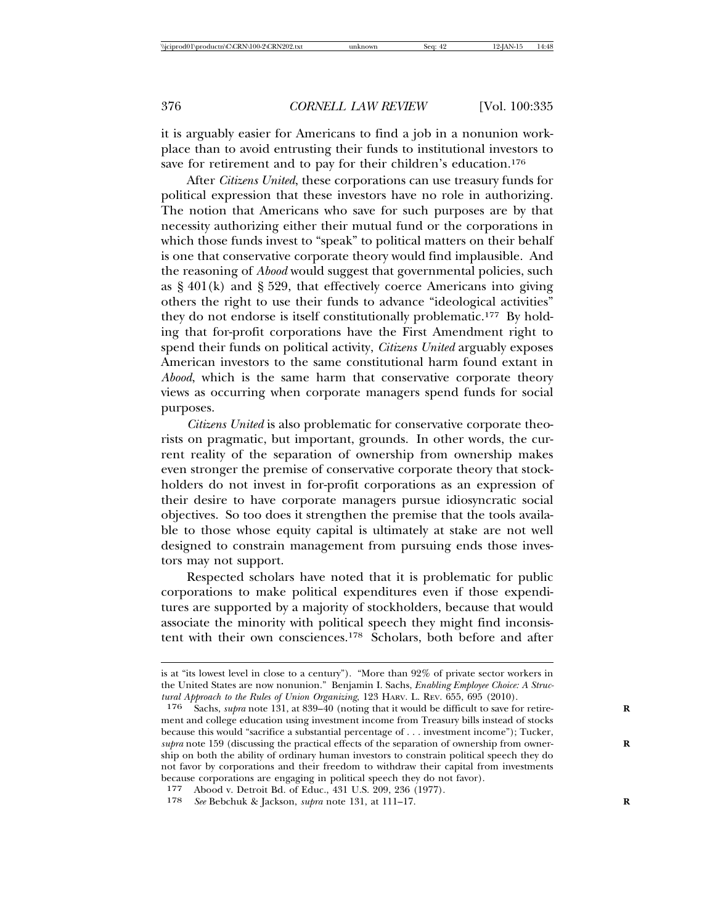it is arguably easier for Americans to find a job in a nonunion workplace than to avoid entrusting their funds to institutional investors to save for retirement and to pay for their children's education.<sup>176</sup>

After *Citizens United*, these corporations can use treasury funds for political expression that these investors have no role in authorizing. The notion that Americans who save for such purposes are by that necessity authorizing either their mutual fund or the corporations in which those funds invest to "speak" to political matters on their behalf is one that conservative corporate theory would find implausible. And the reasoning of *Abood* would suggest that governmental policies, such as  $\S$  401(k) and  $\S$  529, that effectively coerce Americans into giving others the right to use their funds to advance "ideological activities" they do not endorse is itself constitutionally problematic.177 By holding that for-profit corporations have the First Amendment right to spend their funds on political activity, *Citizens United* arguably exposes American investors to the same constitutional harm found extant in *Abood*, which is the same harm that conservative corporate theory views as occurring when corporate managers spend funds for social purposes.

*Citizens United* is also problematic for conservative corporate theorists on pragmatic, but important, grounds. In other words, the current reality of the separation of ownership from ownership makes even stronger the premise of conservative corporate theory that stockholders do not invest in for-profit corporations as an expression of their desire to have corporate managers pursue idiosyncratic social objectives. So too does it strengthen the premise that the tools available to those whose equity capital is ultimately at stake are not well designed to constrain management from pursuing ends those investors may not support.

Respected scholars have noted that it is problematic for public corporations to make political expenditures even if those expenditures are supported by a majority of stockholders, because that would associate the minority with political speech they might find inconsistent with their own consciences.178 Scholars, both before and after

is at "its lowest level in close to a century"). "More than 92% of private sector workers in the United States are now nonunion." Benjamin I. Sachs, *Enabling Employee Choice: A Structural Approach to the Rules of Union Organizing*, 123 HARV. L. REV. 655, 695 (2010).

<sup>176</sup> Sachs, *supra* note 131, at 839–40 (noting that it would be difficult to save for retire- **R** ment and college education using investment income from Treasury bills instead of stocks because this would "sacrifice a substantial percentage of . . . investment income"); Tucker, *supra* note 159 (discussing the practical effects of the separation of ownership from ownership on both the ability of ordinary human investors to constrain political speech they do not favor by corporations and their freedom to withdraw their capital from investments because corporations are engaging in political speech they do not favor).

<sup>177</sup> Abood v. Detroit Bd. of Educ., 431 U.S. 209, 236 (1977).

<sup>178</sup> *See* Bebchuk & Jackson, *supra* note 131, at 111–17. **R**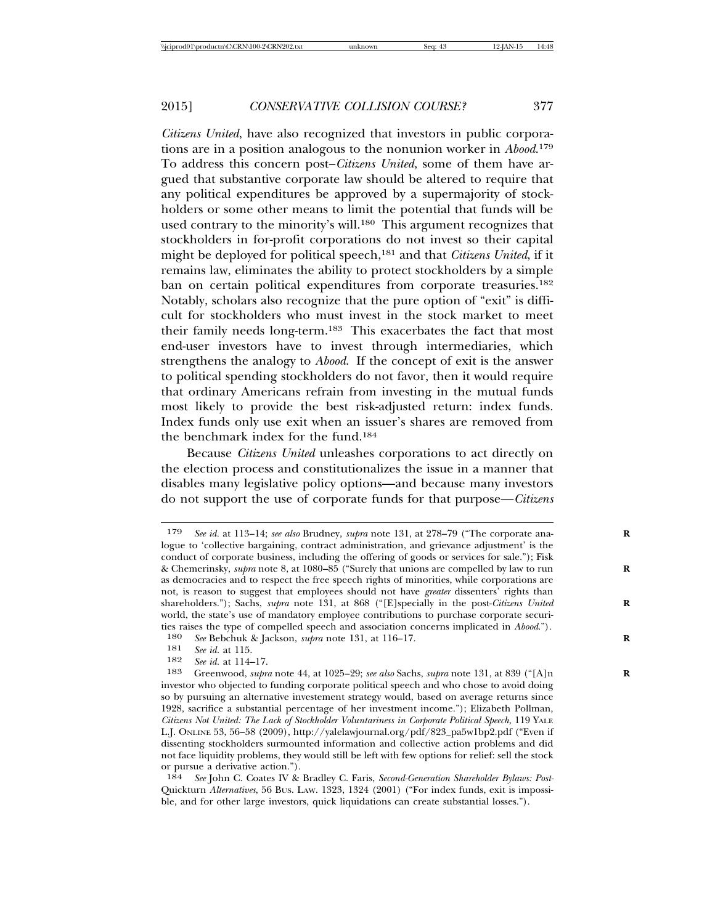*Citizens United*, have also recognized that investors in public corporations are in a position analogous to the nonunion worker in *Abood*. 179 To address this concern post–*Citizens United*, some of them have argued that substantive corporate law should be altered to require that any political expenditures be approved by a supermajority of stockholders or some other means to limit the potential that funds will be used contrary to the minority's will.<sup>180</sup> This argument recognizes that stockholders in for-profit corporations do not invest so their capital might be deployed for political speech,181 and that *Citizens United*, if it remains law, eliminates the ability to protect stockholders by a simple ban on certain political expenditures from corporate treasuries.<sup>182</sup> Notably, scholars also recognize that the pure option of "exit" is difficult for stockholders who must invest in the stock market to meet their family needs long-term.183 This exacerbates the fact that most end-user investors have to invest through intermediaries, which strengthens the analogy to *Abood*. If the concept of exit is the answer to political spending stockholders do not favor, then it would require that ordinary Americans refrain from investing in the mutual funds most likely to provide the best risk-adjusted return: index funds. Index funds only use exit when an issuer's shares are removed from the benchmark index for the fund.184

Because *Citizens United* unleashes corporations to act directly on the election process and constitutionalizes the issue in a manner that disables many legislative policy options—and because many investors do not support the use of corporate funds for that purpose—*Citizens*

<sup>179</sup> *See id.* at 113–14; *see also* Brudney, *supra* note 131, at 278–79 ("The corporate ana- **R** logue to 'collective bargaining, contract administration, and grievance adjustment' is the conduct of corporate business, including the offering of goods or services for sale."); Fisk & Chemerinsky, *supra* note 8, at 1080–85 ("Surely that unions are compelled by law to run **R** as democracies and to respect the free speech rights of minorities, while corporations are not, is reason to suggest that employees should not have *greater* dissenters' rights than shareholders."); Sachs, *supra* note 131, at 868 ("[E]specially in the post-Citizens United world, the state's use of mandatory employee contributions to purchase corporate securities raises the type of compelled speech and association concerns implicated in *Abood.*").<br>180 See Behchuk & Jackson, subra note 131 at 116–17

<sup>180</sup> *See* Bebchuk & Jackson, *supra* note 131, at 116–17. **R**

<sup>181</sup> *See id.* at 115.

<sup>182</sup> *See id.* at 114–17.

Greenwood, *supra* note 44, at 1025–29; *see also* Sachs, *supra* note 131, at 839 ("[A]n investor who objected to funding corporate political speech and who chose to avoid doing so by pursuing an alternative investement strategy would, based on average returns since 1928, sacrifice a substantial percentage of her investment income."); Elizabeth Pollman, *Citizens Not United: The Lack of Stockholder Voluntariness in Corporate Political Speech*, 119 YALE L.J. ONLINE 53, 56–58 (2009), http://yalelawjournal.org/pdf/823\_pa5w1bp2.pdf ("Even if dissenting stockholders surmounted information and collective action problems and did not face liquidity problems, they would still be left with few options for relief: sell the stock or pursue a derivative action.").

<sup>184</sup> *See* John C. Coates IV & Bradley C. Faris, *Second-Generation Shareholder Bylaws: Post-*Quickturn *Alternatives*, 56 BUS. LAW. 1323, 1324 (2001) ("For index funds, exit is impossible, and for other large investors, quick liquidations can create substantial losses.").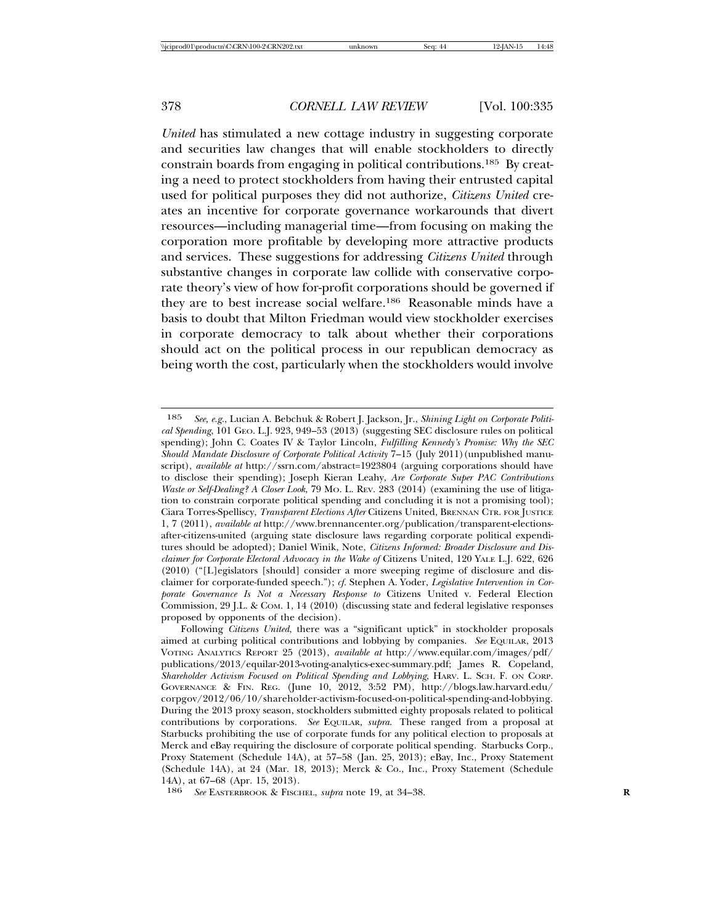*United* has stimulated a new cottage industry in suggesting corporate and securities law changes that will enable stockholders to directly constrain boards from engaging in political contributions.185 By creating a need to protect stockholders from having their entrusted capital used for political purposes they did not authorize, *Citizens United* creates an incentive for corporate governance workarounds that divert resources—including managerial time—from focusing on making the corporation more profitable by developing more attractive products and services. These suggestions for addressing *Citizens United* through substantive changes in corporate law collide with conservative corporate theory's view of how for-profit corporations should be governed if they are to best increase social welfare.186 Reasonable minds have a basis to doubt that Milton Friedman would view stockholder exercises in corporate democracy to talk about whether their corporations should act on the political process in our republican democracy as being worth the cost, particularly when the stockholders would involve

<sup>185</sup> *See, e.g.*, Lucian A. Bebchuk & Robert J. Jackson, Jr., *Shining Light on Corporate Political Spending*, 101 GEO. L.J. 923, 949–53 (2013) (suggesting SEC disclosure rules on political spending); John C. Coates IV & Taylor Lincoln, *Fulfilling Kennedy's Promise: Why the SEC Should Mandate Disclosure of Corporate Political Activity* 7–15 (July 2011)(unpublished manuscript), *available at* http://ssrn.com/abstract=1923804 (arguing corporations should have to disclose their spending); Joseph Kieran Leahy, *Are Corporate Super PAC Contributions Waste or Self-Dealing? A Closer Look*, 79 MO. L. REV. 283 (2014) (examining the use of litigation to constrain corporate political spending and concluding it is not a promising tool); Ciara Torres-Spelliscy, *Transparent Elections After* Citizens United, BRENNAN CTR. FOR JUSTICE 1, 7 (2011), *available at* http://www.brennancenter.org/publication/transparent-electionsafter-citizens-united (arguing state disclosure laws regarding corporate political expenditures should be adopted); Daniel Winik, Note, *Citizens Informed: Broader Disclosure and Disclaimer for Corporate Electoral Advocacy in the Wake of* Citizens United, 120 YALE L.J. 622, 626 (2010) ("[L]egislators [should] consider a more sweeping regime of disclosure and disclaimer for corporate-funded speech."); *cf.* Stephen A. Yoder, *Legislative Intervention in Corporate Governance Is Not a Necessary Response to* Citizens United v. Federal Election Commission, 29 J.L. & COM. 1, 14 (2010) (discussing state and federal legislative responses proposed by opponents of the decision).

Following *Citizens United*, there was a "significant uptick" in stockholder proposals aimed at curbing political contributions and lobbying by companies. *See* EQUILAR, 2013 VOTING ANALYTICS REPORT 25 (2013), *available at* http://www.equilar.com/images/pdf/ publications/2013/equilar-2013-voting-analytics-exec-summary.pdf; James R. Copeland, *Shareholder Activism Focused on Political Spending and Lobbying*, HARV. L. SCH. F. ON CORP. GOVERNANCE & FIN. REG. (June 10, 2012, 3:52 PM), http://blogs.law.harvard.edu/ corpgov/2012/06/10/shareholder-activism-focused-on-political-spending-and-lobbying. During the 2013 proxy season, stockholders submitted eighty proposals related to political contributions by corporations. *See* EQUILAR, *supra*. These ranged from a proposal at Starbucks prohibiting the use of corporate funds for any political election to proposals at Merck and eBay requiring the disclosure of corporate political spending. Starbucks Corp., Proxy Statement (Schedule 14A), at 57–58 (Jan. 25, 2013); eBay, Inc., Proxy Statement (Schedule 14A), at 24 (Mar. 18, 2013); Merck & Co., Inc., Proxy Statement (Schedule 14A), at 67–68 (Apr. 15, 2013).

<sup>186</sup> *See* EASTERBROOK & FISCHEL, *supra* note 19, at 34–38. **R**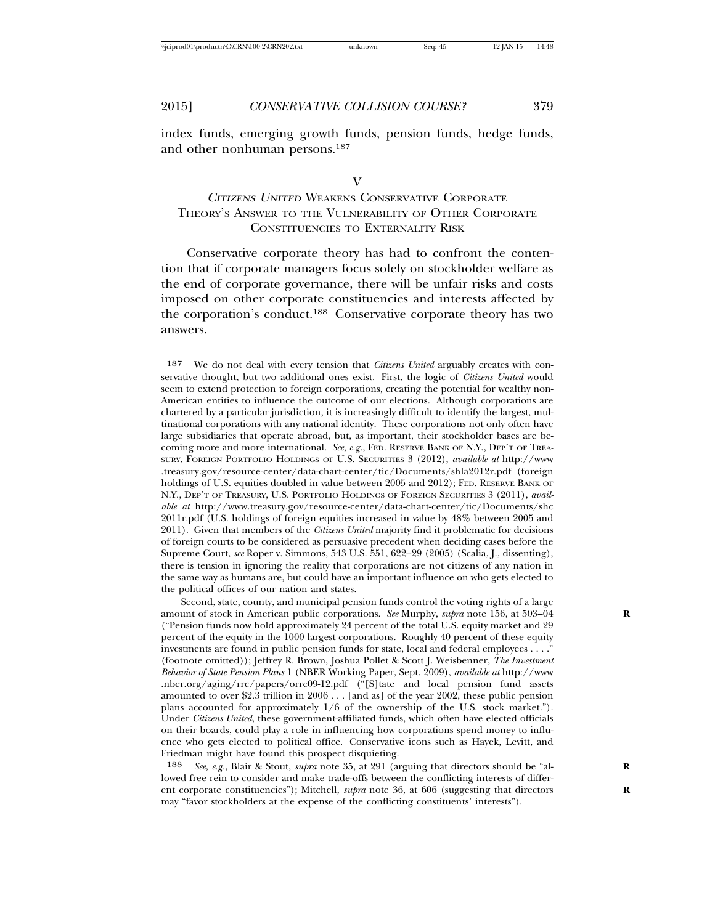index funds, emerging growth funds, pension funds, hedge funds, and other nonhuman persons.187

#### V

# <sup>C</sup>ITIZENS UNITED WEAKENS CONSERVATIVE CORPORATE THEORY'S ANSWER TO THE VULNERABILITY OF OTHER CORPORATE CONSTITUENCIES TO EXTERNALITY RISK

Conservative corporate theory has had to confront the contention that if corporate managers focus solely on stockholder welfare as the end of corporate governance, there will be unfair risks and costs imposed on other corporate constituencies and interests affected by the corporation's conduct.188 Conservative corporate theory has two answers.

187 We do not deal with every tension that *Citizens United* arguably creates with conservative thought, but two additional ones exist. First, the logic of *Citizens United* would seem to extend protection to foreign corporations, creating the potential for wealthy non-American entities to influence the outcome of our elections. Although corporations are chartered by a particular jurisdiction, it is increasingly difficult to identify the largest, multinational corporations with any national identity. These corporations not only often have large subsidiaries that operate abroad, but, as important, their stockholder bases are becoming more and more international. *See, e.g.*, FED. RESERVE BANK OF N.Y., DEP'T OF TREA-SURY, FOREIGN PORTFOLIO HOLDINGS OF U.S. SECURITIES 3 (2012), *available at* http://www .treasury.gov/resource-center/data-chart-center/tic/Documents/shla2012r.pdf (foreign holdings of U.S. equities doubled in value between 2005 and 2012); FED. RESERVE BANK OF N.Y., DEP'T OF TREASURY, U.S. PORTFOLIO HOLDINGS OF FOREIGN SECURITIES 3 (2011), *available at* http://www.treasury.gov/resource-center/data-chart-center/tic/Documents/shc 2011r.pdf (U.S. holdings of foreign equities increased in value by 48% between 2005 and 2011). Given that members of the *Citizens United* majority find it problematic for decisions of foreign courts to be considered as persuasive precedent when deciding cases before the Supreme Court, *see* Roper v. Simmons, 543 U.S. 551, 622–29 (2005) (Scalia, J., dissenting), there is tension in ignoring the reality that corporations are not citizens of any nation in the same way as humans are, but could have an important influence on who gets elected to the political offices of our nation and states.

Second, state, county, and municipal pension funds control the voting rights of a large amount of stock in American public corporations. *See* Murphy, *supra* note 156, at 503–04 **R** ("Pension funds now hold approximately 24 percent of the total U.S. equity market and 29 percent of the equity in the 1000 largest corporations. Roughly 40 percent of these equity investments are found in public pension funds for state, local and federal employees . . . ." (footnote omitted)); Jeffrey R. Brown, Joshua Pollet & Scott J. Weisbenner, *The Investment Behavior of State Pension Plans* 1 (NBER Working Paper, Sept. 2009), *available at* http://www .nber.org/aging/rrc/papers/orrc09-12.pdf ("[S]tate and local pension fund assets amounted to over \$2.3 trillion in 2006 . . . [and as] of the year 2002, these public pension plans accounted for approximately 1/6 of the ownership of the U.S. stock market."). Under *Citizens United*, these government-affiliated funds, which often have elected officials on their boards, could play a role in influencing how corporations spend money to influence who gets elected to political office. Conservative icons such as Hayek, Levitt, and Friedman might have found this prospect disquieting.

188 *See, e.g.*, Blair & Stout, *supra* note 35, at 291 (arguing that directors should be "al- **R** lowed free rein to consider and make trade-offs between the conflicting interests of different corporate constituencies"); Mitchell, *supra* note 36, at 606 (suggesting that directors may "favor stockholders at the expense of the conflicting constituents' interests").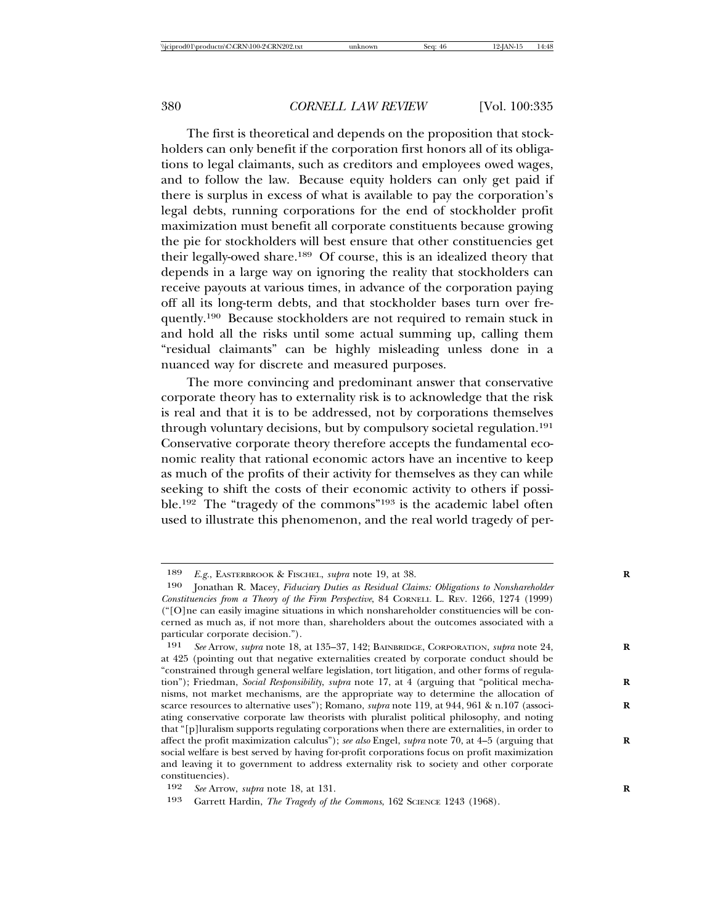The first is theoretical and depends on the proposition that stockholders can only benefit if the corporation first honors all of its obligations to legal claimants, such as creditors and employees owed wages, and to follow the law. Because equity holders can only get paid if there is surplus in excess of what is available to pay the corporation's legal debts, running corporations for the end of stockholder profit maximization must benefit all corporate constituents because growing the pie for stockholders will best ensure that other constituencies get their legally-owed share.189 Of course, this is an idealized theory that depends in a large way on ignoring the reality that stockholders can receive payouts at various times, in advance of the corporation paying off all its long-term debts, and that stockholder bases turn over frequently.190 Because stockholders are not required to remain stuck in and hold all the risks until some actual summing up, calling them "residual claimants" can be highly misleading unless done in a nuanced way for discrete and measured purposes.

The more convincing and predominant answer that conservative corporate theory has to externality risk is to acknowledge that the risk is real and that it is to be addressed, not by corporations themselves through voluntary decisions, but by compulsory societal regulation.191 Conservative corporate theory therefore accepts the fundamental economic reality that rational economic actors have an incentive to keep as much of the profits of their activity for themselves as they can while seeking to shift the costs of their economic activity to others if possible.192 The "tragedy of the commons"193 is the academic label often used to illustrate this phenomenon, and the real world tragedy of per-

<sup>189</sup> *E.g.*, EASTERBROOK & FISCHEL, *supra* note 19, at 38. **R**

<sup>190</sup> Jonathan R. Macey, *Fiduciary Duties as Residual Claims: Obligations to Nonshareholder Constituencies from a Theory of the Firm Perspective*, 84 CORNELL L. REV. 1266, 1274 (1999) ("[O]ne can easily imagine situations in which nonshareholder constituencies will be concerned as much as, if not more than, shareholders about the outcomes associated with a particular corporate decision.").

<sup>191</sup> *See* Arrow, *supra* note 18, at 135–37, 142; BAINBRIDGE, CORPORATION, *supra* note 24, **R** at 425 (pointing out that negative externalities created by corporate conduct should be "constrained through general welfare legislation, tort litigation, and other forms of regulation"); Friedman, *Social Responsibility*, *supra* note 17, at 4 (arguing that "political mechanisms, not market mechanisms, are the appropriate way to determine the allocation of scarce resources to alternative uses"); Romano, *supra* note 119, at 944, 961 & n.107 (associating conservative corporate law theorists with pluralist political philosophy, and noting that "[p]luralism supports regulating corporations when there are externalities, in order to affect the profit maximization calculus"); *see also* Engel, *supra* note 70, at 4–5 (arguing that **R** social welfare is best served by having for-profit corporations focus on profit maximization and leaving it to government to address externality risk to society and other corporate constituencies).

<sup>192</sup> *See* Arrow, *supra* note 18, at 131.<br>193 *Corrett Hardin, The Tragedy of th* 

Garrett Hardin, *The Tragedy of the Commons*, 162 SCIENCE 1243 (1968).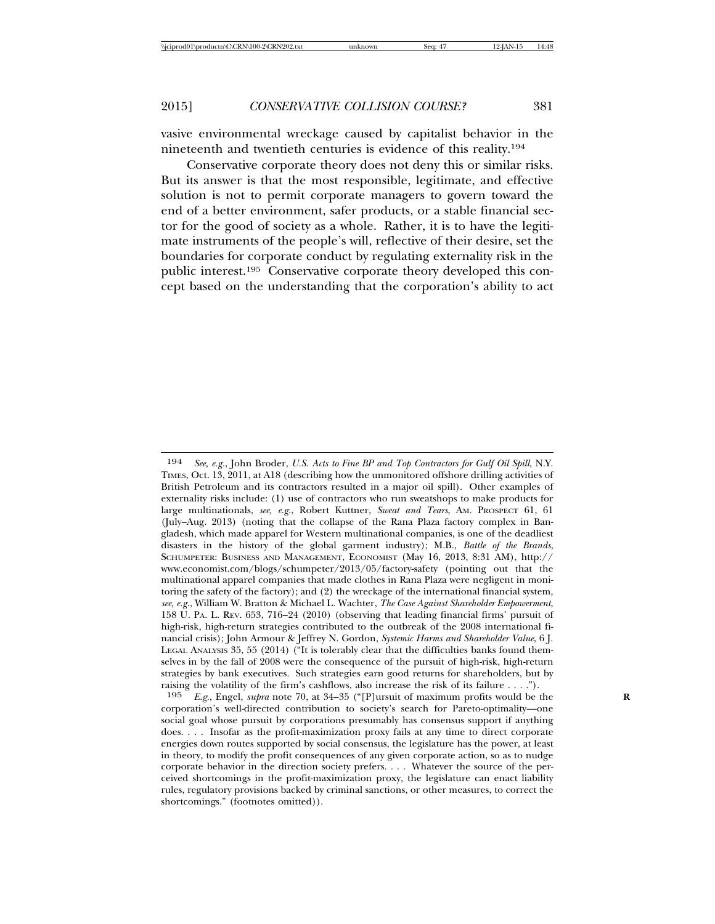vasive environmental wreckage caused by capitalist behavior in the nineteenth and twentieth centuries is evidence of this reality.194

Conservative corporate theory does not deny this or similar risks. But its answer is that the most responsible, legitimate, and effective solution is not to permit corporate managers to govern toward the end of a better environment, safer products, or a stable financial sector for the good of society as a whole. Rather, it is to have the legitimate instruments of the people's will, reflective of their desire, set the boundaries for corporate conduct by regulating externality risk in the public interest.195 Conservative corporate theory developed this concept based on the understanding that the corporation's ability to act

195 *E.g.*, Engel, *supra* note 70, at 34–35 ("[P]ursuit of maximum profits would be the **R** corporation's well-directed contribution to society's search for Pareto-optimality—one social goal whose pursuit by corporations presumably has consensus support if anything does. . . . Insofar as the profit-maximization proxy fails at any time to direct corporate energies down routes supported by social consensus, the legislature has the power, at least in theory, to modify the profit consequences of any given corporate action, so as to nudge corporate behavior in the direction society prefers. . . . Whatever the source of the perceived shortcomings in the profit-maximization proxy, the legislature can enact liability rules, regulatory provisions backed by criminal sanctions, or other measures, to correct the shortcomings." (footnotes omitted)).

<sup>194</sup> *See, e.g.*, John Broder, *U.S. Acts to Fine BP and Top Contractors for Gulf Oil Spill*, N.Y. TIMES, Oct. 13, 2011, at A18 (describing how the unmonitored offshore drilling activities of British Petroleum and its contractors resulted in a major oil spill). Other examples of externality risks include: (1) use of contractors who run sweatshops to make products for large multinationals, *see, e.g.*, Robert Kuttner, *Sweat and Tears*, AM. PROSPECT 61, 61 (July–Aug. 2013) (noting that the collapse of the Rana Plaza factory complex in Bangladesh, which made apparel for Western multinational companies, is one of the deadliest disasters in the history of the global garment industry); M.B., *Battle of the Brands*, SCHUMPETER: BUSINESS AND MANAGEMENT, ECONOMIST (May 16, 2013, 8:31 AM), http:// www.economist.com/blogs/schumpeter/2013/05/factory-safety (pointing out that the multinational apparel companies that made clothes in Rana Plaza were negligent in monitoring the safety of the factory); and (2) the wreckage of the international financial system, *see, e.g.*, William W. Bratton & Michael L. Wachter, *The Case Against Shareholder Empowerment*, 158 U. PA. L. REV. 653, 716–24 (2010) (observing that leading financial firms' pursuit of high-risk, high-return strategies contributed to the outbreak of the 2008 international financial crisis); John Armour & Jeffrey N. Gordon, *Systemic Harms and Shareholder Value*, 6 J. LEGAL ANALYSIS 35, 55 (2014) ("It is tolerably clear that the difficulties banks found themselves in by the fall of 2008 were the consequence of the pursuit of high-risk, high-return strategies by bank executives. Such strategies earn good returns for shareholders, but by raising the volatility of the firm's cashflows, also increase the risk of its failure . . . .").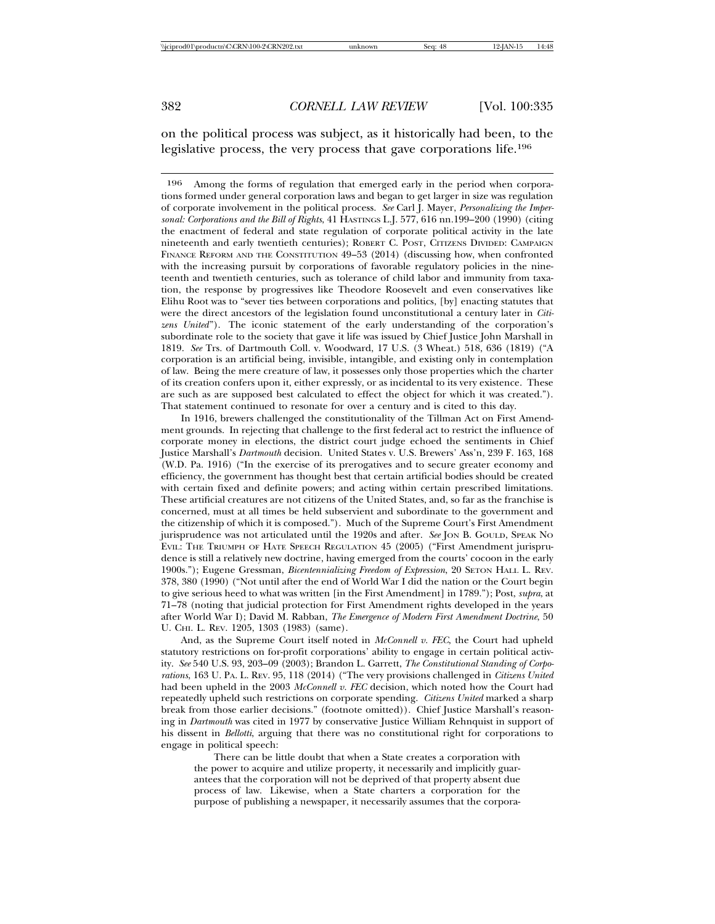on the political process was subject, as it historically had been, to the legislative process, the very process that gave corporations life.196

196 Among the forms of regulation that emerged early in the period when corporations formed under general corporation laws and began to get larger in size was regulation of corporate involvement in the political process. *See* Carl J. Mayer, *Personalizing the Impersonal: Corporations and the Bill of Rights*, 41 HASTINGS L.J. 577, 616 nn.199–200 (1990) (citing the enactment of federal and state regulation of corporate political activity in the late nineteenth and early twentieth centuries); ROBERT C. POST, CITIZENS DIVIDED: CAMPAIGN FINANCE REFORM AND THE CONSTITUTION 49-53 (2014) (discussing how, when confronted with the increasing pursuit by corporations of favorable regulatory policies in the nineteenth and twentieth centuries, such as tolerance of child labor and immunity from taxation, the response by progressives like Theodore Roosevelt and even conservatives like Elihu Root was to "sever ties between corporations and politics, [by] enacting statutes that were the direct ancestors of the legislation found unconstitutional a century later in *Citizens United*"). The iconic statement of the early understanding of the corporation's subordinate role to the society that gave it life was issued by Chief Justice John Marshall in 1819. *See* Trs. of Dartmouth Coll. v. Woodward, 17 U.S. (3 Wheat.) 518, 636 (1819) ("A corporation is an artificial being, invisible, intangible, and existing only in contemplation of law. Being the mere creature of law, it possesses only those properties which the charter of its creation confers upon it, either expressly, or as incidental to its very existence. These are such as are supposed best calculated to effect the object for which it was created."). That statement continued to resonate for over a century and is cited to this day.

In 1916, brewers challenged the constitutionality of the Tillman Act on First Amendment grounds. In rejecting that challenge to the first federal act to restrict the influence of corporate money in elections, the district court judge echoed the sentiments in Chief Justice Marshall's *Dartmouth* decision. United States v. U.S. Brewers' Ass'n, 239 F. 163, 168 (W.D. Pa. 1916) ("In the exercise of its prerogatives and to secure greater economy and efficiency, the government has thought best that certain artificial bodies should be created with certain fixed and definite powers; and acting within certain prescribed limitations. These artificial creatures are not citizens of the United States, and, so far as the franchise is concerned, must at all times be held subservient and subordinate to the government and the citizenship of which it is composed."). Much of the Supreme Court's First Amendment jurisprudence was not articulated until the 1920s and after. *See* JON B. GOULD, SPEAK NO EVIL: THE TRIUMPH OF HATE SPEECH REGULATION 45 (2005) ("First Amendment jurisprudence is still a relatively new doctrine, having emerged from the courts' cocoon in the early 1900s."); Eugene Gressman, *Bicentennializing Freedom of Expression*, 20 SETON HALL L. REV. 378, 380 (1990) ("Not until after the end of World War I did the nation or the Court begin to give serious heed to what was written [in the First Amendment] in 1789."); Post, *supra*, at 71–78 (noting that judicial protection for First Amendment rights developed in the years after World War I); David M. Rabban, *The Emergence of Modern First Amendment Doctrine*, 50 U. CHI. L. REV. 1205, 1303 (1983) (same).

And, as the Supreme Court itself noted in *McConnell v. FEC*, the Court had upheld statutory restrictions on for-profit corporations' ability to engage in certain political activity. *See* 540 U.S. 93, 203–09 (2003); Brandon L. Garrett, *The Constitutional Standing of Corporations*, 163 U. PA. L. REV. 95, 118 (2014) ("The very provisions challenged in *Citizens United* had been upheld in the 2003 *McConnell v. FEC* decision, which noted how the Court had repeatedly upheld such restrictions on corporate spending. *Citizens United* marked a sharp break from those earlier decisions." (footnote omitted)). Chief Justice Marshall's reasoning in *Dartmouth* was cited in 1977 by conservative Justice William Rehnquist in support of his dissent in *Bellotti*, arguing that there was no constitutional right for corporations to engage in political speech:

There can be little doubt that when a State creates a corporation with the power to acquire and utilize property, it necessarily and implicitly guarantees that the corporation will not be deprived of that property absent due process of law. Likewise, when a State charters a corporation for the purpose of publishing a newspaper, it necessarily assumes that the corpora-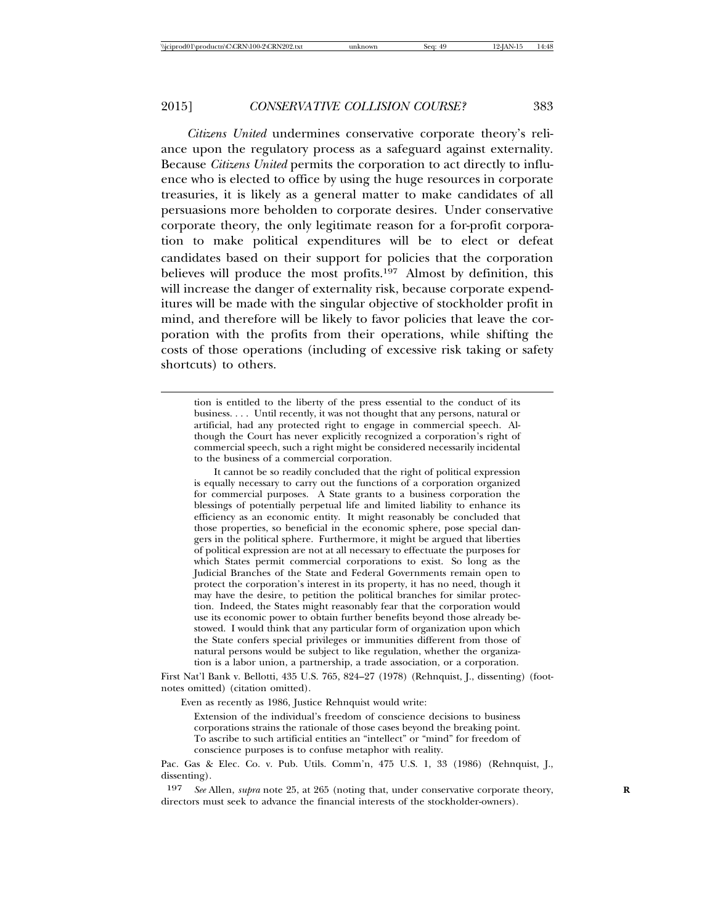*Citizens United* undermines conservative corporate theory's reliance upon the regulatory process as a safeguard against externality. Because *Citizens United* permits the corporation to act directly to influence who is elected to office by using the huge resources in corporate treasuries, it is likely as a general matter to make candidates of all persuasions more beholden to corporate desires. Under conservative corporate theory, the only legitimate reason for a for-profit corporation to make political expenditures will be to elect or defeat candidates based on their support for policies that the corporation believes will produce the most profits.197 Almost by definition, this will increase the danger of externality risk, because corporate expenditures will be made with the singular objective of stockholder profit in mind, and therefore will be likely to favor policies that leave the corporation with the profits from their operations, while shifting the costs of those operations (including of excessive risk taking or safety shortcuts) to others.

It cannot be so readily concluded that the right of political expression is equally necessary to carry out the functions of a corporation organized for commercial purposes. A State grants to a business corporation the blessings of potentially perpetual life and limited liability to enhance its efficiency as an economic entity. It might reasonably be concluded that those properties, so beneficial in the economic sphere, pose special dangers in the political sphere. Furthermore, it might be argued that liberties of political expression are not at all necessary to effectuate the purposes for which States permit commercial corporations to exist. So long as the Judicial Branches of the State and Federal Governments remain open to protect the corporation's interest in its property, it has no need, though it may have the desire, to petition the political branches for similar protection. Indeed, the States might reasonably fear that the corporation would use its economic power to obtain further benefits beyond those already bestowed. I would think that any particular form of organization upon which the State confers special privileges or immunities different from those of natural persons would be subject to like regulation, whether the organization is a labor union, a partnership, a trade association, or a corporation.

First Nat'l Bank v. Bellotti, 435 U.S. 765, 824–27 (1978) (Rehnquist, J., dissenting) (footnotes omitted) (citation omitted).

Even as recently as 1986, Justice Rehnquist would write:

Extension of the individual's freedom of conscience decisions to business corporations strains the rationale of those cases beyond the breaking point. To ascribe to such artificial entities an "intellect" or "mind" for freedom of conscience purposes is to confuse metaphor with reality.

Pac. Gas & Elec. Co. v. Pub. Utils. Comm'n, 475 U.S. 1, 33 (1986) (Rehnquist, J., dissenting).

197 *See* Allen, *supra* note 25, at 265 (noting that, under conservative corporate theory, **R** directors must seek to advance the financial interests of the stockholder-owners).

tion is entitled to the liberty of the press essential to the conduct of its business. . . . Until recently, it was not thought that any persons, natural or artificial, had any protected right to engage in commercial speech. Although the Court has never explicitly recognized a corporation's right of commercial speech, such a right might be considered necessarily incidental to the business of a commercial corporation.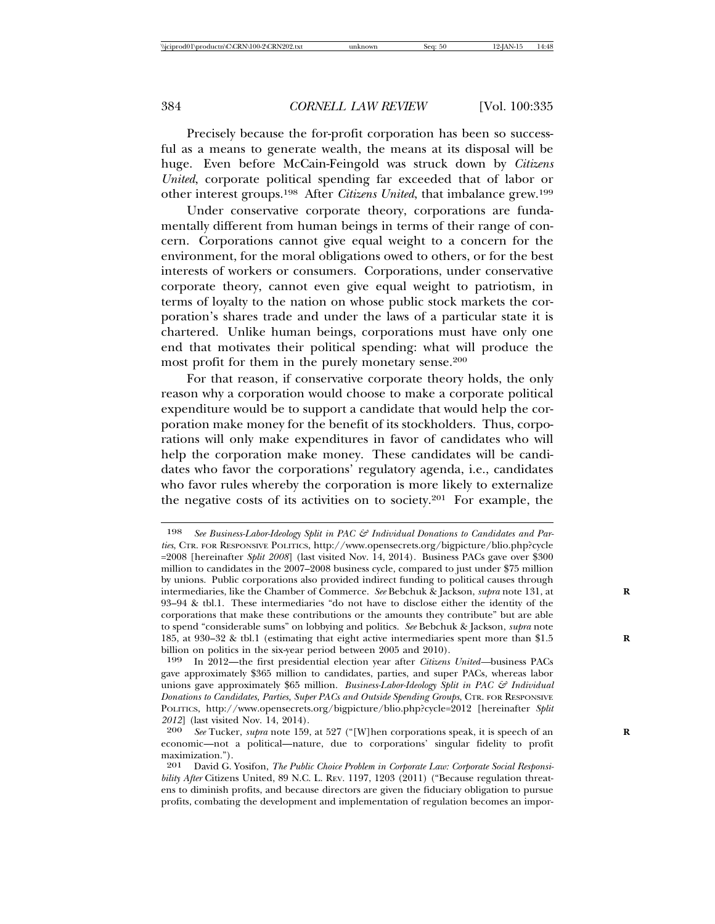Precisely because the for-profit corporation has been so successful as a means to generate wealth, the means at its disposal will be huge. Even before McCain-Feingold was struck down by *Citizens United*, corporate political spending far exceeded that of labor or other interest groups.198 After *Citizens United*, that imbalance grew.199

Under conservative corporate theory, corporations are fundamentally different from human beings in terms of their range of concern. Corporations cannot give equal weight to a concern for the environment, for the moral obligations owed to others, or for the best interests of workers or consumers. Corporations, under conservative corporate theory, cannot even give equal weight to patriotism, in terms of loyalty to the nation on whose public stock markets the corporation's shares trade and under the laws of a particular state it is chartered. Unlike human beings, corporations must have only one end that motivates their political spending: what will produce the most profit for them in the purely monetary sense.200

For that reason, if conservative corporate theory holds, the only reason why a corporation would choose to make a corporate political expenditure would be to support a candidate that would help the corporation make money for the benefit of its stockholders. Thus, corporations will only make expenditures in favor of candidates who will help the corporation make money. These candidates will be candidates who favor the corporations' regulatory agenda, i.e., candidates who favor rules whereby the corporation is more likely to externalize the negative costs of its activities on to society.201 For example, the

<sup>198</sup> See Business-Labor-Ideology Split in PAC & Individual Donations to Candidates and Par*ties*, CTR. FOR RESPONSIVE POLITICS, http://www.opensecrets.org/bigpicture/blio.php?cycle =2008 [hereinafter *Split 2008*] (last visited Nov. 14, 2014). Business PACs gave over \$300 million to candidates in the 2007–2008 business cycle, compared to just under \$75 million by unions. Public corporations also provided indirect funding to political causes through intermediaries, like the Chamber of Commerce. *See* Bebchuk & Jackson, *supra* note 131, at **R** 93–94 & tbl.1. These intermediaries "do not have to disclose either the identity of the corporations that make these contributions or the amounts they contribute" but are able to spend "considerable sums" on lobbying and politics. *See* Bebchuk & Jackson, *supra* note 185, at 930–32 & tbl.1 (estimating that eight active intermediaries spent more than \$1.5 **R** billion on politics in the six-year period between 2005 and 2010).

<sup>199</sup> In 2012—the first presidential election year after *Citizens United—*business PACs gave approximately \$365 million to candidates, parties, and super PACs, whereas labor unions gave approximately \$65 million. *Business-Labor-Ideology Split in PAC & Individual Donations to Candidates, Parties, Super PACs and Outside Spending Groups*, CTR. FOR RESPONSIVE POLITICS, http://www.opensecrets.org/bigpicture/blio.php?cycle=2012 [hereinafter *Split 2012*] (last visited Nov. 14, 2014).

<sup>200</sup> *See* Tucker, *supra* note 159, at 527 ("[W]hen corporations speak, it is speech of an **R** economic—not a political—nature, due to corporations' singular fidelity to profit maximization.").

<sup>201</sup> David G. Yosifon, *The Public Choice Problem in Corporate Law: Corporate Social Responsibility After Citizens United, 89 N.C. L. REV. 1197, 1203 (2011)* ("Because regulation threatens to diminish profits, and because directors are given the fiduciary obligation to pursue profits, combating the development and implementation of regulation becomes an impor-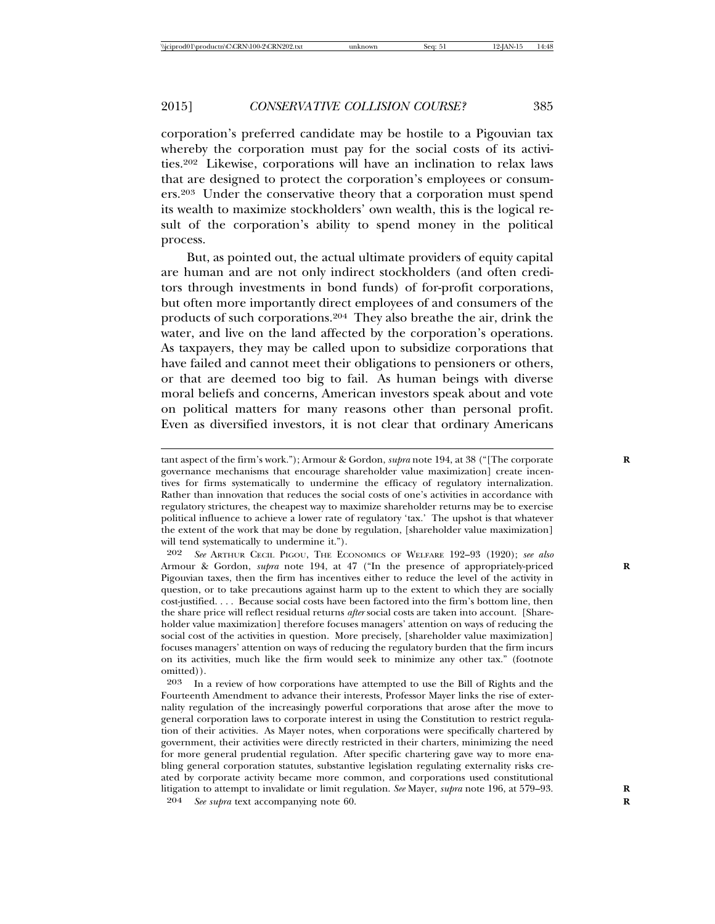corporation's preferred candidate may be hostile to a Pigouvian tax whereby the corporation must pay for the social costs of its activities.202 Likewise, corporations will have an inclination to relax laws that are designed to protect the corporation's employees or consumers.203 Under the conservative theory that a corporation must spend its wealth to maximize stockholders' own wealth, this is the logical result of the corporation's ability to spend money in the political process.

But, as pointed out, the actual ultimate providers of equity capital are human and are not only indirect stockholders (and often creditors through investments in bond funds) of for-profit corporations, but often more importantly direct employees of and consumers of the products of such corporations.204 They also breathe the air, drink the water, and live on the land affected by the corporation's operations. As taxpayers, they may be called upon to subsidize corporations that have failed and cannot meet their obligations to pensioners or others, or that are deemed too big to fail. As human beings with diverse moral beliefs and concerns, American investors speak about and vote on political matters for many reasons other than personal profit. Even as diversified investors, it is not clear that ordinary Americans

204 *See supra* text accompanying note 60. **R**

tant aspect of the firm's work."); Armour & Gordon, *supra* note 194, at 38 ("[The corporate **R** governance mechanisms that encourage shareholder value maximization] create incentives for firms systematically to undermine the efficacy of regulatory internalization. Rather than innovation that reduces the social costs of one's activities in accordance with regulatory strictures, the cheapest way to maximize shareholder returns may be to exercise political influence to achieve a lower rate of regulatory 'tax.' The upshot is that whatever the extent of the work that may be done by regulation, [shareholder value maximization] will tend systematically to undermine it.").

<sup>202</sup> *See* ARTHUR CECIL PIGOU, THE ECONOMICS OF WELFARE 192–93 (1920); *see also* Armour & Gordon, *supra* note 194, at 47 ("In the presence of appropriately-priced **R** Pigouvian taxes, then the firm has incentives either to reduce the level of the activity in question, or to take precautions against harm up to the extent to which they are socially cost-justified. . . . Because social costs have been factored into the firm's bottom line, then the share price will reflect residual returns *after* social costs are taken into account. [Shareholder value maximization] therefore focuses managers' attention on ways of reducing the social cost of the activities in question. More precisely, [shareholder value maximization] focuses managers' attention on ways of reducing the regulatory burden that the firm incurs on its activities, much like the firm would seek to minimize any other tax." (footnote omitted)).

<sup>203</sup> In a review of how corporations have attempted to use the Bill of Rights and the Fourteenth Amendment to advance their interests, Professor Mayer links the rise of externality regulation of the increasingly powerful corporations that arose after the move to general corporation laws to corporate interest in using the Constitution to restrict regulation of their activities. As Mayer notes, when corporations were specifically chartered by government, their activities were directly restricted in their charters, minimizing the need for more general prudential regulation. After specific chartering gave way to more enabling general corporation statutes, substantive legislation regulating externality risks created by corporate activity became more common, and corporations used constitutional litigation to attempt to invalidate or limit regulation. *See* Mayer, *supra* note 196, at 579–93. **R**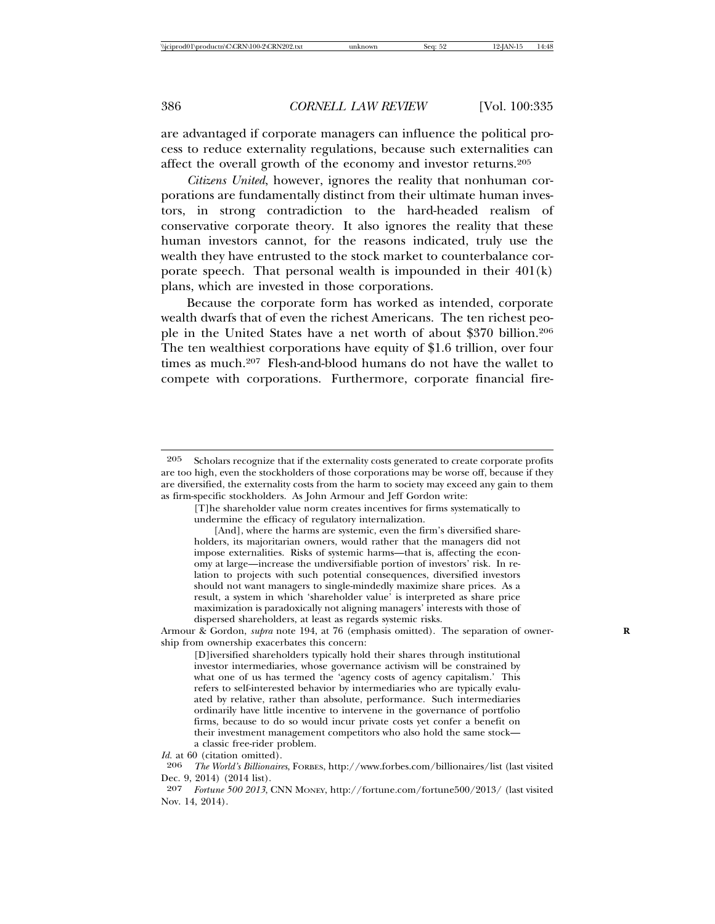are advantaged if corporate managers can influence the political process to reduce externality regulations, because such externalities can affect the overall growth of the economy and investor returns.205

*Citizens United*, however, ignores the reality that nonhuman corporations are fundamentally distinct from their ultimate human investors, in strong contradiction to the hard-headed realism of conservative corporate theory. It also ignores the reality that these human investors cannot, for the reasons indicated, truly use the wealth they have entrusted to the stock market to counterbalance corporate speech. That personal wealth is impounded in their 401(k) plans, which are invested in those corporations.

Because the corporate form has worked as intended, corporate wealth dwarfs that of even the richest Americans. The ten richest people in the United States have a net worth of about \$370 billion.206 The ten wealthiest corporations have equity of \$1.6 trillion, over four times as much.<sup>207</sup> Flesh-and-blood humans do not have the wallet to compete with corporations. Furthermore, corporate financial fire-

Armour & Gordon, *supra* note 194, at 76 (emphasis omitted). The separation of ownership from ownership exacerbates this concern:

[D]iversified shareholders typically hold their shares through institutional investor intermediaries, whose governance activism will be constrained by what one of us has termed the 'agency costs of agency capitalism.' This refers to self-interested behavior by intermediaries who are typically evaluated by relative, rather than absolute, performance. Such intermediaries ordinarily have little incentive to intervene in the governance of portfolio firms, because to do so would incur private costs yet confer a benefit on their investment management competitors who also hold the same stock a classic free-rider problem.

<sup>205</sup> Scholars recognize that if the externality costs generated to create corporate profits are too high, even the stockholders of those corporations may be worse off, because if they are diversified, the externality costs from the harm to society may exceed any gain to them as firm-specific stockholders. As John Armour and Jeff Gordon write:

<sup>[</sup>T]he shareholder value norm creates incentives for firms systematically to undermine the efficacy of regulatory internalization.

<sup>[</sup>And], where the harms are systemic, even the firm's diversified shareholders, its majoritarian owners, would rather that the managers did not impose externalities. Risks of systemic harms—that is, affecting the economy at large—increase the undiversifiable portion of investors' risk. In relation to projects with such potential consequences, diversified investors should not want managers to single-mindedly maximize share prices. As a result, a system in which 'shareholder value' is interpreted as share price maximization is paradoxically not aligning managers' interests with those of dispersed shareholders, at least as regards systemic risks.

*Id.* at 60 (citation omitted).<br>206 *The World's Billionaire* 

<sup>206</sup> *The World's Billionaires*, FORBES, http://www.forbes.com/billionaires/list (last visited Dec. 9, 2014) (2014 list).

<sup>207</sup> *Fortune 500 2013*, CNN MONEY, http://fortune.com/fortune500/2013/ (last visited Nov. 14, 2014).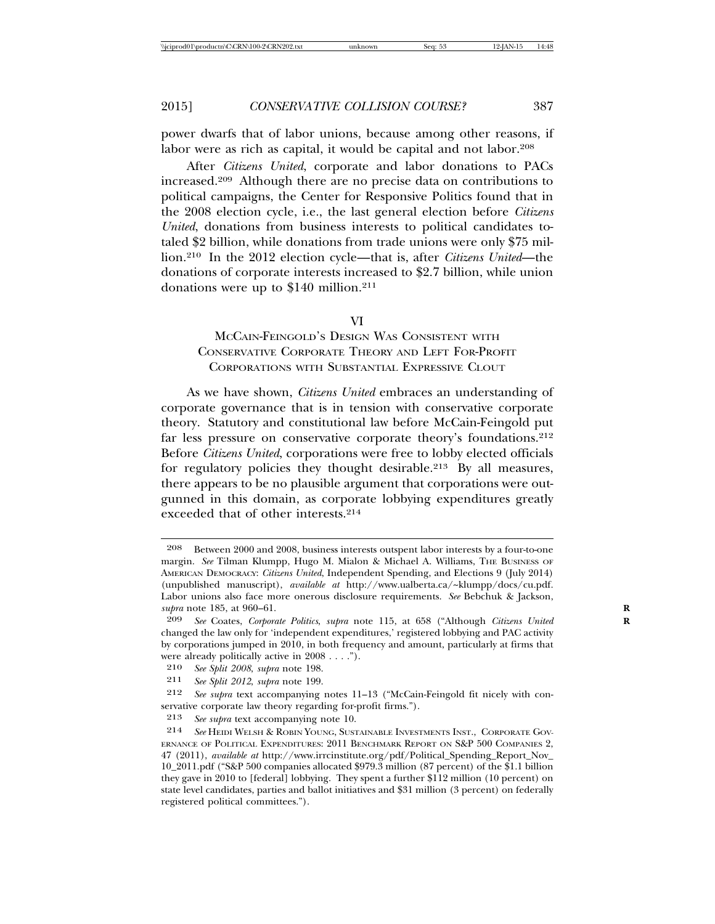power dwarfs that of labor unions, because among other reasons, if labor were as rich as capital, it would be capital and not labor.208

After *Citizens United*, corporate and labor donations to PACs increased.209 Although there are no precise data on contributions to political campaigns, the Center for Responsive Politics found that in the 2008 election cycle, i.e., the last general election before *Citizens United*, donations from business interests to political candidates totaled \$2 billion, while donations from trade unions were only \$75 million.210 In the 2012 election cycle—that is, after *Citizens United*—the donations of corporate interests increased to \$2.7 billion, while union donations were up to \$140 million.211

#### VI

# MCCAIN-FEINGOLD'S DESIGN WAS CONSISTENT WITH CONSERVATIVE CORPORATE THEORY AND LEFT FOR-PROFIT CORPORATIONS WITH SUBSTANTIAL EXPRESSIVE CLOUT

As we have shown, *Citizens United* embraces an understanding of corporate governance that is in tension with conservative corporate theory. Statutory and constitutional law before McCain-Feingold put far less pressure on conservative corporate theory's foundations.<sup>212</sup> Before *Citizens United*, corporations were free to lobby elected officials for regulatory policies they thought desirable.213 By all measures, there appears to be no plausible argument that corporations were outgunned in this domain, as corporate lobbying expenditures greatly exceeded that of other interests.214

<sup>208</sup> Between 2000 and 2008, business interests outspent labor interests by a four-to-one margin. See Tilman Klumpp, Hugo M. Mialon & Michael A. Williams, THE BUSINESS OF AMERICAN DEMOCRACY: *Citizens United*, Independent Spending, and Elections 9 (July 2014) (unpublished manuscript), *available at* http://www.ualberta.ca/~klumpp/docs/cu.pdf. Labor unions also face more onerous disclosure requirements. *See* Bebchuk & Jackson, *supra* note 185, at 960–61. **R**

<sup>209</sup> *See* Coates, *Corporate Politics*, *supra* note 115, at 658 ("Although *Citizens United* **R** changed the law only for 'independent expenditures,' registered lobbying and PAC activity by corporations jumped in 2010, in both frequency and amount, particularly at firms that were already politically active in 2008 . . . .").

<sup>210</sup> *See Split 2008*, *supra* note 198.

<sup>211</sup> *See Split 2012*, *supra* note 199.

<sup>212</sup> *See supra* text accompanying notes 11–13 ("McCain-Feingold fit nicely with conservative corporate law theory regarding for-profit firms.").

<sup>213</sup> *See supra* text accompanying note 10.

<sup>214</sup> *See* HEIDI WELSH & ROBIN YOUNG, SUSTAINABLE INVESTMENTS INST., CORPORATE GOV-ERNANCE OF POLITICAL EXPENDITURES: 2011 BENCHMARK REPORT ON S&P 500 COMPANIES 2, 47 (2011), *available at* http://www.irrcinstitute.org/pdf/Political\_Spending\_Report\_Nov\_ 10\_2011.pdf ("S&P 500 companies allocated \$979.3 million (87 percent) of the \$1.1 billion they gave in 2010 to [federal] lobbying. They spent a further \$112 million (10 percent) on state level candidates, parties and ballot initiatives and \$31 million (3 percent) on federally registered political committees.").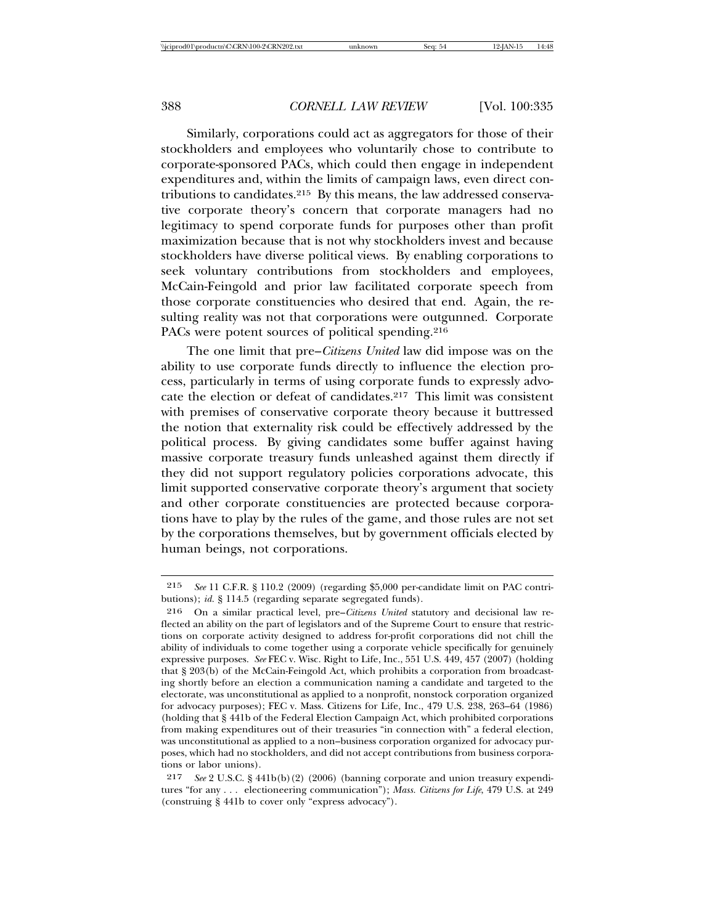Similarly, corporations could act as aggregators for those of their stockholders and employees who voluntarily chose to contribute to corporate-sponsored PACs, which could then engage in independent expenditures and, within the limits of campaign laws, even direct contributions to candidates.215 By this means, the law addressed conservative corporate theory's concern that corporate managers had no legitimacy to spend corporate funds for purposes other than profit maximization because that is not why stockholders invest and because stockholders have diverse political views. By enabling corporations to seek voluntary contributions from stockholders and employees, McCain-Feingold and prior law facilitated corporate speech from those corporate constituencies who desired that end. Again, the resulting reality was not that corporations were outgunned. Corporate PACs were potent sources of political spending.<sup>216</sup>

The one limit that pre–*Citizens United* law did impose was on the ability to use corporate funds directly to influence the election process, particularly in terms of using corporate funds to expressly advocate the election or defeat of candidates.217 This limit was consistent with premises of conservative corporate theory because it buttressed the notion that externality risk could be effectively addressed by the political process. By giving candidates some buffer against having massive corporate treasury funds unleashed against them directly if they did not support regulatory policies corporations advocate, this limit supported conservative corporate theory's argument that society and other corporate constituencies are protected because corporations have to play by the rules of the game, and those rules are not set by the corporations themselves, but by government officials elected by human beings, not corporations.

<sup>215</sup> *See* 11 C.F.R. § 110.2 (2009) (regarding \$5,000 per-candidate limit on PAC contributions); *id.* § 114.5 (regarding separate segregated funds).

<sup>216</sup> On a similar practical level, pre–*Citizens United* statutory and decisional law reflected an ability on the part of legislators and of the Supreme Court to ensure that restrictions on corporate activity designed to address for-profit corporations did not chill the ability of individuals to come together using a corporate vehicle specifically for genuinely expressive purposes. *See* FEC v. Wisc. Right to Life, Inc., 551 U.S. 449, 457 (2007) (holding that § 203(b) of the McCain-Feingold Act, which prohibits a corporation from broadcasting shortly before an election a communication naming a candidate and targeted to the electorate, was unconstitutional as applied to a nonprofit, nonstock corporation organized for advocacy purposes); FEC v. Mass. Citizens for Life, Inc., 479 U.S. 238, 263–64 (1986) (holding that § 441b of the Federal Election Campaign Act, which prohibited corporations from making expenditures out of their treasuries "in connection with" a federal election, was unconstitutional as applied to a non–business corporation organized for advocacy purposes, which had no stockholders, and did not accept contributions from business corporations or labor unions).

<sup>217</sup> *See* 2 U.S.C. § 441b(b)(2) (2006) (banning corporate and union treasury expenditures "for any . . . electioneering communication"); *Mass. Citizens for Life*, 479 U.S. at 249 (construing § 441b to cover only "express advocacy").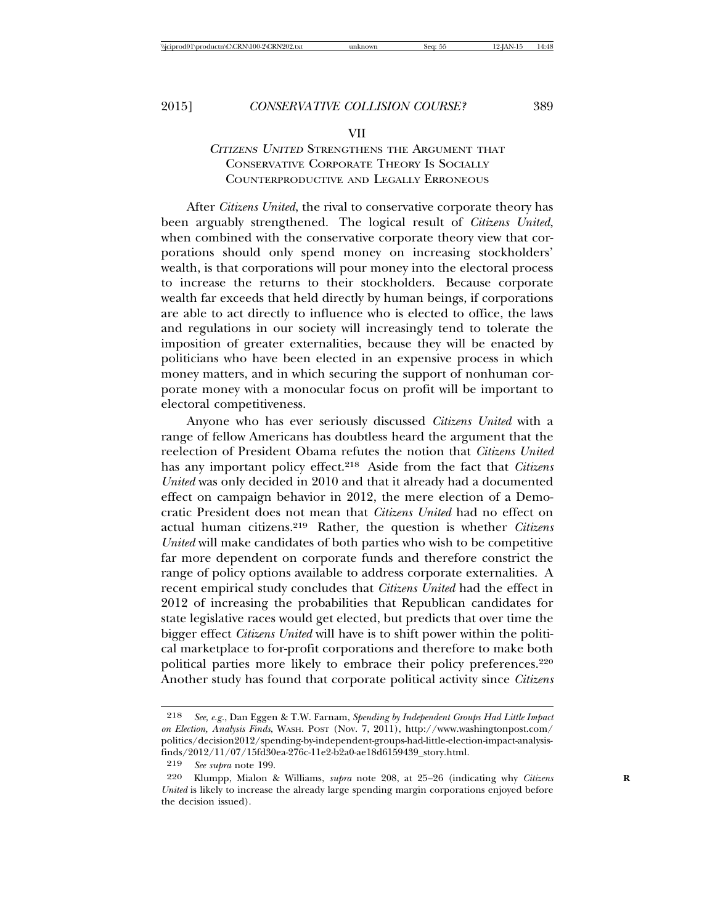#### VII

# <sup>C</sup>ITIZENS UNITED STRENGTHENS THE ARGUMENT THAT CONSERVATIVE CORPORATE THEORY IS SOCIALLY COUNTERPRODUCTIVE AND LEGALLY ERRONEOUS

After *Citizens United*, the rival to conservative corporate theory has been arguably strengthened. The logical result of *Citizens United*, when combined with the conservative corporate theory view that corporations should only spend money on increasing stockholders' wealth, is that corporations will pour money into the electoral process to increase the returns to their stockholders. Because corporate wealth far exceeds that held directly by human beings, if corporations are able to act directly to influence who is elected to office, the laws and regulations in our society will increasingly tend to tolerate the imposition of greater externalities, because they will be enacted by politicians who have been elected in an expensive process in which money matters, and in which securing the support of nonhuman corporate money with a monocular focus on profit will be important to electoral competitiveness.

Anyone who has ever seriously discussed *Citizens United* with a range of fellow Americans has doubtless heard the argument that the reelection of President Obama refutes the notion that *Citizens United* has any important policy effect.218 Aside from the fact that *Citizens United* was only decided in 2010 and that it already had a documented effect on campaign behavior in 2012, the mere election of a Democratic President does not mean that *Citizens United* had no effect on actual human citizens.219 Rather, the question is whether *Citizens United* will make candidates of both parties who wish to be competitive far more dependent on corporate funds and therefore constrict the range of policy options available to address corporate externalities. A recent empirical study concludes that *Citizens United* had the effect in 2012 of increasing the probabilities that Republican candidates for state legislative races would get elected, but predicts that over time the bigger effect *Citizens United* will have is to shift power within the political marketplace to for-profit corporations and therefore to make both political parties more likely to embrace their policy preferences.<sup>220</sup> Another study has found that corporate political activity since *Citizens*

<sup>218</sup> *See, e.g.*, Dan Eggen & T.W. Farnam, *Spending by Independent Groups Had Little Impact on Election, Analysis Finds*, WASH. POST (Nov. 7, 2011), http://www.washingtonpost.com/ politics/decision2012/spending-by-independent-groups-had-little-election-impact-analysisfinds/2012/11/07/15fd30ea-276c-11e2-b2a0-ae18d6159439\_story.html.

<sup>219</sup> *See supra* note 199.

<sup>220</sup> Klumpp, Mialon & Williams, *supra* note 208, at 25–26 (indicating why *Citizens* **R** *United* is likely to increase the already large spending margin corporations enjoyed before the decision issued).